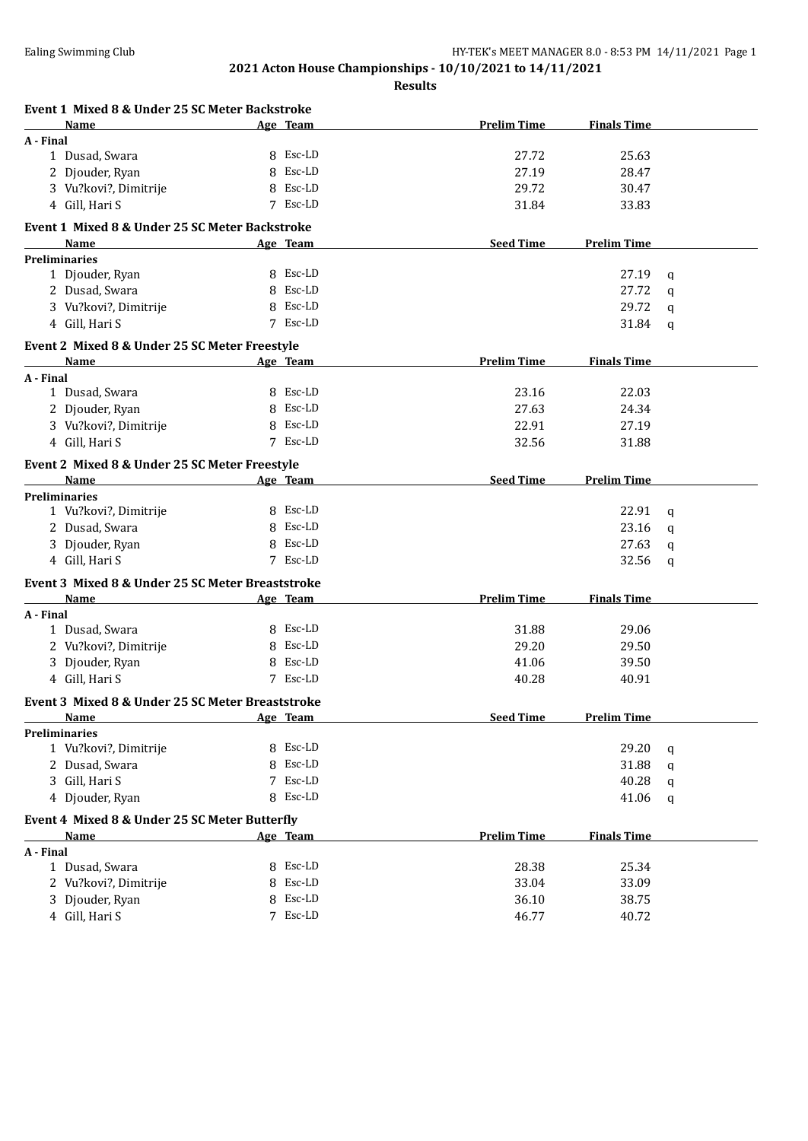| Event 1 Mixed 8 & Under 25 SC Meter Backstroke   |             |                    |                    |             |
|--------------------------------------------------|-------------|--------------------|--------------------|-------------|
| Name                                             | Age Team    | <b>Prelim Time</b> | <b>Finals Time</b> |             |
| A - Final                                        |             |                    |                    |             |
| 1 Dusad, Swara                                   | 8 Esc-LD    | 27.72              | 25.63              |             |
| 2 Djouder, Ryan                                  | 8 Esc-LD    | 27.19              | 28.47              |             |
| 3 Vu?kovi?, Dimitrije                            | 8 Esc-LD    | 29.72              | 30.47              |             |
| 4 Gill, Hari S                                   | 7 Esc-LD    | 31.84              | 33.83              |             |
| Event 1 Mixed 8 & Under 25 SC Meter Backstroke   |             |                    |                    |             |
| Name                                             | Age Team    | <b>Seed Time</b>   | <b>Prelim Time</b> |             |
| <b>Preliminaries</b>                             |             |                    |                    |             |
| 1 Djouder, Ryan                                  | 8 Esc-LD    |                    | 27.19              | q           |
| 2 Dusad, Swara                                   | 8 Esc-LD    |                    | 27.72              | q           |
| 3 Vu?kovi?, Dimitrije                            | 8 Esc-LD    |                    | 29.72              | q           |
| 4 Gill, Hari S                                   | 7 Esc-LD    |                    | 31.84              | q           |
| Event 2 Mixed 8 & Under 25 SC Meter Freestyle    |             |                    |                    |             |
| Name                                             | Age Team    | <b>Prelim Time</b> | <b>Finals Time</b> |             |
| A - Final                                        |             |                    |                    |             |
| 1 Dusad, Swara                                   | 8 Esc-LD    | 23.16              | 22.03              |             |
| 2 Djouder, Ryan                                  | 8 Esc-LD    | 27.63              | 24.34              |             |
| 3 Vu?kovi?, Dimitrije                            | 8 Esc-LD    | 22.91              | 27.19              |             |
| 4 Gill, Hari S                                   | 7 Esc-LD    | 32.56              | 31.88              |             |
| Event 2 Mixed 8 & Under 25 SC Meter Freestyle    |             |                    |                    |             |
| Name                                             | Age Team    | <b>Seed Time</b>   | <b>Prelim Time</b> |             |
| <b>Preliminaries</b>                             |             |                    |                    |             |
| 1 Vu?kovi?, Dimitrije                            | 8 Esc-LD    |                    | 22.91              | q           |
| 2 Dusad, Swara                                   | 8 Esc-LD    |                    | 23.16              | q           |
| 3 Djouder, Ryan                                  | 8 Esc-LD    |                    | 27.63              | q           |
| 4 Gill, Hari S                                   | 7 Esc-LD    |                    | 32.56              | $\mathbf q$ |
| Event 3 Mixed 8 & Under 25 SC Meter Breaststroke |             |                    |                    |             |
| Name                                             | Age Team    | <b>Prelim Time</b> | <b>Finals Time</b> |             |
| A - Final                                        |             |                    |                    |             |
| 1 Dusad, Swara                                   | 8 Esc-LD    | 31.88              | 29.06              |             |
| 2 Vu?kovi?, Dimitrije                            | 8 Esc-LD    | 29.20              | 29.50              |             |
| 3 Djouder, Ryan                                  | 8 Esc-LD    | 41.06              | 39.50              |             |
| 4 Gill, Hari S                                   | 7 Esc-LD    | 40.28              | 40.91              |             |
| Event 3 Mixed 8 & Under 25 SC Meter Breaststroke |             |                    |                    |             |
| <b>Name</b>                                      | Age Team    | <b>Seed Time</b>   | <b>Prelim Time</b> |             |
| <b>Preliminaries</b>                             |             |                    |                    |             |
| 1 Vu?kovi?, Dimitrije                            | 8 Esc-LD    |                    | 29.20              | q           |
| 2 Dusad, Swara                                   | Esc-LD<br>8 |                    | 31.88              | q           |
| 3 Gill, Hari S                                   | Esc-LD<br>7 |                    | 40.28              | q           |
| 4 Djouder, Ryan                                  | Esc-LD<br>8 |                    | 41.06              | q           |
|                                                  |             |                    |                    |             |
| Event 4 Mixed 8 & Under 25 SC Meter Butterfly    |             |                    |                    |             |
| Name<br>A - Final                                | Age Team    | <b>Prelim Time</b> | <b>Finals Time</b> |             |
| 1 Dusad, Swara                                   | 8 Esc-LD    | 28.38              | 25.34              |             |
| 2 Vu?kovi?, Dimitrije                            | Esc-LD<br>8 | 33.04              | 33.09              |             |
| 3 Djouder, Ryan                                  | Esc-LD<br>8 | 36.10              | 38.75              |             |
|                                                  | 7 Esc-LD    |                    |                    |             |
| 4 Gill, Hari S                                   |             | 46.77              | 40.72              |             |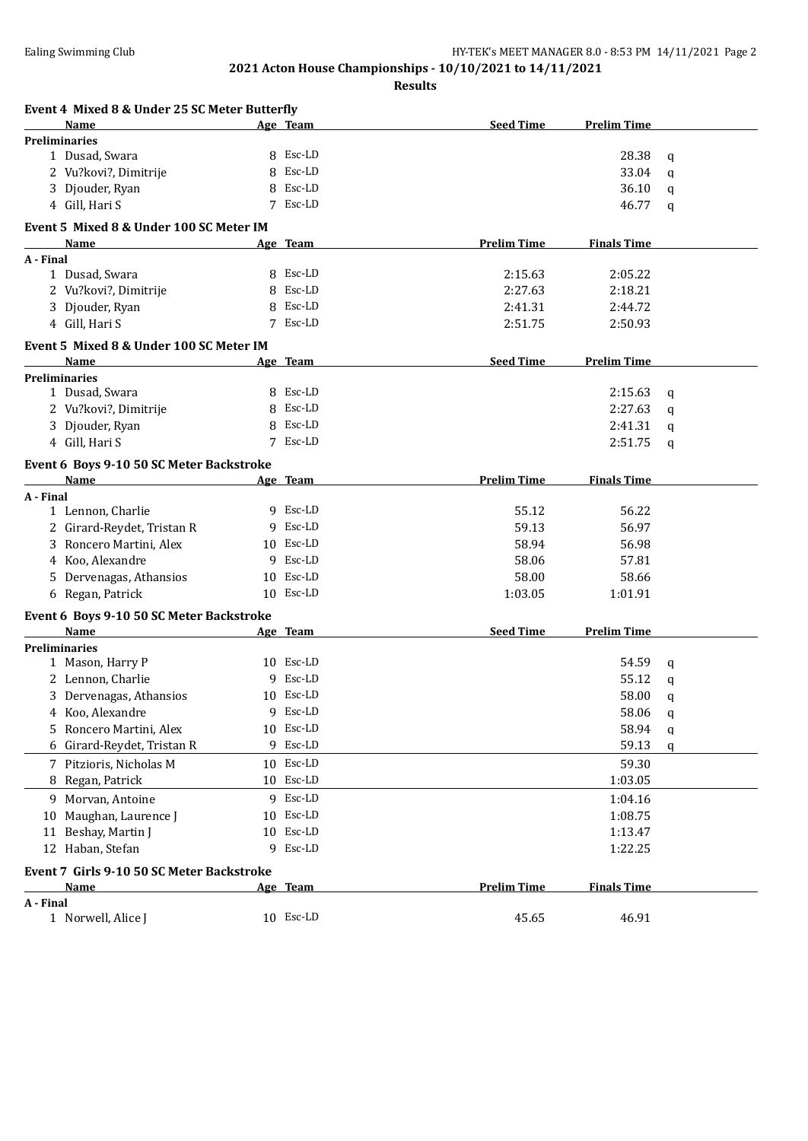| Event 4 Mixed 8 & Under 25 SC Meter Butterfly |    |                 |                    |                    |   |
|-----------------------------------------------|----|-----------------|--------------------|--------------------|---|
| Name                                          |    | <u>Age Team</u> | <b>Seed Time</b>   | <b>Prelim Time</b> |   |
| <b>Preliminaries</b>                          |    |                 |                    |                    |   |
| 1 Dusad, Swara                                |    | 8 Esc-LD        |                    | 28.38              | q |
| 2 Vu?kovi?, Dimitrije                         | 8  | Esc-LD          |                    | 33.04              | a |
| 3 Djouder, Ryan                               | 8  | Esc-LD          |                    | 36.10              | q |
| 4 Gill, Hari S                                |    | 7 Esc-LD        |                    | 46.77              | q |
| Event 5 Mixed 8 & Under 100 SC Meter IM       |    |                 |                    |                    |   |
| Name                                          |    | Age Team        | <b>Prelim Time</b> | <b>Finals Time</b> |   |
| A - Final                                     |    |                 |                    |                    |   |
| 1 Dusad, Swara                                |    | 8 Esc-LD        | 2:15.63            | 2:05.22            |   |
| 2 Vu?kovi?, Dimitrije                         | 8  | Esc-LD          | 2:27.63            | 2:18.21            |   |
| 3 Djouder, Ryan                               | 8  | Esc-LD          | 2:41.31            | 2:44.72            |   |
| 4 Gill, Hari S                                |    | 7 Esc-LD        | 2:51.75            | 2:50.93            |   |
| Event 5 Mixed 8 & Under 100 SC Meter IM       |    |                 |                    |                    |   |
| <b>Name</b>                                   |    | Age Team        | <b>Seed Time</b>   | <b>Prelim Time</b> |   |
| <b>Preliminaries</b>                          |    |                 |                    |                    |   |
| 1 Dusad, Swara                                |    | 8 Esc-LD        |                    | 2:15.63            | q |
| 2 Vu?kovi?, Dimitrije                         | 8  | Esc-LD          |                    | 2:27.63            | q |
| 3 Djouder, Ryan                               | 8  | Esc-LD          |                    | 2:41.31            | q |
| 4 Gill, Hari S                                |    | 7 Esc-LD        |                    | 2:51.75            | q |
| Event 6 Boys 9-10 50 SC Meter Backstroke      |    |                 |                    |                    |   |
| Name                                          |    | Age Team        | <b>Prelim Time</b> | <b>Finals Time</b> |   |
| A - Final                                     |    |                 |                    |                    |   |
| 1 Lennon, Charlie                             |    | 9 Esc-LD        | 55.12              | 56.22              |   |
| 2 Girard-Reydet, Tristan R                    |    | 9 Esc-LD        | 59.13              | 56.97              |   |
| 3 Roncero Martini, Alex                       |    | 10 Esc-LD       | 58.94              | 56.98              |   |
| 4 Koo, Alexandre                              |    | 9 Esc-LD        | 58.06              | 57.81              |   |
| 5 Dervenagas, Athansios                       |    | 10 Esc-LD       | 58.00              | 58.66              |   |
| 6 Regan, Patrick                              |    | 10 Esc-LD       | 1:03.05            | 1:01.91            |   |
| Event 6 Boys 9-10 50 SC Meter Backstroke      |    |                 |                    |                    |   |
| Name                                          |    | Age Team        | <b>Seed Time</b>   | <b>Prelim Time</b> |   |
| <b>Preliminaries</b>                          |    |                 |                    |                    |   |
| 1 Mason, Harry P                              |    | 10 Esc-LD       |                    | 54.59              | q |
| 2 Lennon, Charlie                             |    | 9 Esc-LD        |                    | 55.12              | q |
| 3 Dervenagas, Athansios                       |    | 10 Esc-LD       |                    | 58.00              | q |
| Koo, Alexandre<br>4                           |    | 9 Esc-LD        |                    | 58.06              | q |
| Roncero Martini, Alex<br>5.                   |    | 10 Esc-LD       |                    | 58.94              | q |
| Girard-Reydet, Tristan R<br>6                 | 9. | Esc-LD          |                    | 59.13              | q |
| 7 Pitzioris, Nicholas M                       | 10 | Esc-LD          |                    | 59.30              |   |
| 8 Regan, Patrick                              |    | 10 Esc-LD       |                    | 1:03.05            |   |
| Morvan, Antoine<br>9.                         |    | 9 Esc-LD        |                    | 1:04.16            |   |
| Maughan, Laurence J<br>10                     |    | 10 Esc-LD       |                    | 1:08.75            |   |
| 11 Beshay, Martin J                           | 10 | Esc-LD          |                    | 1:13.47            |   |
| 12 Haban, Stefan                              |    | 9 Esc-LD        |                    | 1:22.25            |   |
| Event 7 Girls 9-10 50 SC Meter Backstroke     |    |                 |                    |                    |   |
| <b>Name</b>                                   |    | Age Team        | <b>Prelim Time</b> | <b>Finals Time</b> |   |
| A - Final                                     |    |                 |                    |                    |   |
| 1 Norwell, Alice J                            |    | 10 Esc-LD       | 45.65              | 46.91              |   |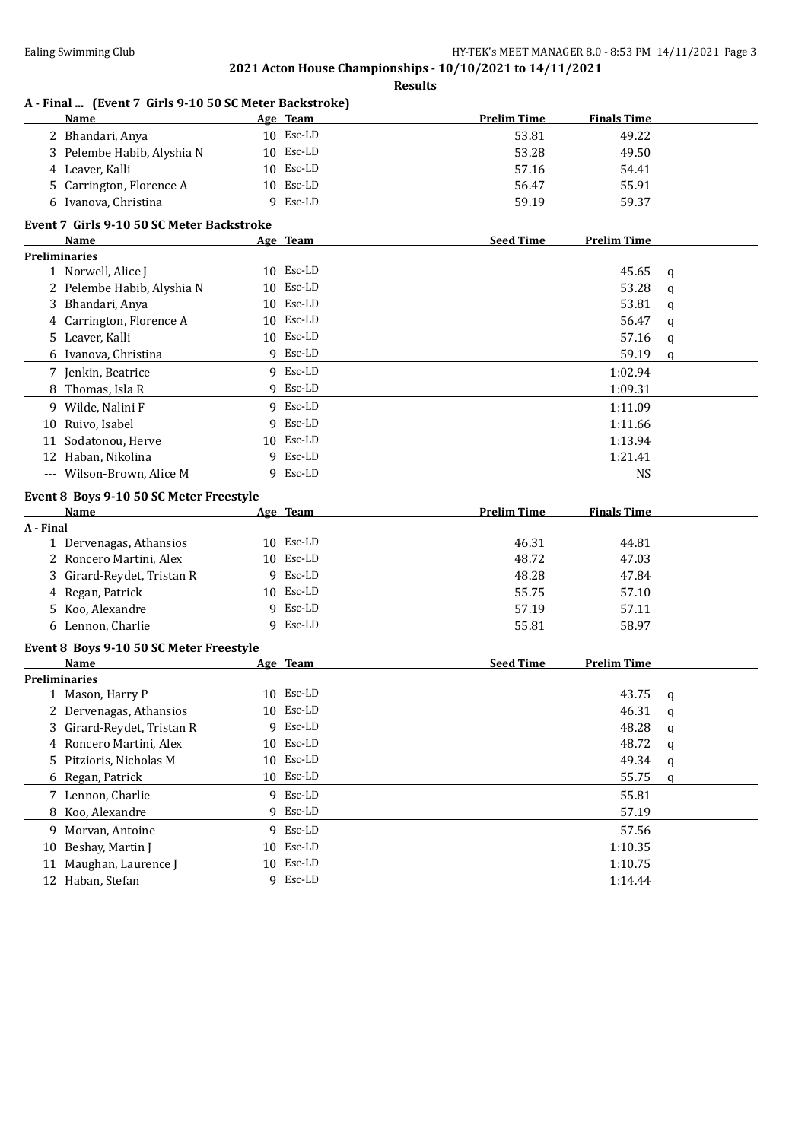### **2021 Acton House Championships - 10/10/2021 to 14/11/2021 Results**

|           | A - Final  (Event 7 Girls 9-10 50 SC Meter Backstroke)<br>Name |    | Age Team  | <b>Prelim Time</b> | <b>Finals Time</b> |             |
|-----------|----------------------------------------------------------------|----|-----------|--------------------|--------------------|-------------|
|           | 2 Bhandari, Anya                                               |    | 10 Esc-LD | 53.81              | 49.22              |             |
|           | 3 Pelembe Habib, Alyshia N                                     |    | 10 Esc-LD | 53.28              | 49.50              |             |
|           | 4 Leaver, Kalli                                                |    | 10 Esc-LD | 57.16              | 54.41              |             |
|           | 5 Carrington, Florence A                                       |    | 10 Esc-LD | 56.47              | 55.91              |             |
|           | 6 Ivanova, Christina                                           |    | 9 Esc-LD  | 59.19              | 59.37              |             |
|           | Event 7 Girls 9-10 50 SC Meter Backstroke                      |    |           |                    |                    |             |
|           | Name                                                           |    | Age Team  | <b>Seed Time</b>   | <b>Prelim Time</b> |             |
|           | <b>Preliminaries</b>                                           |    |           |                    |                    |             |
|           | 1 Norwell, Alice J                                             |    | 10 Esc-LD |                    | 45.65              | q           |
|           | 2 Pelembe Habib, Alyshia N                                     |    | 10 Esc-LD |                    | 53.28              | q           |
|           | 3 Bhandari, Anya                                               |    | 10 Esc-LD |                    | 53.81              | $\mathbf q$ |
|           | 4 Carrington, Florence A                                       |    | 10 Esc-LD |                    | 56.47              | q           |
|           | 5 Leaver, Kalli                                                |    | 10 Esc-LD |                    | 57.16              | q           |
|           | 6 Ivanova, Christina                                           |    | 9 Esc-LD  |                    | 59.19              | q           |
|           | 7 Jenkin, Beatrice                                             |    | 9 Esc-LD  |                    | 1:02.94            |             |
|           | 8 Thomas, Isla R                                               |    | 9 Esc-LD  |                    | 1:09.31            |             |
|           | 9 Wilde, Nalini F                                              |    | 9 Esc-LD  |                    | 1:11.09            |             |
|           | 10 Ruivo, Isabel                                               |    | 9 Esc-LD  |                    | 1:11.66            |             |
| 11        | Sodatonou, Herve                                               |    | 10 Esc-LD |                    | 1:13.94            |             |
|           | 12 Haban, Nikolina                                             |    | 9 Esc-LD  |                    | 1:21.41            |             |
|           | --- Wilson-Brown, Alice M                                      |    | 9 Esc-LD  |                    | <b>NS</b>          |             |
|           |                                                                |    |           |                    |                    |             |
|           | Event 8 Boys 9-10 50 SC Meter Freestyle                        |    |           | <b>Prelim Time</b> |                    |             |
| A - Final | Name                                                           |    | Age Team  |                    | <b>Finals Time</b> |             |
|           | 1 Dervenagas, Athansios                                        |    | 10 Esc-LD | 46.31              | 44.81              |             |
|           | 2 Roncero Martini, Alex                                        |    | 10 Esc-LD | 48.72              | 47.03              |             |
| 3         | Girard-Reydet, Tristan R                                       |    | 9 Esc-LD  | 48.28              | 47.84              |             |
|           | 4 Regan, Patrick                                               |    | 10 Esc-LD | 55.75              | 57.10              |             |
|           | 5 Koo, Alexandre                                               |    | 9 Esc-LD  | 57.19              | 57.11              |             |
|           | 6 Lennon, Charlie                                              |    | 9 Esc-LD  | 55.81              | 58.97              |             |
|           |                                                                |    |           |                    |                    |             |
|           | Event 8 Boys 9-10 50 SC Meter Freestyle                        |    |           |                    |                    |             |
|           | Name                                                           |    | Age Team  | <b>Seed Time</b>   | <b>Prelim Time</b> |             |
|           | <b>Preliminaries</b>                                           |    |           |                    |                    |             |
|           | 1 Mason, Harry P                                               |    | 10 Esc-LD |                    | 43.75              | q           |
| 2.        | Dervenagas, Athansios                                          |    | 10 Esc-LD |                    | 46.31              | q           |
| 3         | Girard-Reydet, Tristan R                                       | 9  | Esc-LD    |                    | 48.28              | q           |
| 4         | Roncero Martini, Alex                                          | 10 | Esc-LD    |                    | 48.72              | q           |
| 5         | Pitzioris, Nicholas M                                          | 10 | Esc-LD    |                    | 49.34              | q           |
|           | 6 Regan, Patrick                                               |    | 10 Esc-LD |                    | 55.75              | q           |
|           | 7 Lennon, Charlie                                              |    | 9 Esc-LD  |                    | 55.81              |             |
|           | 8 Koo, Alexandre                                               |    | 9 Esc-LD  |                    | 57.19              |             |
|           |                                                                |    | 9 Esc-LD  |                    | 57.56              |             |
|           | 9 Morvan, Antoine                                              |    |           |                    |                    |             |
| 10        | Beshay, Martin J                                               |    | 10 Esc-LD |                    | 1:10.35            |             |
| 11        | Maughan, Laurence J                                            |    | 10 Esc-LD |                    | 1:10.75            |             |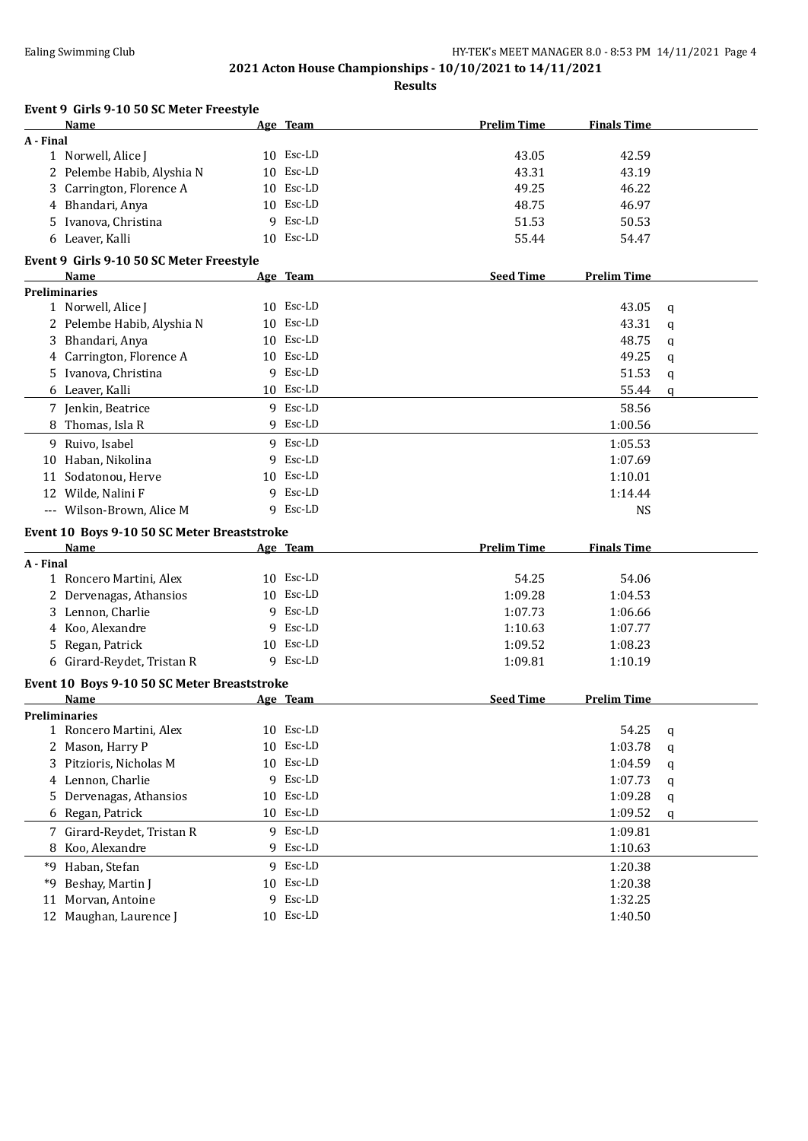| Event 9 Girls 9-10 50 SC Meter Freestyle    |    |           |                    |                    |             |
|---------------------------------------------|----|-----------|--------------------|--------------------|-------------|
| Name                                        |    | Age Team  | <b>Prelim Time</b> | <b>Finals Time</b> |             |
| A - Final                                   |    |           |                    |                    |             |
| 1 Norwell, Alice J                          |    | 10 Esc-LD | 43.05              | 42.59              |             |
| 2 Pelembe Habib, Alyshia N                  | 10 | Esc-LD    | 43.31              | 43.19              |             |
| 3 Carrington, Florence A                    |    | 10 Esc-LD | 49.25              | 46.22              |             |
| 4 Bhandari, Anya                            |    | 10 Esc-LD | 48.75              | 46.97              |             |
| 5 Ivanova, Christina                        | 9  | Esc-LD    | 51.53              | 50.53              |             |
| 6 Leaver, Kalli                             |    | 10 Esc-LD | 55.44              | 54.47              |             |
| Event 9 Girls 9-10 50 SC Meter Freestyle    |    |           |                    |                    |             |
| <b>Name</b>                                 |    | Age Team  | <b>Seed Time</b>   | <b>Prelim Time</b> |             |
| <b>Preliminaries</b>                        |    |           |                    |                    |             |
| 1 Norwell, Alice J                          |    | 10 Esc-LD |                    | 43.05              | q           |
| 2 Pelembe Habib, Alyshia N                  | 10 | Esc-LD    |                    | 43.31              | q           |
| 3 Bhandari, Anya                            | 10 | Esc-LD    |                    | 48.75              | $\mathbf q$ |
| 4 Carrington, Florence A                    |    | 10 Esc-LD |                    | 49.25              | q           |
| 5 Ivanova, Christina                        |    | 9 Esc-LD  |                    | 51.53              | q           |
| 6 Leaver, Kalli                             |    | 10 Esc-LD |                    | 55.44              | q           |
| 7 Jenkin, Beatrice                          |    | 9 Esc-LD  |                    | 58.56              |             |
| 8 Thomas, Isla R                            |    | 9 Esc-LD  |                    | 1:00.56            |             |
| 9 Ruivo, Isabel                             |    | 9 Esc-LD  |                    | 1:05.53            |             |
| 10 Haban, Nikolina                          | 9  | Esc-LD    |                    | 1:07.69            |             |
| 11 Sodatonou, Herve                         | 10 | Esc-LD    |                    | 1:10.01            |             |
| 12 Wilde, Nalini F                          | 9  | Esc-LD    |                    | 1:14.44            |             |
| --- Wilson-Brown, Alice M                   | 9. | Esc-LD    |                    | <b>NS</b>          |             |
| Event 10 Boys 9-10 50 SC Meter Breaststroke |    |           |                    |                    |             |
| Name                                        |    | Age Team  | <b>Prelim Time</b> | <b>Finals Time</b> |             |
| A - Final                                   |    |           |                    |                    |             |
| 1 Roncero Martini, Alex                     |    | 10 Esc-LD | 54.25              | 54.06              |             |
| 2 Dervenagas, Athansios                     |    | 10 Esc-LD | 1:09.28            | 1:04.53            |             |
| 3 Lennon, Charlie                           | 9  | Esc-LD    | 1:07.73            | 1:06.66            |             |
| 4 Koo, Alexandre                            | 9  | Esc-LD    | 1:10.63            | 1:07.77            |             |
| 5 Regan, Patrick                            |    | 10 Esc-LD | 1:09.52            | 1:08.23            |             |
| 6 Girard-Reydet, Tristan R                  |    | 9 Esc-LD  | 1:09.81            | 1:10.19            |             |
| Event 10 Boys 9-10 50 SC Meter Breaststroke |    |           |                    |                    |             |
| Name                                        |    | Age Team  | <b>Seed Time</b>   | <b>Prelim Time</b> |             |
| <b>Preliminaries</b>                        |    |           |                    |                    |             |
| 1 Roncero Martini, Alex                     |    | 10 Esc-LD |                    | 54.25              | q           |
| 2 Mason, Harry P                            | 10 | Esc-LD    |                    | 1:03.78            | q           |
| 3 Pitzioris, Nicholas M                     |    | 10 Esc-LD |                    | 1:04.59            |             |
| 4 Lennon, Charlie                           | 9  | Esc-LD    |                    | 1:07.73            | q           |
| Dervenagas, Athansios                       | 10 | Esc-LD    |                    | 1:09.28            | q           |
| 5.<br>6 Regan, Patrick                      | 10 | Esc-LD    |                    |                    | q           |
|                                             |    |           |                    | 1:09.52            | q           |
| 7 Girard-Reydet, Tristan R                  | 9  | Esc-LD    |                    | 1:09.81            |             |
| 8 Koo, Alexandre                            |    | 9 Esc-LD  |                    | 1:10.63            |             |
| *9 Haban, Stefan                            |    | 9 Esc-LD  |                    | 1:20.38            |             |
| Beshay, Martin J<br>*9                      |    | 10 Esc-LD |                    | 1:20.38            |             |
| Morvan, Antoine<br>11                       | 9  | Esc-LD    |                    | 1:32.25            |             |
| 12 Maughan, Laurence J                      |    | 10 Esc-LD |                    | 1:40.50            |             |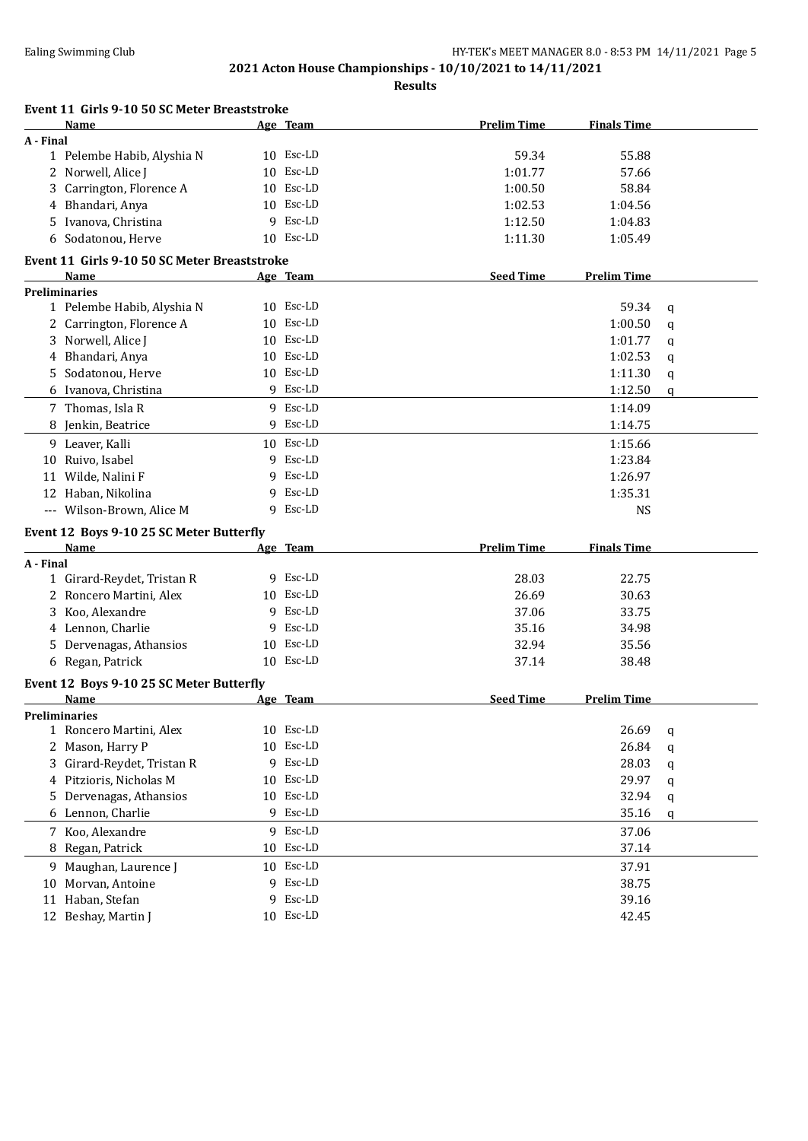| Event 11 Girls 9-10 50 SC Meter Breaststroke |   |           |                    |                    |             |
|----------------------------------------------|---|-----------|--------------------|--------------------|-------------|
| <b>Name</b>                                  |   | Age Team  | <b>Prelim Time</b> | <b>Finals Time</b> |             |
| A - Final                                    |   |           |                    |                    |             |
| 1 Pelembe Habib, Alyshia N                   |   | 10 Esc-LD | 59.34              | 55.88              |             |
| 2 Norwell, Alice J                           |   | 10 Esc-LD | 1:01.77            | 57.66              |             |
| Carrington, Florence A<br>3.                 |   | 10 Esc-LD | 1:00.50            | 58.84              |             |
| Bhandari, Anya<br>4                          |   | 10 Esc-LD | 1:02.53            | 1:04.56            |             |
| 5 Ivanova, Christina                         | 9 | Esc-LD    | 1:12.50            | 1:04.83            |             |
| 6 Sodatonou, Herve                           |   | 10 Esc-LD | 1:11.30            | 1:05.49            |             |
| Event 11 Girls 9-10 50 SC Meter Breaststroke |   |           |                    |                    |             |
| <b>Name</b>                                  |   | Age Team  | <b>Seed Time</b>   | <b>Prelim Time</b> |             |
| <b>Preliminaries</b>                         |   |           |                    |                    |             |
| 1 Pelembe Habib, Alyshia N                   |   | 10 Esc-LD |                    | 59.34              | q           |
| 2 Carrington, Florence A                     |   | 10 Esc-LD |                    | 1:00.50            | $\mathbf q$ |
| 3 Norwell, Alice J                           |   | 10 Esc-LD |                    | 1:01.77            | q           |
| 4 Bhandari, Anya                             |   | 10 Esc-LD |                    | 1:02.53            | q           |
| 5 Sodatonou, Herve                           |   | 10 Esc-LD |                    | 1:11.30            | q           |
| 6 Ivanova, Christina                         |   | 9 Esc-LD  |                    | 1:12.50            | q           |
| 7 Thomas, Isla R                             |   | 9 Esc-LD  |                    | 1:14.09            |             |
| 8 Jenkin, Beatrice                           |   | 9 Esc-LD  |                    | 1:14.75            |             |
| 9 Leaver, Kalli                              |   | 10 Esc-LD |                    | 1:15.66            |             |
| Ruivo, Isabel<br>10                          | 9 | Esc-LD    |                    | 1:23.84            |             |
| Wilde, Nalini F<br>11                        | 9 | Esc-LD    |                    | 1:26.97            |             |
| 12 Haban, Nikolina                           | 9 | Esc-LD    |                    | 1:35.31            |             |
| --- Wilson-Brown, Alice M                    |   | 9 Esc-LD  |                    | <b>NS</b>          |             |
|                                              |   |           |                    |                    |             |
| Event 12 Boys 9-10 25 SC Meter Butterfly     |   |           |                    |                    |             |
| Name                                         |   | Age Team  | <b>Prelim Time</b> | <b>Finals Time</b> |             |
| A - Final<br>1 Girard-Reydet, Tristan R      |   | 9 Esc-LD  | 28.03              | 22.75              |             |
| 2 Roncero Martini, Alex                      |   | 10 Esc-LD | 26.69              | 30.63              |             |
| 3 Koo, Alexandre                             |   | 9 Esc-LD  | 37.06              | 33.75              |             |
|                                              |   | 9 Esc-LD  |                    |                    |             |
| 4 Lennon, Charlie                            |   | 10 Esc-LD | 35.16              | 34.98              |             |
| 5 Dervenagas, Athansios                      |   | 10 Esc-LD | 32.94              | 35.56              |             |
| 6 Regan, Patrick                             |   |           | 37.14              | 38.48              |             |
| Event 12 Boys 9-10 25 SC Meter Butterfly     |   |           |                    |                    |             |
| Name                                         |   | Age Team  | <b>Seed Time</b>   | <b>Prelim Time</b> |             |
| <b>Preliminaries</b>                         |   |           |                    |                    |             |
| 1 Roncero Martini, Alex                      |   | 10 Esc-LD |                    | 26.69              | q           |
| 2 Mason, Harry P                             |   | 10 Esc-LD |                    | 26.84              | q           |
| Girard-Reydet, Tristan R                     |   | 9 Esc-LD  |                    | 28.03              | q           |
| 4 Pitzioris, Nicholas M                      |   | 10 Esc-LD |                    | 29.97              | q           |
| Dervenagas, Athansios<br>5.                  |   | 10 Esc-LD |                    | 32.94              | q           |
| 6 Lennon, Charlie                            |   | 9 Esc-LD  |                    | 35.16              | q           |
| 7 Koo, Alexandre                             |   | 9 Esc-LD  |                    | 37.06              |             |
| 8 Regan, Patrick                             |   | 10 Esc-LD |                    | 37.14              |             |
| 9 Maughan, Laurence J                        |   | 10 Esc-LD |                    | 37.91              |             |
| Morvan, Antoine<br>10                        |   | 9 Esc-LD  |                    | 38.75              |             |
| Haban, Stefan<br>11                          | 9 | Esc-LD    |                    | 39.16              |             |
| 12 Beshay, Martin J                          |   | 10 Esc-LD |                    | 42.45              |             |
|                                              |   |           |                    |                    |             |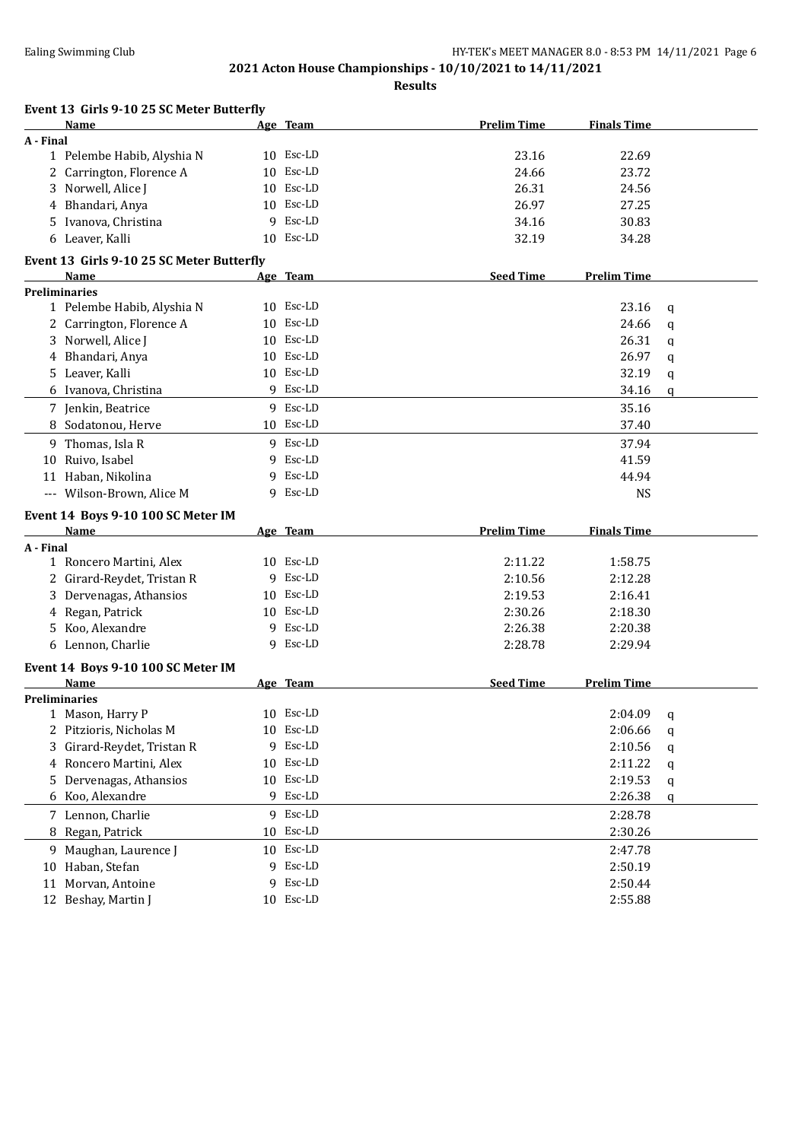|           | Event 13 Girls 9-10 25 SC Meter Butterfly |    |           |                    |                    |             |
|-----------|-------------------------------------------|----|-----------|--------------------|--------------------|-------------|
|           | <b>Name</b>                               |    | Age Team  | <b>Prelim Time</b> | <b>Finals Time</b> |             |
| A - Final |                                           |    |           |                    |                    |             |
|           | 1 Pelembe Habib, Alyshia N                |    | 10 Esc-LD | 23.16              | 22.69              |             |
|           | 2 Carrington, Florence A                  |    | 10 Esc-LD | 24.66              | 23.72              |             |
|           | 3 Norwell, Alice J                        |    | 10 Esc-LD | 26.31              | 24.56              |             |
|           | 4 Bhandari, Anya                          |    | 10 Esc-LD | 26.97              | 27.25              |             |
|           | 5 Ivanova, Christina                      | 9  | Esc-LD    | 34.16              | 30.83              |             |
|           | 6 Leaver, Kalli                           |    | 10 Esc-LD | 32.19              | 34.28              |             |
|           | Event 13 Girls 9-10 25 SC Meter Butterfly |    |           |                    |                    |             |
|           | Name                                      |    | Age Team  | <b>Seed Time</b>   | <b>Prelim Time</b> |             |
|           | <b>Preliminaries</b>                      |    |           |                    |                    |             |
|           | 1 Pelembe Habib, Alyshia N                |    | 10 Esc-LD |                    | 23.16              | q           |
|           | 2 Carrington, Florence A                  | 10 | Esc-LD    |                    | 24.66              | q           |
|           | 3 Norwell, Alice J                        | 10 | Esc-LD    |                    | 26.31              | q           |
|           | 4 Bhandari, Anya                          |    | 10 Esc-LD |                    | 26.97              | q           |
|           | 5 Leaver, Kalli                           |    | 10 Esc-LD |                    | 32.19              | $\mathbf q$ |
|           | 6 Ivanova, Christina                      |    | 9 Esc-LD  |                    | 34.16              | q           |
|           |                                           |    | 9 Esc-LD  |                    |                    |             |
|           | 7 Jenkin, Beatrice                        |    |           |                    | 35.16              |             |
|           | 8 Sodatonou, Herve                        |    | 10 Esc-LD |                    | 37.40              |             |
|           | 9 Thomas, Isla R                          |    | 9 Esc-LD  |                    | 37.94              |             |
| 10        | Ruivo, Isabel                             |    | 9 Esc-LD  |                    | 41.59              |             |
|           | 11 Haban, Nikolina                        |    | 9 Esc-LD  |                    | 44.94              |             |
|           | --- Wilson-Brown, Alice M                 |    | 9 Esc-LD  |                    | <b>NS</b>          |             |
|           | Event 14 Boys 9-10 100 SC Meter IM        |    |           |                    |                    |             |
|           | Name                                      |    | Age Team  | <b>Prelim Time</b> | <b>Finals Time</b> |             |
| A - Final |                                           |    |           |                    |                    |             |
|           | 1 Roncero Martini, Alex                   |    | 10 Esc-LD | 2:11.22            | 1:58.75            |             |
|           | 2 Girard-Reydet, Tristan R                |    | 9 Esc-LD  | 2:10.56            | 2:12.28            |             |
| 3         | Dervenagas, Athansios                     |    | 10 Esc-LD | 2:19.53            | 2:16.41            |             |
|           | 4 Regan, Patrick                          |    | 10 Esc-LD | 2:30.26            | 2:18.30            |             |
| 5.        | Koo, Alexandre                            |    | 9 Esc-LD  | 2:26.38            | 2:20.38            |             |
|           | 6 Lennon, Charlie                         |    | 9 Esc-LD  | 2:28.78            | 2:29.94            |             |
|           | Event 14 Boys 9-10 100 SC Meter IM        |    |           |                    |                    |             |
|           | Name                                      |    | Age Team  | <b>Seed Time</b>   | <b>Prelim Time</b> |             |
|           | <b>Preliminaries</b>                      |    |           |                    |                    |             |
|           | 1 Mason, Harry P                          |    | 10 Esc-LD |                    | 2:04.09            | q           |
|           | 2 Pitzioris, Nicholas M                   |    | 10 Esc-LD |                    | 2:06.66            | q           |
| 3         | Girard-Reydet, Tristan R                  |    | 9 Esc-LD  |                    | 2:10.56            | q           |
|           | 4 Roncero Martini, Alex                   | 10 | Esc-LD    |                    | 2:11.22            | q           |
| 5         | Dervenagas, Athansios                     | 10 | Esc-LD    |                    | 2:19.53            | q           |
| 6         | Koo, Alexandre                            |    | 9 Esc-LD  |                    | 2:26.38            | q           |
|           | 7 Lennon, Charlie                         |    | 9 Esc-LD  |                    | 2:28.78            |             |
|           |                                           |    | 10 Esc-LD |                    |                    |             |
|           | 8 Regan, Patrick                          |    |           |                    | 2:30.26            |             |
|           | 9 Maughan, Laurence J                     |    | 10 Esc-LD |                    | 2:47.78            |             |
|           | 10 Haban, Stefan                          |    | 9 Esc-LD  |                    | 2:50.19            |             |
| 11        | Morvan, Antoine                           |    | 9 Esc-LD  |                    | 2:50.44            |             |
|           | 12 Beshay, Martin J                       |    | 10 Esc-LD |                    | 2:55.88            |             |
|           |                                           |    |           |                    |                    |             |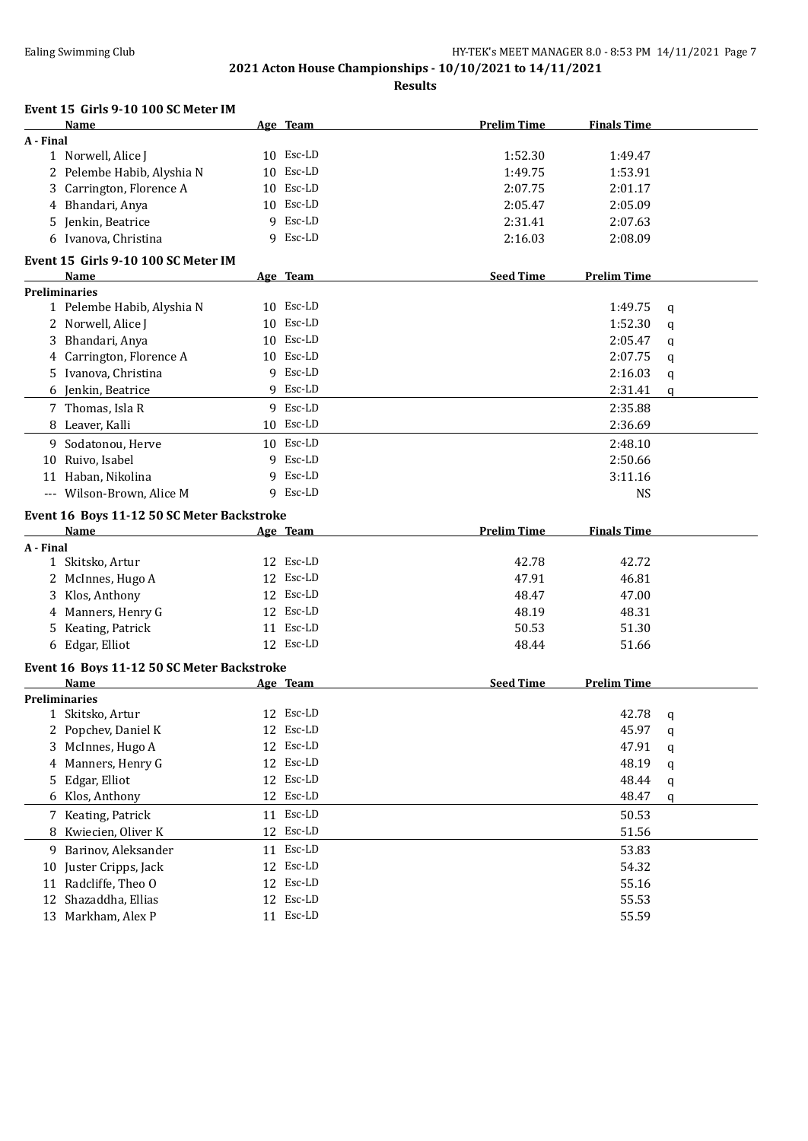**Prelim Time Finals Time** 

# **2021 Acton House Championships - 10/10/2021 to 14/11/2021**

**Results**

| Name                        | Age Team     |
|-----------------------------|--------------|
| A - Final                   |              |
| 1 Norwell, Alice J          | 10 Esc-LD    |
| 2. Dolamba Habib, Alvabia N | $10$ Fec. ID |

**Event 15 Girls 9-10 100 SC Meter IM**

|           | 1 Norwell, Alice J                         |    | 10 Esc-LD | 1:52.30            | 1:49.47            |   |
|-----------|--------------------------------------------|----|-----------|--------------------|--------------------|---|
|           | 2 Pelembe Habib, Alyshia N                 |    | 10 Esc-LD | 1:49.75            | 1:53.91            |   |
|           | 3 Carrington, Florence A                   |    | 10 Esc-LD | 2:07.75            | 2:01.17            |   |
|           | 4 Bhandari, Anya                           |    | 10 Esc-LD | 2:05.47            | 2:05.09            |   |
|           | 5 Jenkin, Beatrice                         |    | 9 Esc-LD  | 2:31.41            | 2:07.63            |   |
|           | 6 Ivanova, Christina                       |    | 9 Esc-LD  | 2:16.03            | 2:08.09            |   |
|           | Event 15 Girls 9-10 100 SC Meter IM        |    |           |                    |                    |   |
|           | Name                                       |    | Age Team  | <b>Seed Time</b>   | <b>Prelim Time</b> |   |
|           | <b>Preliminaries</b>                       |    |           |                    |                    |   |
|           | 1 Pelembe Habib, Alyshia N                 |    | 10 Esc-LD |                    | 1:49.75            | q |
|           | 2 Norwell, Alice J                         |    | 10 Esc-LD |                    | 1:52.30            | q |
|           | 3 Bhandari, Anya                           |    | 10 Esc-LD |                    | 2:05.47            | q |
|           | 4 Carrington, Florence A                   |    | 10 Esc-LD |                    | 2:07.75            | q |
|           | 5 Ivanova, Christina                       |    | 9 Esc-LD  |                    | 2:16.03            | q |
|           | 6 Jenkin, Beatrice                         |    | 9 Esc-LD  |                    | 2:31.41            | q |
|           | 7 Thomas, Isla R                           |    | 9 Esc-LD  |                    | 2:35.88            |   |
|           | 8 Leaver, Kalli                            |    | 10 Esc-LD |                    | 2:36.69            |   |
|           | 9 Sodatonou, Herve                         |    | 10 Esc-LD |                    | 2:48.10            |   |
|           | 10 Ruivo, Isabel                           |    | 9 Esc-LD  |                    | 2:50.66            |   |
|           | 11 Haban, Nikolina                         |    | 9 Esc-LD  |                    | 3:11.16            |   |
|           | --- Wilson-Brown, Alice M                  |    | 9 Esc-LD  |                    | <b>NS</b>          |   |
|           | Event 16 Boys 11-12 50 SC Meter Backstroke |    |           |                    |                    |   |
|           | Name                                       |    | Age Team  | <b>Prelim Time</b> | <b>Finals Time</b> |   |
| A - Final |                                            |    |           |                    |                    |   |
|           | 1 Skitsko, Artur                           |    | 12 Esc-LD | 42.78              | 42.72              |   |
|           | 2 McInnes, Hugo A                          |    | 12 Esc-LD | 47.91              | 46.81              |   |
|           | 3 Klos, Anthony                            |    | 12 Esc-LD | 48.47              | 47.00              |   |
|           | 4 Manners, Henry G                         |    | 12 Esc-LD | 48.19              | 48.31              |   |
|           | 5 Keating, Patrick                         |    | 11 Esc-LD | 50.53              | 51.30              |   |
|           | 6 Edgar, Elliot                            |    | 12 Esc-LD | 48.44              | 51.66              |   |
|           | Event 16 Boys 11-12 50 SC Meter Backstroke |    |           |                    |                    |   |
|           | Name                                       |    | Age Team  | <b>Seed Time</b>   | <b>Prelim Time</b> |   |
|           | <b>Preliminaries</b>                       |    |           |                    |                    |   |
|           | 1 Skitsko, Artur                           |    | 12 Esc-LD |                    | 42.78              | q |
|           | 2 Popchev, Daniel K                        |    | 12 Esc-LD |                    | 45.97              | q |
|           | 3 McInnes, Hugo A                          |    | 12 Esc-LD |                    | 47.91              | q |
|           | 4 Manners, Henry G                         |    | 12 Esc-LD |                    | 48.19              | q |
| 5.        | Edgar, Elliot                              |    | 12 Esc-LD |                    | 48.44              | q |
|           | 6 Klos, Anthony                            |    | 12 Esc-LD |                    | 48.47              | q |
|           | 7 Keating, Patrick                         |    | 11 Esc-LD |                    | 50.53              |   |
|           | 8 Kwiecien, Oliver K                       |    | 12 Esc-LD |                    | 51.56              |   |
|           | 9 Barinov, Aleksander                      |    | 11 Esc-LD |                    | 53.83              |   |
|           | 10 Juster Cripps, Jack                     | 12 | Esc-LD    |                    | 54.32              |   |
|           | 11 Radcliffe, Theo O                       | 12 | Esc-LD    |                    | 55.16              |   |
|           | 12 Shazaddha, Ellias                       | 12 | Esc-LD    |                    | 55.53              |   |
|           | 13 Markham, Alex P                         |    | 11 Esc-LD |                    | 55.59              |   |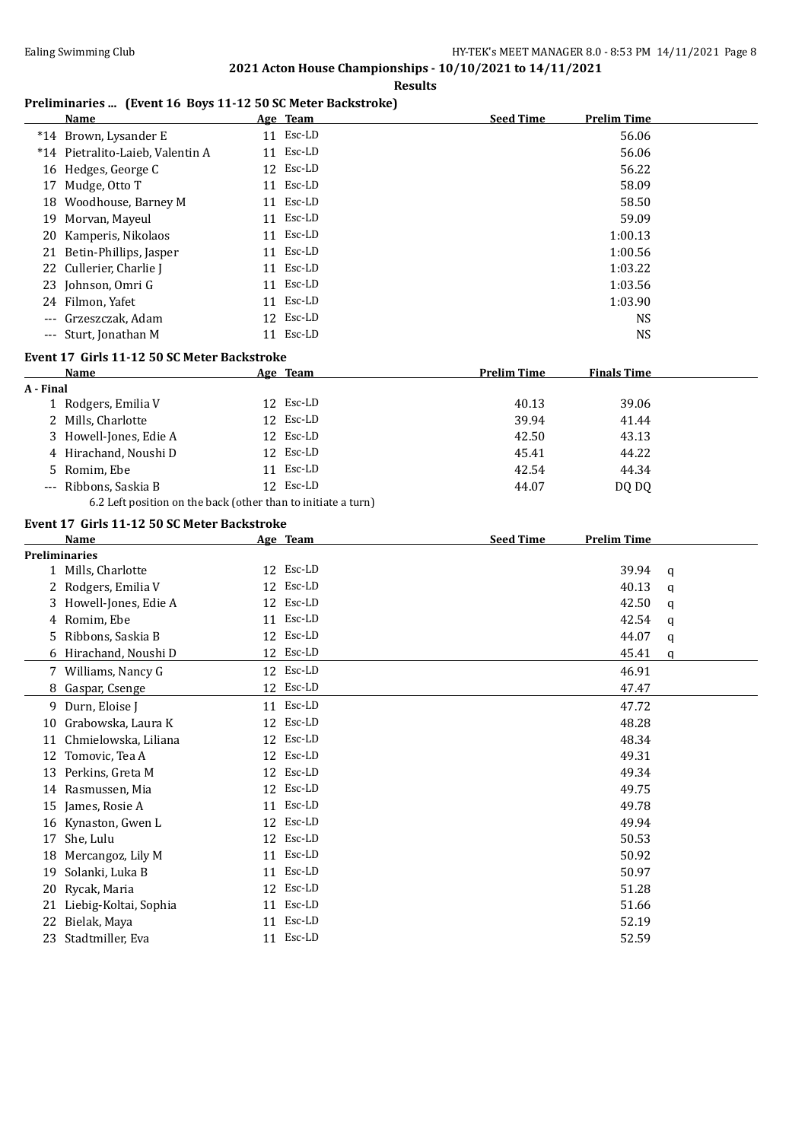#### **Results**

### **Preliminaries ... (Event 16 Boys 11-12 50 SC Meter Backstroke)**

|                      | <b>Name</b>                                 | Age Team                                                      | <b>Seed Time</b>   | <b>Prelim Time</b> |   |
|----------------------|---------------------------------------------|---------------------------------------------------------------|--------------------|--------------------|---|
|                      | *14 Brown, Lysander E                       | 11 Esc-LD                                                     |                    | 56.06              |   |
|                      | *14 Pietralito-Laieb, Valentin A            | 11 Esc-LD                                                     |                    | 56.06              |   |
|                      | 16 Hedges, George C                         | 12 Esc-LD                                                     |                    | 56.22              |   |
|                      | 17 Mudge, Otto T                            | 11 Esc-LD                                                     |                    | 58.09              |   |
|                      | 18 Woodhouse, Barney M                      | 11 Esc-LD                                                     |                    | 58.50              |   |
|                      | 19 Morvan, Mayeul                           | 11 Esc-LD                                                     |                    | 59.09              |   |
|                      | 20 Kamperis, Nikolaos                       | 11 Esc-LD                                                     |                    | 1:00.13            |   |
|                      | 21 Betin-Phillips, Jasper                   | 11 Esc-LD                                                     |                    | 1:00.56            |   |
|                      | 22 Cullerier, Charlie J                     | 11 Esc-LD                                                     |                    | 1:03.22            |   |
|                      | 23 Johnson, Omri G                          | 11 Esc-LD                                                     |                    | 1:03.56            |   |
|                      | 24 Filmon, Yafet                            | 11 Esc-LD                                                     |                    | 1:03.90            |   |
|                      | Grzeszczak, Adam                            | 12 Esc-LD                                                     |                    | <b>NS</b>          |   |
|                      | --- Sturt, Jonathan M                       | 11 Esc-LD                                                     |                    | <b>NS</b>          |   |
|                      | Event 17 Girls 11-12 50 SC Meter Backstroke |                                                               |                    |                    |   |
|                      | <b>Name</b>                                 | Age Team                                                      | <b>Prelim Time</b> | <b>Finals Time</b> |   |
| A - Final            |                                             |                                                               |                    |                    |   |
|                      | 1 Rodgers, Emilia V                         | 12 Esc-LD                                                     | 40.13              | 39.06              |   |
|                      | 2 Mills, Charlotte                          | 12 Esc-LD                                                     | 39.94              | 41.44              |   |
|                      | 3 Howell-Jones, Edie A                      | 12 Esc-LD                                                     | 42.50              | 43.13              |   |
|                      | 4 Hirachand, Noushi D                       | 12 Esc-LD                                                     | 45.41              | 44.22              |   |
|                      | 5 Romim, Ebe                                | 11 Esc-LD                                                     | 42.54              | 44.34              |   |
|                      | --- Ribbons, Saskia B                       | 12 Esc-LD                                                     | 44.07              | DQ DQ              |   |
|                      |                                             | 6.2 Left position on the back (other than to initiate a turn) |                    |                    |   |
|                      |                                             |                                                               |                    |                    |   |
|                      | Event 17 Girls 11-12 50 SC Meter Backstroke |                                                               |                    |                    |   |
|                      | Name                                        | Age Team                                                      | <b>Seed Time</b>   | <b>Prelim Time</b> |   |
| <b>Preliminaries</b> | 1 Mills, Charlotte                          | 12 Esc-LD                                                     |                    | 39.94              |   |
|                      | 2 Rodgers, Emilia V                         | 12 Esc-LD                                                     |                    | 40.13              | q |
|                      | 3 Howell-Jones, Edie A                      | 12 Esc-LD                                                     |                    | 42.50              | q |
|                      | 4 Romim, Ebe                                | 11 Esc-LD                                                     |                    | 42.54              | q |
|                      | 5 Ribbons, Saskia B                         | 12 Esc-LD                                                     |                    | 44.07              | q |
|                      |                                             | 12 Esc-LD                                                     |                    | 45.41              | q |
|                      | 6 Hirachand, Noushi D                       |                                                               |                    |                    | q |
|                      |                                             |                                                               |                    |                    |   |
|                      | 7 Williams, Nancy G                         | 12 Esc-LD                                                     |                    | 46.91              |   |
|                      | 8 Gaspar, Csenge                            | 12 Esc-LD                                                     |                    | 47.47              |   |
|                      | 9 Durn, Eloise J                            | 11 Esc-LD                                                     |                    | 47.72              |   |
|                      | 10 Grabowska, Laura K                       | 12 Esc-LD                                                     |                    | 48.28              |   |
|                      | 11 Chmielowska, Liliana                     | 12 Esc-LD                                                     |                    | 48.34              |   |
|                      | 12 Tomovic, Tea A                           | 12 Esc-LD                                                     |                    | 49.31              |   |
|                      | 13 Perkins, Greta M                         | 12 Esc-LD                                                     |                    | 49.34              |   |
|                      | 14 Rasmussen, Mia                           | 12 Esc-LD                                                     |                    | 49.75              |   |
|                      | 15 James, Rosie A                           | Esc-LD<br>11                                                  |                    | 49.78              |   |
|                      | 16 Kynaston, Gwen L                         | 12 Esc-LD                                                     |                    | 49.94              |   |
| 17                   | She, Lulu                                   | 12 Esc-LD                                                     |                    | 50.53              |   |
| 18                   | Mercangoz, Lily M                           | Esc-LD<br>11                                                  |                    | 50.92              |   |
| 19                   | Solanki, Luka B                             | 11 Esc-LD                                                     |                    | 50.97              |   |
| 20                   | Rycak, Maria                                | 12 Esc-LD                                                     |                    | 51.28              |   |
| 21                   | Liebig-Koltai, Sophia                       | 11 Esc-LD                                                     |                    | 51.66              |   |
| 22                   | Bielak, Maya                                | 11 Esc-LD                                                     |                    | 52.19              |   |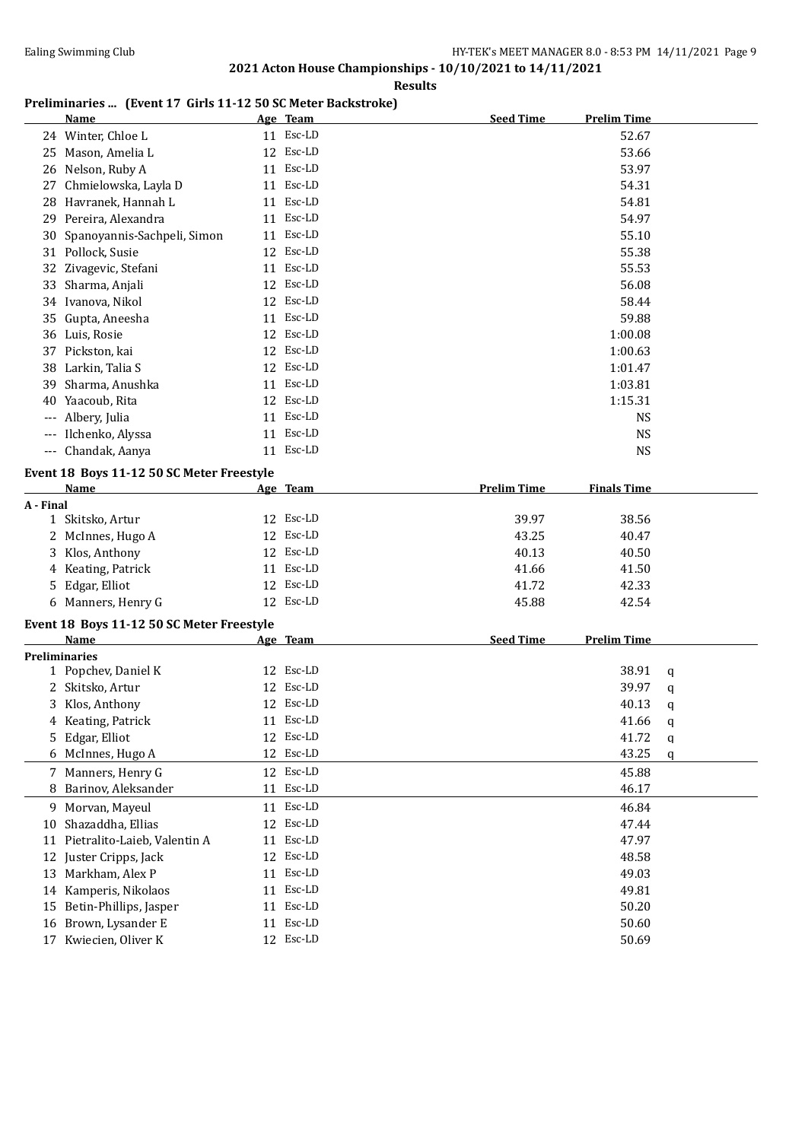#### **Results**

# **Preliminaries ... (Event 17 Girls 11-12 50 SC Meter Backstroke)**

|                      | <b>Name</b>                               | Age Team  | <b>Seed Time</b>   | <b>Prelim Time</b> |   |
|----------------------|-------------------------------------------|-----------|--------------------|--------------------|---|
|                      | 24 Winter, Chloe L                        | 11 Esc-LD |                    | 52.67              |   |
|                      | 25 Mason, Amelia L                        | 12 Esc-LD |                    | 53.66              |   |
|                      | 26 Nelson, Ruby A                         | 11 Esc-LD |                    | 53.97              |   |
|                      | 27 Chmielowska, Layla D                   | 11 Esc-LD |                    | 54.31              |   |
|                      | 28 Havranek, Hannah L                     | 11 Esc-LD |                    | 54.81              |   |
|                      | 29 Pereira, Alexandra                     | 11 Esc-LD |                    | 54.97              |   |
|                      | 30 Spanoyannis-Sachpeli, Simon            | 11 Esc-LD |                    | 55.10              |   |
|                      | 31 Pollock, Susie                         | 12 Esc-LD |                    | 55.38              |   |
|                      | 32 Zivagevic, Stefani                     | 11 Esc-LD |                    | 55.53              |   |
|                      | 33 Sharma, Anjali                         | 12 Esc-LD |                    | 56.08              |   |
|                      | 34 Ivanova, Nikol                         | 12 Esc-LD |                    | 58.44              |   |
|                      | 35 Gupta, Aneesha                         | 11 Esc-LD |                    | 59.88              |   |
|                      | 36 Luis, Rosie                            | 12 Esc-LD |                    | 1:00.08            |   |
|                      | 37 Pickston, kai                          | 12 Esc-LD |                    | 1:00.63            |   |
|                      | 38 Larkin, Talia S                        | 12 Esc-LD |                    | 1:01.47            |   |
| 39                   | Sharma, Anushka                           | 11 Esc-LD |                    | 1:03.81            |   |
|                      | 40 Yaacoub, Rita                          | 12 Esc-LD |                    | 1:15.31            |   |
|                      | Albery, Julia                             | 11 Esc-LD |                    | <b>NS</b>          |   |
|                      | Ilchenko, Alyssa                          | 11 Esc-LD |                    | <b>NS</b>          |   |
|                      | --- Chandak, Aanya                        | 11 Esc-LD |                    | <b>NS</b>          |   |
|                      | Event 18 Boys 11-12 50 SC Meter Freestyle |           |                    |                    |   |
|                      | <b>Name</b>                               | Age Team  | <b>Prelim Time</b> | <b>Finals Time</b> |   |
| A - Final            |                                           |           |                    |                    |   |
|                      | 1 Skitsko, Artur                          | 12 Esc-LD | 39.97              | 38.56              |   |
|                      | 2 McInnes, Hugo A                         | 12 Esc-LD | 43.25              | 40.47              |   |
|                      | 3 Klos, Anthony                           | 12 Esc-LD | 40.13              | 40.50              |   |
|                      | 4 Keating, Patrick                        | 11 Esc-LD | 41.66              | 41.50              |   |
|                      | 5 Edgar, Elliot                           | 12 Esc-LD | 41.72              | 42.33              |   |
|                      | 6 Manners, Henry G                        | 12 Esc-LD | 45.88              | 42.54              |   |
|                      |                                           |           |                    |                    |   |
|                      | Event 18 Boys 11-12 50 SC Meter Freestyle |           |                    |                    |   |
|                      | Name                                      | Age Team  | <b>Seed Time</b>   | <b>Prelim Time</b> |   |
| <b>Preliminaries</b> |                                           | 12 Esc-LD |                    |                    |   |
|                      | 1 Popchev, Daniel K<br>2 Skitsko, Artur   | 12 Esc-LD |                    | 38.91              | q |
|                      |                                           | 12 Esc-LD |                    | 39.97              | q |
|                      | 3 Klos, Anthony                           | 11 Esc-LD |                    | 40.13              | q |
|                      | 4 Keating, Patrick<br>5 Edgar, Elliot     | 12 Esc-LD |                    | 41.66              | q |
|                      |                                           | 12 Esc-LD |                    | 41.72              | q |
|                      | 6 McInnes, Hugo A                         |           |                    | 43.25              | q |
|                      | 7 Manners, Henry G                        | 12 Esc-LD |                    | 45.88              |   |
|                      | 8 Barinov, Aleksander                     | 11 Esc-LD |                    | 46.17              |   |
|                      | 9 Morvan, Mayeul                          | 11 Esc-LD |                    | 46.84              |   |
| 10                   | Shazaddha, Ellias                         | 12 Esc-LD |                    | 47.44              |   |
| 11                   | Pietralito-Laieb, Valentin A              | 11 Esc-LD |                    | 47.97              |   |
| 12                   | Juster Cripps, Jack                       | 12 Esc-LD |                    | 48.58              |   |
|                      | 13 Markham, Alex P                        | 11 Esc-LD |                    | 49.03              |   |
|                      | 14 Kamperis, Nikolaos                     | 11 Esc-LD |                    | 49.81              |   |
|                      | 15 Betin-Phillips, Jasper                 | 11 Esc-LD |                    | 50.20              |   |
|                      | 16 Brown, Lysander E                      | 11 Esc-LD |                    | 50.60              |   |
|                      | 17 Kwiecien, Oliver K                     | 12 Esc-LD |                    | 50.69              |   |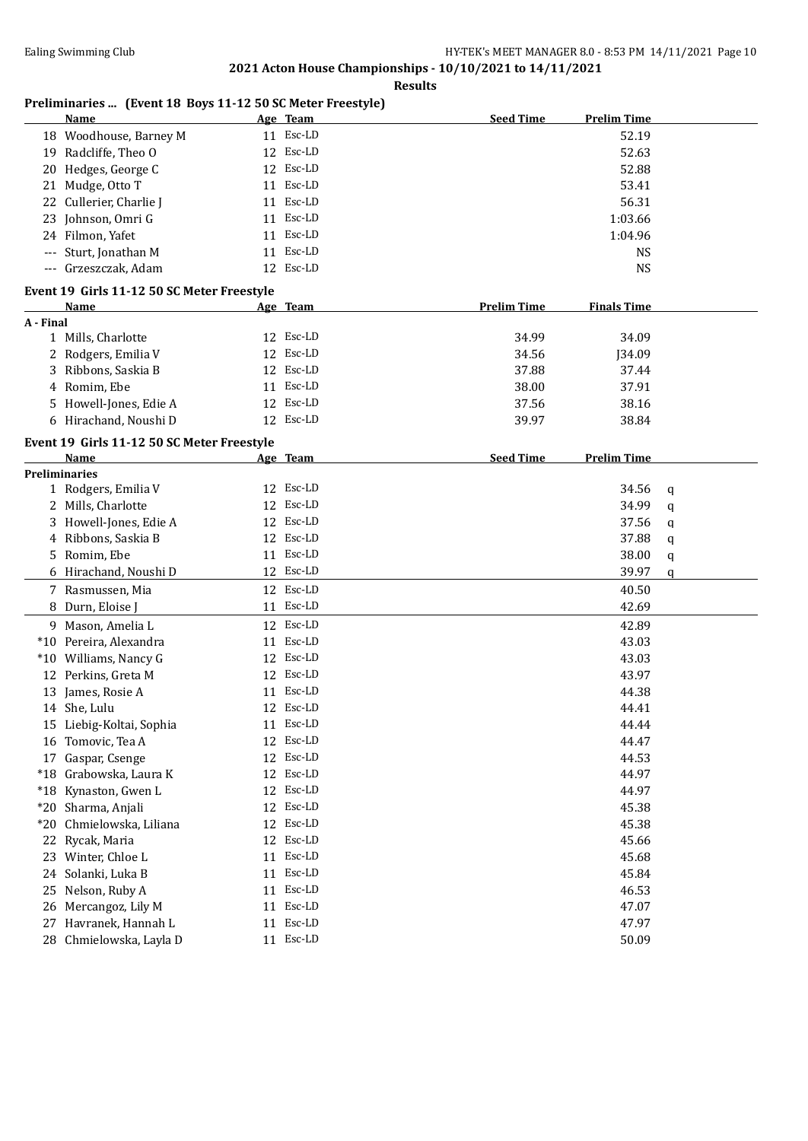**Results**

# **Preliminaries ... (Event 18 Boys 11-12 50 SC Meter Freestyle)**

|           | <b>Name</b>                                |    | Age Team  | <b>Seed Time</b><br><b>Prelim Time</b>   |   |
|-----------|--------------------------------------------|----|-----------|------------------------------------------|---|
|           | 18 Woodhouse, Barney M                     |    | 11 Esc-LD | 52.19                                    |   |
|           | 19 Radcliffe, Theo O                       |    | 12 Esc-LD | 52.63                                    |   |
| 20        | Hedges, George C                           |    | 12 Esc-LD | 52.88                                    |   |
| 21        | Mudge, Otto T                              | 11 | Esc-LD    | 53.41                                    |   |
| 22        | Cullerier, Charlie J                       | 11 | Esc-LD    | 56.31                                    |   |
| 23        | Johnson, Omri G                            | 11 | Esc-LD    | 1:03.66                                  |   |
|           | 24 Filmon, Yafet                           |    | 11 Esc-LD | 1:04.96                                  |   |
|           | Sturt, Jonathan M                          | 11 | Esc-LD    | <b>NS</b>                                |   |
|           | --- Grzeszczak, Adam                       |    | 12 Esc-LD | <b>NS</b>                                |   |
|           |                                            |    |           |                                          |   |
|           | Event 19 Girls 11-12 50 SC Meter Freestyle |    |           |                                          |   |
|           | Name                                       |    | Age Team  | <b>Prelim Time</b><br><b>Finals Time</b> |   |
| A - Final |                                            |    |           |                                          |   |
|           | 1 Mills, Charlotte                         |    | 12 Esc-LD | 34.99<br>34.09                           |   |
|           | 2 Rodgers, Emilia V                        |    | 12 Esc-LD | 34.56<br>J34.09                          |   |
|           | 3 Ribbons, Saskia B                        |    | 12 Esc-LD | 37.88<br>37.44                           |   |
|           | 4 Romim, Ebe                               |    | 11 Esc-LD | 38.00<br>37.91                           |   |
|           | 5 Howell-Jones, Edie A                     |    | 12 Esc-LD | 37.56<br>38.16                           |   |
|           | 6 Hirachand, Noushi D                      |    | 12 Esc-LD | 39.97<br>38.84                           |   |
|           | Event 19 Girls 11-12 50 SC Meter Freestyle |    |           |                                          |   |
|           | Name                                       |    | Age Team  | <b>Seed Time</b><br><b>Prelim Time</b>   |   |
|           | Preliminaries                              |    |           |                                          |   |
|           | 1 Rodgers, Emilia V                        |    | 12 Esc-LD | 34.56                                    | q |
|           | 2 Mills, Charlotte                         |    | 12 Esc-LD | 34.99                                    | q |
|           | 3 Howell-Jones, Edie A                     |    | 12 Esc-LD | 37.56                                    | q |
|           | 4 Ribbons, Saskia B                        |    | 12 Esc-LD | 37.88                                    | q |
|           | 5 Romim, Ebe                               |    | 11 Esc-LD | 38.00                                    | q |
|           | 6 Hirachand, Noushi D                      |    | 12 Esc-LD | 39.97                                    | q |
|           | 7 Rasmussen, Mia                           |    | 12 Esc-LD | 40.50                                    |   |
|           | 8 Durn, Eloise J                           |    | 11 Esc-LD | 42.69                                    |   |
|           | 9 Mason, Amelia L                          |    | 12 Esc-LD | 42.89                                    |   |
|           | *10 Pereira, Alexandra                     |    | 11 Esc-LD | 43.03                                    |   |
|           | *10 Williams, Nancy G                      | 12 | Esc-LD    | 43.03                                    |   |
|           |                                            |    | 12 Esc-LD |                                          |   |
|           | 12 Perkins, Greta M                        |    | 11 Esc-LD | 43.97                                    |   |
|           | 13 James, Rosie A                          |    |           | 44.38                                    |   |
|           | 14 She, Lulu                               |    | 12 Esc-LD | 44.41                                    |   |
|           | 15 Liebig-Koltai, Sophia                   |    | 11 Esc-LD | 44.44                                    |   |
|           | 16 Tomovic, Tea A                          |    | 12 Esc-LD | 44.47                                    |   |
|           | 17 Gaspar, Csenge                          |    | 12 Esc-LD | 44.53                                    |   |
|           | *18 Grabowska, Laura K                     |    | 12 Esc-LD | 44.97                                    |   |
|           | *18 Kynaston, Gwen L                       |    | 12 Esc-LD | 44.97                                    |   |
|           | *20 Sharma, Anjali                         |    | 12 Esc-LD | 45.38                                    |   |
|           | *20 Chmielowska, Liliana                   |    | 12 Esc-LD | 45.38                                    |   |
|           | 22 Rycak, Maria                            |    | 12 Esc-LD | 45.66                                    |   |
|           | 23 Winter, Chloe L                         | 11 | Esc-LD    | 45.68                                    |   |
|           | 24 Solanki, Luka B                         | 11 | Esc-LD    | 45.84                                    |   |
| 25        | Nelson, Ruby A                             | 11 | Esc-LD    | 46.53                                    |   |
|           | 26 Mercangoz, Lily M                       | 11 | Esc-LD    | 47.07                                    |   |
| 27        | Havranek, Hannah L                         | 11 | Esc-LD    | 47.97                                    |   |
|           | 28 Chmielowska, Layla D                    |    | 11 Esc-LD | 50.09                                    |   |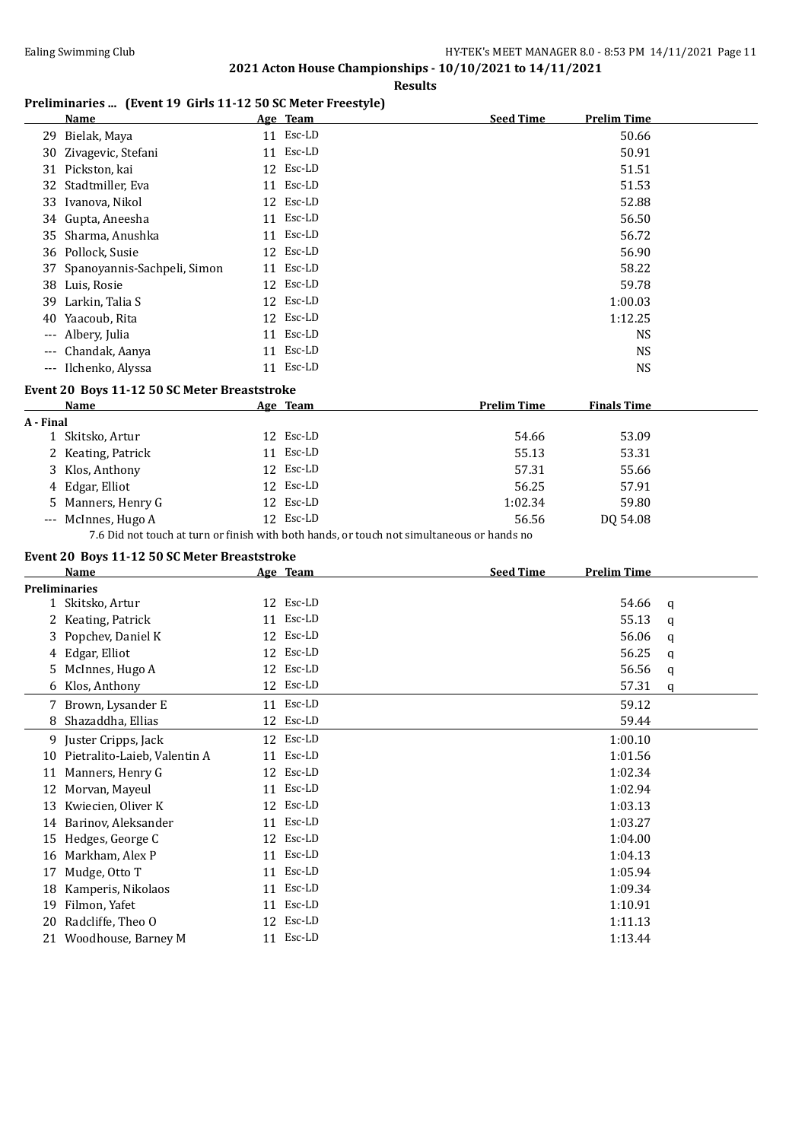**Results**

### **Preliminaries ... (Event 19 Girls 11-12 50 SC Meter Freestyle)**

| Name |                                                                                                                                                                                                                                                                                                                                           | <b>Seed Time</b>                                                                                                                                                                                            | <b>Prelim Time</b> |
|------|-------------------------------------------------------------------------------------------------------------------------------------------------------------------------------------------------------------------------------------------------------------------------------------------------------------------------------------------|-------------------------------------------------------------------------------------------------------------------------------------------------------------------------------------------------------------|--------------------|
|      |                                                                                                                                                                                                                                                                                                                                           |                                                                                                                                                                                                             | 50.66              |
|      |                                                                                                                                                                                                                                                                                                                                           |                                                                                                                                                                                                             | 50.91              |
|      |                                                                                                                                                                                                                                                                                                                                           |                                                                                                                                                                                                             | 51.51              |
|      |                                                                                                                                                                                                                                                                                                                                           |                                                                                                                                                                                                             | 51.53              |
|      |                                                                                                                                                                                                                                                                                                                                           |                                                                                                                                                                                                             | 52.88              |
|      |                                                                                                                                                                                                                                                                                                                                           |                                                                                                                                                                                                             | 56.50              |
|      |                                                                                                                                                                                                                                                                                                                                           |                                                                                                                                                                                                             | 56.72              |
|      |                                                                                                                                                                                                                                                                                                                                           |                                                                                                                                                                                                             | 56.90              |
|      |                                                                                                                                                                                                                                                                                                                                           |                                                                                                                                                                                                             | 58.22              |
|      |                                                                                                                                                                                                                                                                                                                                           |                                                                                                                                                                                                             | 59.78              |
|      |                                                                                                                                                                                                                                                                                                                                           |                                                                                                                                                                                                             | 1:00.03            |
|      |                                                                                                                                                                                                                                                                                                                                           |                                                                                                                                                                                                             | 1:12.25            |
|      |                                                                                                                                                                                                                                                                                                                                           |                                                                                                                                                                                                             | <b>NS</b>          |
|      |                                                                                                                                                                                                                                                                                                                                           |                                                                                                                                                                                                             | <b>NS</b>          |
|      |                                                                                                                                                                                                                                                                                                                                           |                                                                                                                                                                                                             | <b>NS</b>          |
|      | 29 Bielak, Maya<br>30 Zivagevic, Stefani<br>31 Pickston, kai<br>32 Stadtmiller, Eva<br>33 Ivanova, Nikol<br>34 Gupta, Aneesha<br>35 Sharma, Anushka<br>36 Pollock, Susie<br>37 Spanoyannis-Sachpeli, Simon<br>38 Luis, Rosie<br>39 Larkin, Talia S<br>40 Yaacoub, Rita<br>--- Albery, Julia<br>--- Chandak, Aanya<br>--- Ilchenko, Alyssa | Age Team<br>11 Esc-LD<br>11 Esc-LD<br>12 Esc-LD<br>11 Esc-LD<br>12 Esc-LD<br>11 Esc-LD<br>11 Esc-LD<br>12 Esc-LD<br>11 Esc-LD<br>12 Esc-LD<br>12 Esc-LD<br>12 Esc-LD<br>11 Esc-LD<br>11 Esc-LD<br>11 Esc-LD |                    |

### **Event 20 Boys 11-12 50 SC Meter Breaststroke**

| Name                | Age Team                                                                                                                   | <b>Prelim Time</b> | <b>Finals Time</b> |  |
|---------------------|----------------------------------------------------------------------------------------------------------------------------|--------------------|--------------------|--|
| A - Final           |                                                                                                                            |                    |                    |  |
| 1 Skitsko, Artur    | 12 Esc-LD                                                                                                                  | 54.66              | 53.09              |  |
| 2 Keating, Patrick  | 11 Esc-LD                                                                                                                  | 55.13              | 53.31              |  |
| 3 Klos, Anthony     | 12 Esc-LD                                                                                                                  | 57.31              | 55.66              |  |
| 4 Edgar, Elliot     | 12 Esc-LD                                                                                                                  | 56.25              | 57.91              |  |
| 5 Manners, Henry G  | 12 Esc-LD                                                                                                                  | 1:02.34            | 59.80              |  |
| --- McInnes, Hugo A | 12 Esc-LD                                                                                                                  | 56.56              | DO 54.08           |  |
|                     | $\pi$ / $\sim$ 1 $\sim$ 1 $\sim$ $\sim$ 0 $\sim$ 1 $\sim$ 1 $\sim$ 1 $\sim$ 1 $\sim$ 1 $\sim$ 1 $\sim$ 1 $\sim$ 1 $\sim$ 1 |                    |                    |  |

7.6 Did not touch at turn or finish with both hands, or touch not simultaneous or hands no

### **Event 20 Boys 11-12 50 SC Meter Breaststroke**

|    | <b>Name</b>                  | Age Team  | <b>Seed Time</b><br><b>Prelim Time</b> |
|----|------------------------------|-----------|----------------------------------------|
|    | <b>Preliminaries</b>         |           |                                        |
|    | 1 Skitsko, Artur             | 12 Esc-LD | 54.66<br>q                             |
|    | 2 Keating, Patrick           | 11 Esc-LD | 55.13<br>a                             |
|    | 3 Popchev, Daniel K          | 12 Esc-LD | 56.06<br>q                             |
| 4  | Edgar, Elliot                | 12 Esc-LD | 56.25<br>q                             |
| 5. | McInnes, Hugo A              | 12 Esc-LD | 56.56<br>q                             |
|    | 6 Klos, Anthony              | 12 Esc-LD | 57.31<br>q                             |
|    | 7 Brown, Lysander E          | 11 Esc-LD | 59.12                                  |
| 8  | Shazaddha, Ellias            | 12 Esc-LD | 59.44                                  |
|    | 9 Juster Cripps, Jack        | 12 Esc-LD | 1:00.10                                |
| 10 | Pietralito-Laieb, Valentin A | 11 Esc-LD | 1:01.56                                |
| 11 | Manners, Henry G             | 12 Esc-LD | 1:02.34                                |
| 12 | Morvan, Mayeul               | 11 Esc-LD | 1:02.94                                |
| 13 | Kwiecien, Oliver K           | 12 Esc-LD | 1:03.13                                |
| 14 | Barinov, Aleksander          | 11 Esc-LD | 1:03.27                                |
| 15 | Hedges, George C             | 12 Esc-LD | 1:04.00                                |
| 16 | Markham, Alex P              | 11 Esc-LD | 1:04.13                                |
| 17 | Mudge, Otto T                | 11 Esc-LD | 1:05.94                                |
| 18 | Kamperis, Nikolaos           | 11 Esc-LD | 1:09.34                                |
| 19 | Filmon, Yafet                | 11 Esc-LD | 1:10.91                                |
| 20 | Radcliffe, Theo O            | 12 Esc-LD | 1:11.13                                |
|    | 21 Woodhouse, Barney M       | 11 Esc-LD | 1:13.44                                |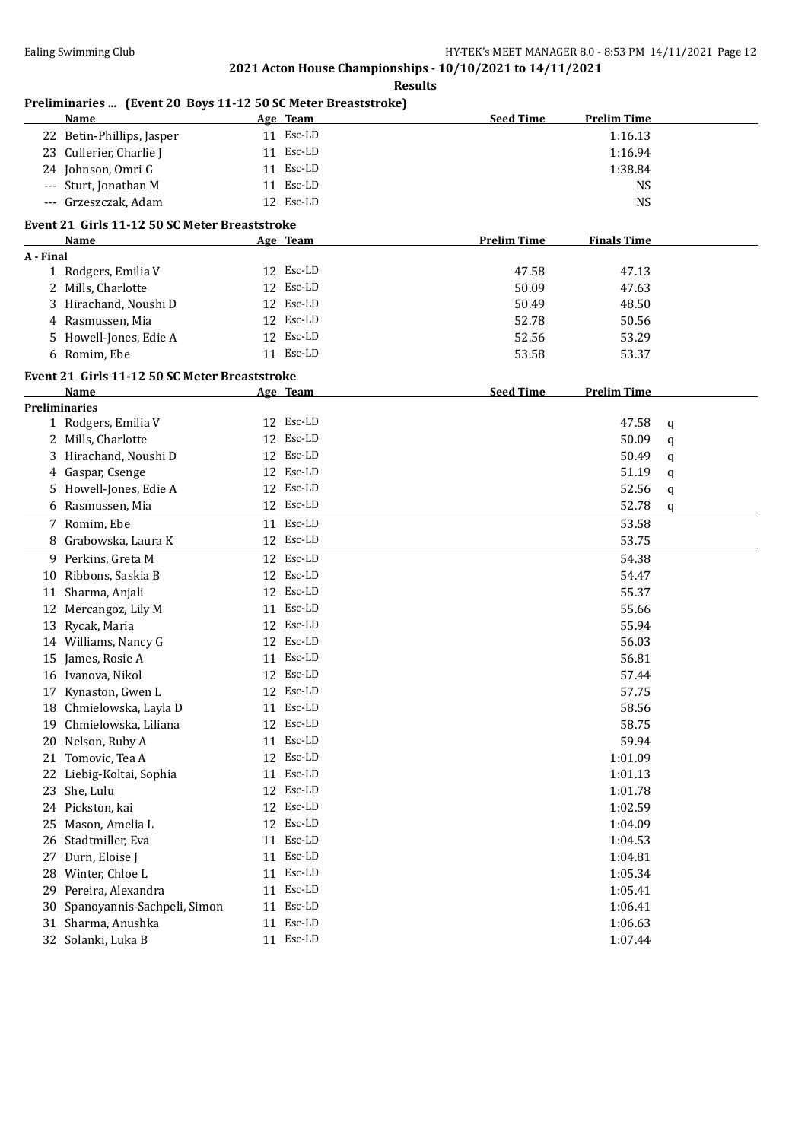| :S1111 |
|--------|
|--------|

### **Preliminaries ... (Event 20 Boys 11-12 50 SC Meter Breaststroke)**

|           | <u>Name</u>                                           |    | Age Team  | <b>Seed Time</b>   | <b>Prelim Time</b> |        |
|-----------|-------------------------------------------------------|----|-----------|--------------------|--------------------|--------|
|           | 22 Betin-Phillips, Jasper                             |    | 11 Esc-LD |                    | 1:16.13            |        |
|           | 23 Cullerier, Charlie J                               |    | 11 Esc-LD |                    | 1:16.94            |        |
|           | 24 Johnson, Omri G                                    |    | 11 Esc-LD |                    | 1:38.84            |        |
|           | --- Sturt, Jonathan M                                 |    | 11 Esc-LD |                    | <b>NS</b>          |        |
|           | --- Grzeszczak, Adam                                  |    | 12 Esc-LD |                    | <b>NS</b>          |        |
|           | Event 21 Girls 11-12 50 SC Meter Breaststroke         |    |           |                    |                    |        |
|           | Name                                                  |    | Age Team  | <b>Prelim Time</b> | <b>Finals Time</b> |        |
| A - Final |                                                       |    |           |                    |                    |        |
|           | 1 Rodgers, Emilia V                                   |    | 12 Esc-LD | 47.58              | 47.13              |        |
|           | 2 Mills, Charlotte                                    |    | 12 Esc-LD | 50.09              | 47.63              |        |
|           | 3 Hirachand, Noushi D                                 | 12 | Esc-LD    | 50.49              | 48.50              |        |
|           | 4 Rasmussen, Mia                                      |    | 12 Esc-LD | 52.78              | 50.56              |        |
|           | 5 Howell-Jones, Edie A                                |    | 12 Esc-LD | 52.56              | 53.29              |        |
|           | 6 Romim, Ebe                                          |    | 11 Esc-LD | 53.58              | 53.37              |        |
|           |                                                       |    |           |                    |                    |        |
|           | Event 21 Girls 11-12 50 SC Meter Breaststroke<br>Name |    | Age Team  | <b>Seed Time</b>   | <b>Prelim Time</b> |        |
|           | <b>Preliminaries</b>                                  |    |           |                    |                    |        |
|           | 1 Rodgers, Emilia V                                   |    | 12 Esc-LD |                    | 47.58              | q      |
|           | 2 Mills, Charlotte                                    |    | 12 Esc-LD |                    | 50.09              | q      |
| 3         | Hirachand, Noushi D                                   |    | 12 Esc-LD |                    | 50.49              | q      |
|           | 4 Gaspar, Csenge                                      |    | 12 Esc-LD |                    | 51.19              | q      |
|           | 5 Howell-Jones, Edie A                                |    | 12 Esc-LD |                    | 52.56              |        |
|           | 6 Rasmussen, Mia                                      |    | 12 Esc-LD |                    | 52.78              | q<br>q |
|           | 7 Romim, Ebe                                          |    | 11 Esc-LD |                    | 53.58              |        |
| 8         |                                                       |    | 12 Esc-LD |                    | 53.75              |        |
|           | Grabowska, Laura K                                    |    |           |                    |                    |        |
|           | 9 Perkins, Greta M                                    |    | 12 Esc-LD |                    | 54.38              |        |
|           | 10 Ribbons, Saskia B                                  |    | 12 Esc-LD |                    | 54.47              |        |
|           | 11 Sharma, Anjali                                     |    | 12 Esc-LD |                    | 55.37              |        |
|           | 12 Mercangoz, Lily M                                  |    | 11 Esc-LD |                    | 55.66              |        |
|           | 13 Rycak, Maria                                       |    | 12 Esc-LD |                    | 55.94              |        |
|           | 14 Williams, Nancy G                                  |    | 12 Esc-LD |                    | 56.03              |        |
|           | 15 James, Rosie A                                     |    | 11 Esc-LD |                    | 56.81              |        |
|           | 16 Ivanova, Nikol                                     |    | 12 Esc-LD |                    | 57.44              |        |
|           | 17 Kynaston, Gwen L                                   |    | 12 Esc-LD |                    | 57.75              |        |
|           | 18 Chmielowska, Layla D                               |    | 11 Esc-LD |                    | 58.56              |        |
|           | 19 Chmielowska, Liliana                               |    | 12 Esc-LD |                    | 58.75              |        |
|           | 20 Nelson, Ruby A                                     |    | 11 Esc-LD |                    | 59.94              |        |
|           | 21 Tomovic, Tea A                                     |    | 12 Esc-LD |                    | 1:01.09            |        |
|           | 22 Liebig-Koltai, Sophia                              |    | 11 Esc-LD |                    | 1:01.13            |        |
|           | 23 She, Lulu                                          |    | 12 Esc-LD |                    | 1:01.78            |        |
|           | 24 Pickston, kai                                      |    | 12 Esc-LD |                    | 1:02.59            |        |
| 25        | Mason, Amelia L                                       |    | 12 Esc-LD |                    | 1:04.09            |        |
|           | 26 Stadtmiller, Eva                                   |    | 11 Esc-LD |                    | 1:04.53            |        |
| 27        | Durn, Eloise J                                        |    | 11 Esc-LD |                    | 1:04.81            |        |
|           | 28 Winter, Chloe L                                    | 11 | Esc-LD    |                    | 1:05.34            |        |
| 29        | Pereira, Alexandra                                    | 11 | Esc-LD    |                    | 1:05.41            |        |
| 30        | Spanoyannis-Sachpeli, Simon                           | 11 | Esc-LD    |                    | 1:06.41            |        |
|           | 31 Sharma, Anushka                                    | 11 | Esc-LD    |                    | 1:06.63            |        |
|           | 32 Solanki, Luka B                                    |    | 11 Esc-LD |                    | 1:07.44            |        |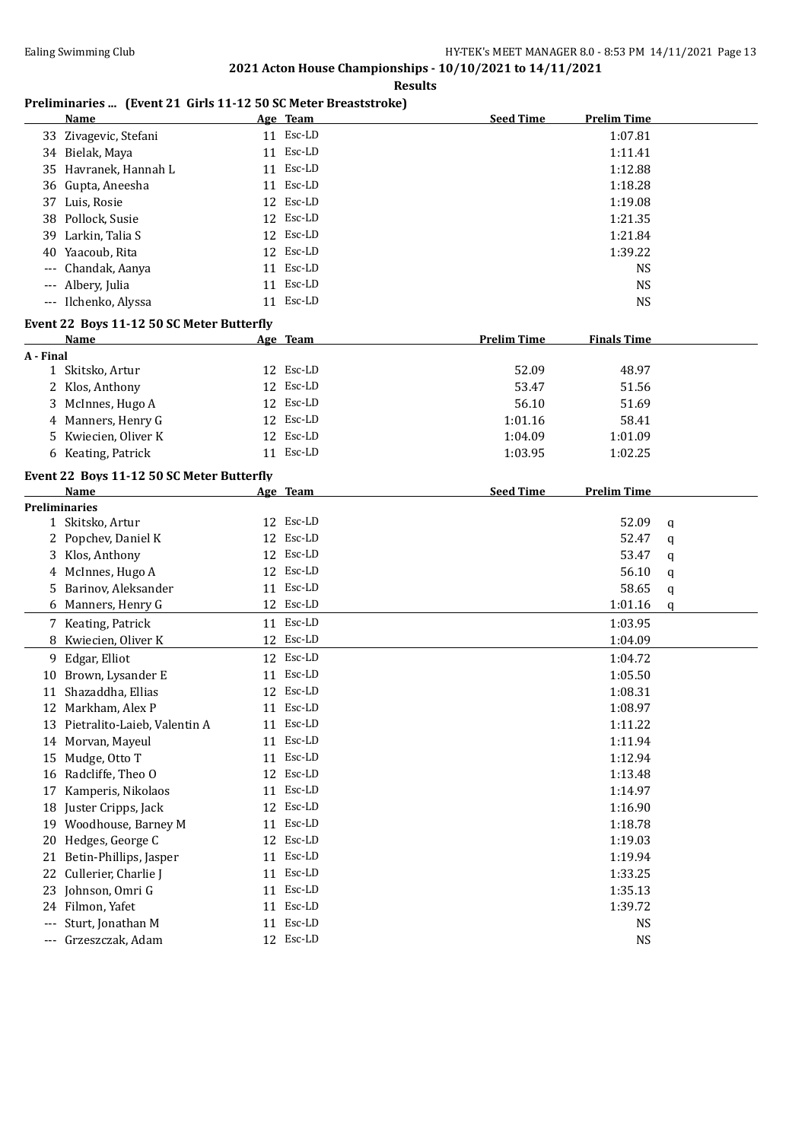**Results**

# **Preliminaries ... (Event 21 Girls 11-12 50 SC Meter Breaststroke)**

|           | <b>Name</b>                               |    | Age Team  | <b>Seed Time</b>   | <b>Prelim Time</b> |   |
|-----------|-------------------------------------------|----|-----------|--------------------|--------------------|---|
|           | 33 Zivagevic, Stefani                     |    | 11 Esc-LD |                    | 1:07.81            |   |
|           | 34 Bielak, Maya                           |    | 11 Esc-LD |                    | 1:11.41            |   |
|           | 35 Havranek, Hannah L                     |    | 11 Esc-LD |                    | 1:12.88            |   |
|           | 36 Gupta, Aneesha                         |    | 11 Esc-LD |                    | 1:18.28            |   |
|           | 37 Luis, Rosie                            |    | 12 Esc-LD |                    | 1:19.08            |   |
|           | 38 Pollock, Susie                         |    | 12 Esc-LD |                    | 1:21.35            |   |
|           | 39 Larkin, Talia S                        |    | 12 Esc-LD |                    | 1:21.84            |   |
|           | 40 Yaacoub, Rita                          |    | 12 Esc-LD |                    | 1:39.22            |   |
|           | Chandak, Aanya                            |    | 11 Esc-LD |                    | <b>NS</b>          |   |
|           | Albery, Julia                             | 11 | Esc-LD    |                    | <b>NS</b>          |   |
|           | --- Ilchenko, Alyssa                      |    | 11 Esc-LD |                    | <b>NS</b>          |   |
|           |                                           |    |           |                    |                    |   |
|           | Event 22 Boys 11-12 50 SC Meter Butterfly |    |           |                    |                    |   |
|           | <b>Name</b>                               |    | Age Team  | <b>Prelim Time</b> | <b>Finals Time</b> |   |
| A - Final |                                           |    | 12 Esc-LD |                    |                    |   |
|           | 1 Skitsko, Artur                          |    |           | 52.09              | 48.97              |   |
|           | 2 Klos, Anthony                           |    | 12 Esc-LD | 53.47              | 51.56              |   |
|           | 3 McInnes, Hugo A                         |    | 12 Esc-LD | 56.10              | 51.69              |   |
|           | 4 Manners, Henry G                        |    | 12 Esc-LD | 1:01.16            | 58.41              |   |
|           | 5 Kwiecien, Oliver K                      |    | 12 Esc-LD | 1:04.09            | 1:01.09            |   |
|           | 6 Keating, Patrick                        |    | 11 Esc-LD | 1:03.95            | 1:02.25            |   |
|           | Event 22 Boys 11-12 50 SC Meter Butterfly |    |           |                    |                    |   |
|           | Name                                      |    | Age Team  | <b>Seed Time</b>   | <b>Prelim Time</b> |   |
|           | <b>Preliminaries</b>                      |    |           |                    |                    |   |
|           | 1 Skitsko, Artur                          |    | 12 Esc-LD |                    | 52.09              | q |
|           | 2 Popchev, Daniel K                       |    | 12 Esc-LD |                    | 52.47              | q |
|           | 3 Klos, Anthony                           |    | 12 Esc-LD |                    | 53.47              | q |
|           | 4 McInnes, Hugo A                         |    | 12 Esc-LD |                    | 56.10              | q |
|           | 5 Barinov, Aleksander                     |    | 11 Esc-LD |                    | 58.65              | q |
|           | 6 Manners, Henry G                        |    | 12 Esc-LD |                    | 1:01.16            | q |
|           | 7 Keating, Patrick                        |    | 11 Esc-LD |                    | 1:03.95            |   |
|           | 8 Kwiecien, Oliver K                      |    | 12 Esc-LD |                    | 1:04.09            |   |
|           | 9 Edgar, Elliot                           |    | 12 Esc-LD |                    | 1:04.72            |   |
|           | 10 Brown, Lysander E                      |    | 11 Esc-LD |                    | 1:05.50            |   |
|           | 11 Shazaddha, Ellias                      |    | 12 Esc-LD |                    | 1:08.31            |   |
|           | 12 Markham, Alex P                        |    | 11 Esc-LD |                    | 1:08.97            |   |
|           | 13 Pietralito-Laieb, Valentin A           |    | 11 Esc-LD |                    | 1:11.22            |   |
|           | 14 Morvan, Mayeul                         |    | 11 Esc-LD |                    | 1:11.94            |   |
| 15        | Mudge, Otto T                             | 11 | Esc-LD    |                    | 1:12.94            |   |
|           | 16 Radcliffe, Theo O                      |    | 12 Esc-LD |                    | 1:13.48            |   |
| 17        | Kamperis, Nikolaos                        |    | 11 Esc-LD |                    | 1:14.97            |   |
|           | 18 Juster Cripps, Jack                    |    | 12 Esc-LD |                    | 1:16.90            |   |
| 19        | Woodhouse, Barney M                       |    | 11 Esc-LD |                    | 1:18.78            |   |
| 20        | Hedges, George C                          |    | 12 Esc-LD |                    | 1:19.03            |   |
|           | Betin-Phillips, Jasper                    |    | 11 Esc-LD |                    | 1:19.94            |   |
| 21<br>22  |                                           |    | 11 Esc-LD |                    |                    |   |
|           | Cullerier, Charlie J                      |    |           |                    | 1:33.25            |   |
| 23        | Johnson, Omri G                           |    | 11 Esc-LD |                    | 1:35.13            |   |
| 24        | Filmon, Yafet                             |    | 11 Esc-LD |                    | 1:39.72            |   |
| ---       | Sturt, Jonathan M                         | 11 | Esc-LD    |                    | <b>NS</b>          |   |
| ---       | Grzeszczak, Adam                          |    | 12 Esc-LD |                    | <b>NS</b>          |   |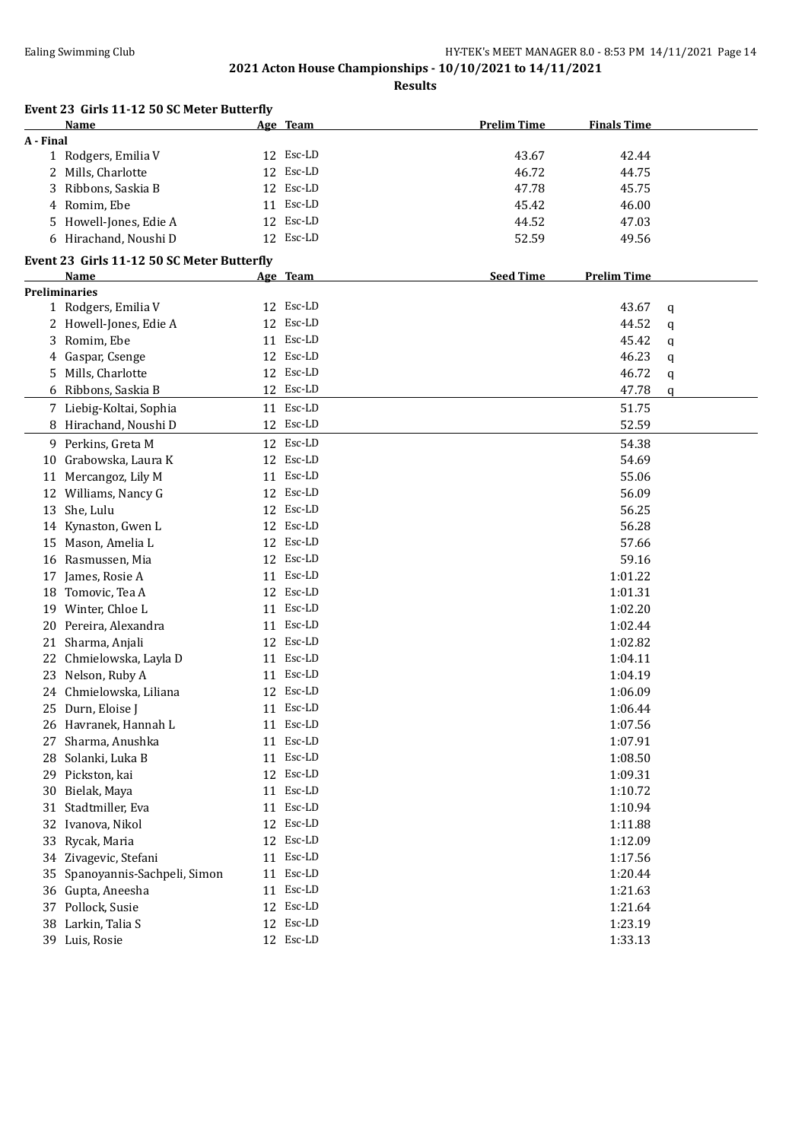|           | Event 23 Girls 11-12 50 SC Meter Butterfly |    |           |                    |                    |   |
|-----------|--------------------------------------------|----|-----------|--------------------|--------------------|---|
|           | Name                                       |    | Age Team  | <b>Prelim Time</b> | <b>Finals Time</b> |   |
| A - Final |                                            |    |           |                    |                    |   |
|           | 1 Rodgers, Emilia V                        |    | 12 Esc-LD | 43.67              | 42.44              |   |
|           | 2 Mills, Charlotte                         |    | 12 Esc-LD | 46.72              | 44.75              |   |
| 3         | Ribbons, Saskia B                          |    | 12 Esc-LD | 47.78              | 45.75              |   |
|           | 4 Romim, Ebe                               |    | 11 Esc-LD | 45.42              | 46.00              |   |
| 5.        | Howell-Jones, Edie A                       |    | 12 Esc-LD | 44.52              | 47.03              |   |
|           | 6 Hirachand, Noushi D                      |    | 12 Esc-LD | 52.59              | 49.56              |   |
|           | Event 23 Girls 11-12 50 SC Meter Butterfly |    |           |                    |                    |   |
|           | Name                                       |    | Age Team  | <b>Seed Time</b>   | <b>Prelim Time</b> |   |
|           | <b>Preliminaries</b>                       |    |           |                    |                    |   |
|           | 1 Rodgers, Emilia V                        |    | 12 Esc-LD |                    | 43.67              | q |
|           | 2 Howell-Jones, Edie A                     |    | 12 Esc-LD |                    | 44.52              | q |
| 3         | Romim, Ebe                                 |    | 11 Esc-LD |                    | 45.42              | q |
|           | 4 Gaspar, Csenge                           |    | 12 Esc-LD |                    | 46.23              | q |
| 5.        | Mills, Charlotte                           |    | 12 Esc-LD |                    | 46.72              | q |
|           | 6 Ribbons, Saskia B                        |    | 12 Esc-LD |                    | 47.78              | q |
|           | 7 Liebig-Koltai, Sophia                    |    | 11 Esc-LD |                    | 51.75              |   |
|           | 8 Hirachand, Noushi D                      |    | 12 Esc-LD |                    | 52.59              |   |
|           | 9 Perkins, Greta M                         |    | 12 Esc-LD |                    | 54.38              |   |
|           | 10 Grabowska, Laura K                      |    | 12 Esc-LD |                    | 54.69              |   |
|           | 11 Mercangoz, Lily M                       |    | 11 Esc-LD |                    | 55.06              |   |
|           | 12 Williams, Nancy G                       |    | 12 Esc-LD |                    | 56.09              |   |
|           | 13 She, Lulu                               |    | 12 Esc-LD |                    | 56.25              |   |
|           |                                            |    | 12 Esc-LD |                    | 56.28              |   |
|           | 14 Kynaston, Gwen L                        |    | 12 Esc-LD |                    |                    |   |
|           | 15 Mason, Amelia L                         |    |           |                    | 57.66              |   |
|           | 16 Rasmussen, Mia                          |    | 12 Esc-LD |                    | 59.16              |   |
|           | 17 James, Rosie A                          |    | 11 Esc-LD |                    | 1:01.22            |   |
|           | 18 Tomovic, Tea A                          |    | 12 Esc-LD |                    | 1:01.31            |   |
|           | 19 Winter, Chloe L                         |    | 11 Esc-LD |                    | 1:02.20            |   |
|           | 20 Pereira, Alexandra                      |    | 11 Esc-LD |                    | 1:02.44            |   |
|           | 21 Sharma, Anjali                          |    | 12 Esc-LD |                    | 1:02.82            |   |
|           | 22 Chmielowska, Layla D                    |    | 11 Esc-LD |                    | 1:04.11            |   |
|           | 23 Nelson, Ruby A                          |    | 11 Esc-LD |                    | 1:04.19            |   |
|           | 24 Chmielowska, Liliana                    |    | 12 Esc-LD |                    | 1:06.09            |   |
|           | 25 Durn, Eloise J                          |    | 11 Esc-LD |                    | 1:06.44            |   |
|           | 26 Havranek, Hannah L                      |    | 11 Esc-LD |                    | 1:07.56            |   |
|           | 27 Sharma, Anushka                         |    | 11 Esc-LD |                    | 1:07.91            |   |
|           | 28 Solanki, Luka B                         |    | 11 Esc-LD |                    | 1:08.50            |   |
|           | 29 Pickston, kai                           |    | 12 Esc-LD |                    | 1:09.31            |   |
|           | 30 Bielak, Maya                            |    | 11 Esc-LD |                    | 1:10.72            |   |
| 31        | Stadtmiller, Eva                           |    | 11 Esc-LD |                    | 1:10.94            |   |
|           | 32 Ivanova, Nikol                          |    | 12 Esc-LD |                    | 1:11.88            |   |
| 33        | Rycak, Maria                               |    | 12 Esc-LD |                    | 1:12.09            |   |
| 34        | Zivagevic, Stefani                         |    | 11 Esc-LD |                    | 1:17.56            |   |
| 35        | Spanoyannis-Sachpeli, Simon                | 11 | Esc-LD    |                    | 1:20.44            |   |
|           | 36 Gupta, Aneesha                          | 11 | Esc-LD    |                    | 1:21.63            |   |
| 37        | Pollock, Susie                             | 12 | Esc-LD    |                    | 1:21.64            |   |
| 38        | Larkin, Talia S                            | 12 | Esc-LD    |                    | 1:23.19            |   |
| 39        | Luis, Rosie                                |    | 12 Esc-LD |                    | 1:33.13            |   |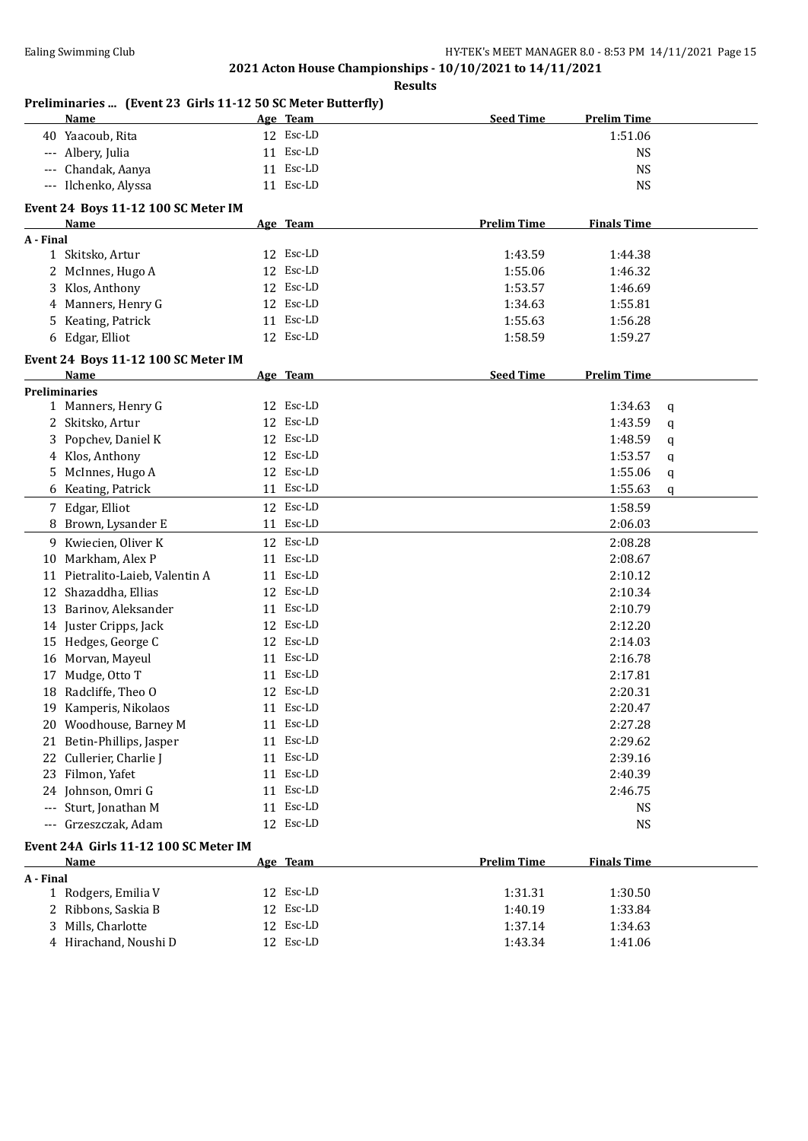| n<br>L<br>51<br>۰. |
|--------------------|
|--------------------|

| Preliminaries  (Event 23 Girls 11-12 50 SC Meter Butterfly)<br>Name | Age Team  | <b>Seed Time</b>   | <b>Prelim Time</b>     |  |
|---------------------------------------------------------------------|-----------|--------------------|------------------------|--|
| 40 Yaacoub, Rita                                                    | 12 Esc-LD |                    | 1:51.06                |  |
| --- Albery, Julia                                                   | 11 Esc-LD |                    | <b>NS</b>              |  |
| Chandak, Aanya<br>$---$                                             | 11 Esc-LD |                    | <b>NS</b>              |  |
| --- Ilchenko, Alyssa                                                | 11 Esc-LD |                    | <b>NS</b>              |  |
| Event 24 Boys 11-12 100 SC Meter IM                                 |           |                    |                        |  |
| Name                                                                | Age Team  | <b>Prelim Time</b> | <b>Finals Time</b>     |  |
| A - Final                                                           |           |                    |                        |  |
| 1 Skitsko, Artur                                                    | 12 Esc-LD | 1:43.59            | 1:44.38                |  |
| 2 McInnes, Hugo A                                                   | 12 Esc-LD | 1:55.06            | 1:46.32                |  |
| Klos, Anthony<br>3                                                  | 12 Esc-LD | 1:53.57            | 1:46.69                |  |
| Manners, Henry G<br>4                                               | 12 Esc-LD | 1:34.63            | 1:55.81                |  |
| Keating, Patrick<br>5                                               | 11 Esc-LD | 1:55.63            | 1:56.28                |  |
| Edgar, Elliot<br>6                                                  | 12 Esc-LD | 1:58.59            | 1:59.27                |  |
| Event 24 Boys 11-12 100 SC Meter IM                                 |           |                    |                        |  |
| Name<br><b>Preliminaries</b>                                        | Age Team  | <b>Seed Time</b>   | <b>Prelim Time</b>     |  |
| 1 Manners, Henry G                                                  | 12 Esc-LD |                    | 1:34.63<br>$\mathbf q$ |  |
| 2 Skitsko, Artur                                                    | 12 Esc-LD |                    | 1:43.59<br>q           |  |
| Popchev, Daniel K<br>3                                              | 12 Esc-LD |                    | 1:48.59<br>q           |  |
| 4 Klos, Anthony                                                     | 12 Esc-LD |                    | 1:53.57                |  |
| 5 McInnes, Hugo A                                                   | 12 Esc-LD |                    | q                      |  |
|                                                                     | 11 Esc-LD |                    | 1:55.06<br>q           |  |
| 6 Keating, Patrick                                                  |           |                    | 1:55.63<br>$\mathbf q$ |  |
| 7 Edgar, Elliot                                                     | 12 Esc-LD |                    | 1:58.59                |  |
| 8 Brown, Lysander E                                                 | 11 Esc-LD |                    | 2:06.03                |  |
| Kwiecien, Oliver K<br>9                                             | 12 Esc-LD |                    | 2:08.28                |  |
| Markham, Alex P<br>10                                               | 11 Esc-LD |                    | 2:08.67                |  |
| 11 Pietralito-Laieb, Valentin A                                     | 11 Esc-LD |                    | 2:10.12                |  |
| Shazaddha, Ellias<br>12                                             | 12 Esc-LD |                    | 2:10.34                |  |
| 13 Barinov, Aleksander                                              | 11 Esc-LD |                    | 2:10.79                |  |
| 14 Juster Cripps, Jack                                              | 12 Esc-LD |                    | 2:12.20                |  |
| 15 Hedges, George C                                                 | 12 Esc-LD |                    | 2:14.03                |  |
| Morvan, Mayeul<br>16                                                | 11 Esc-LD |                    | 2:16.78                |  |
| Mudge, Otto T<br>17                                                 | 11 Esc-LD |                    | 2:17.81                |  |
| Radcliffe, Theo O<br>18                                             | 12 Esc-LD |                    | 2:20.31                |  |
| 19 Kamperis, Nikolaos                                               | 11 Esc-LD |                    | 2:20.47                |  |
| Woodhouse, Barney M<br>20                                           | 11 Esc-LD |                    | 2:27.28                |  |
| Betin-Phillips, Jasper<br>21                                        | 11 Esc-LD |                    | 2:29.62                |  |
| Cullerier, Charlie J<br>22                                          | 11 Esc-LD |                    | 2:39.16                |  |
| 23 Filmon, Yafet                                                    | 11 Esc-LD |                    | 2:40.39                |  |
| 24 Johnson, Omri G                                                  | 11 Esc-LD |                    | 2:46.75                |  |
| Sturt, Jonathan M<br>$\cdots$                                       | 11 Esc-LD |                    | <b>NS</b>              |  |
| Grzeszczak, Adam<br>$-\, -\, -$                                     | 12 Esc-LD |                    | <b>NS</b>              |  |
| Event 24A Girls 11-12 100 SC Meter IM                               |           |                    |                        |  |
| <b>Name</b>                                                         | Age Team  | <b>Prelim Time</b> | <b>Finals Time</b>     |  |
| A - Final                                                           |           |                    |                        |  |
| 1 Rodgers, Emilia V                                                 | 12 Esc-LD | 1:31.31            | 1:30.50                |  |
| 2 Ribbons, Saskia B                                                 | 12 Esc-LD | 1:40.19            | 1:33.84                |  |
| Mills, Charlotte<br>3                                               | 12 Esc-LD | 1:37.14            | 1:34.63                |  |
| 4 Hirachand, Noushi D                                               | 12 Esc-LD | 1:43.34            | 1:41.06                |  |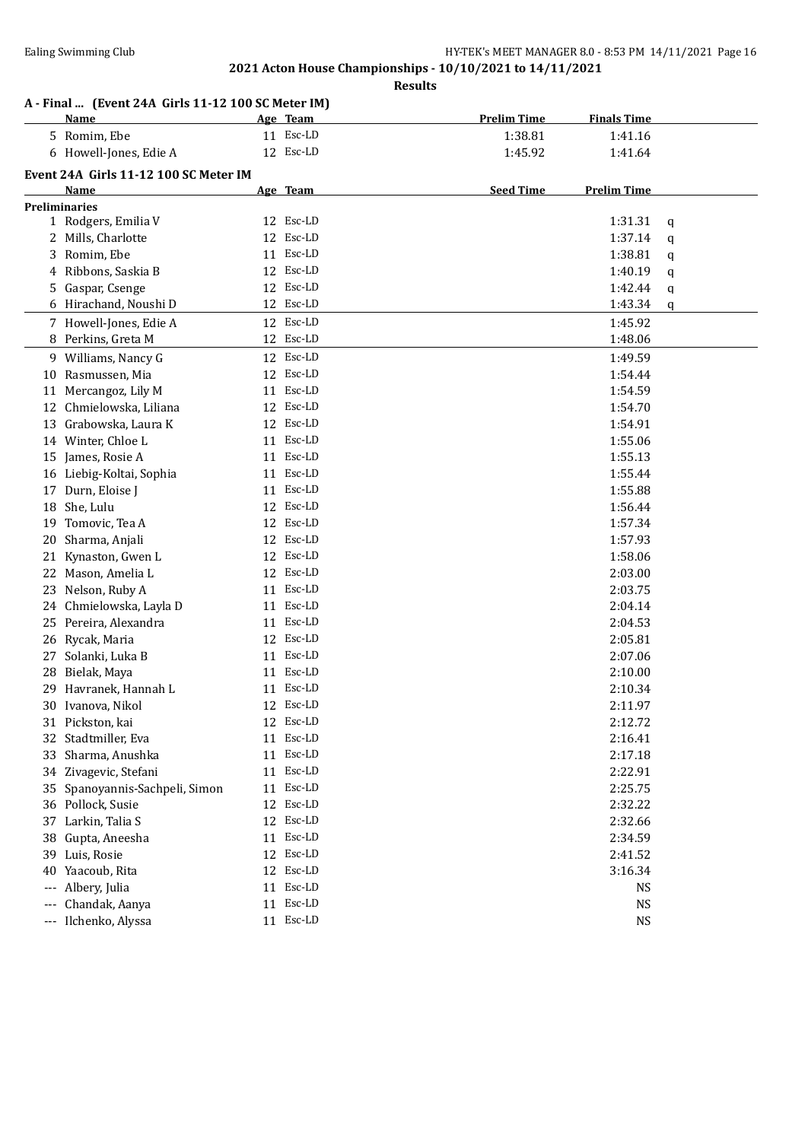|       | A - Final  (Event 24A Girls 11-12 100 SC Meter IM)<br><b>Name</b> | Age Team |                        | <b>Prelim Time</b> | <b>Finals Time</b>     |   |
|-------|-------------------------------------------------------------------|----------|------------------------|--------------------|------------------------|---|
|       | 5 Romim, Ebe                                                      |          | 11 Esc-LD              | 1:38.81            | 1:41.16                |   |
|       | 6 Howell-Jones, Edie A                                            |          | 12 Esc-LD              | 1:45.92            | 1:41.64                |   |
|       | Event 24A Girls 11-12 100 SC Meter IM                             |          |                        |                    |                        |   |
|       | <b>Name</b>                                                       | Age Team |                        | <b>Seed Time</b>   | <b>Prelim Time</b>     |   |
|       | <b>Preliminaries</b>                                              |          |                        |                    |                        |   |
|       | 1 Rodgers, Emilia V                                               |          | 12 Esc-LD              |                    | 1:31.31                | q |
|       | 2 Mills, Charlotte                                                |          | 12 Esc-LD              |                    | 1:37.14                | q |
|       | 3 Romim, Ebe                                                      |          | 11 Esc-LD              |                    | 1:38.81                | q |
| 4     | Ribbons, Saskia B                                                 |          | 12 Esc-LD              |                    | 1:40.19                | q |
|       | 5 Gaspar, Csenge                                                  |          | 12 Esc-LD              |                    | 1:42.44                | q |
|       | 6 Hirachand, Noushi D                                             |          | 12 Esc-LD              |                    | 1:43.34                | q |
|       | 7 Howell-Jones, Edie A                                            |          | 12 Esc-LD              |                    | 1:45.92                |   |
|       | 8 Perkins, Greta M                                                |          | 12 Esc-LD              |                    | 1:48.06                |   |
|       | 9 Williams, Nancy G                                               |          | 12 Esc-LD              |                    | 1:49.59                |   |
|       | 10 Rasmussen, Mia                                                 |          | 12 Esc-LD              |                    | 1:54.44                |   |
|       | 11 Mercangoz, Lily M                                              |          | 11 Esc-LD              |                    | 1:54.59                |   |
|       | 12 Chmielowska, Liliana                                           |          | 12 Esc-LD              |                    | 1:54.70                |   |
|       | 13 Grabowska, Laura K                                             |          | 12 Esc-LD              |                    | 1:54.91                |   |
|       | 14 Winter, Chloe L                                                |          | 11 Esc-LD              |                    | 1:55.06                |   |
|       | James, Rosie A                                                    |          | 11 Esc-LD              |                    | 1:55.13                |   |
| 15    | 16 Liebig-Koltai, Sophia                                          |          | 11 Esc-LD              |                    | 1:55.44                |   |
|       | 17 Durn, Eloise J                                                 |          | 11 Esc-LD              |                    | 1:55.88                |   |
|       | 18 She, Lulu                                                      |          | 12 Esc-LD              |                    | 1:56.44                |   |
| 19    | Tomovic, Tea A                                                    |          | 12 Esc-LD              |                    | 1:57.34                |   |
| 20    | Sharma, Anjali                                                    |          | 12 Esc-LD              |                    | 1:57.93                |   |
| 21    | Kynaston, Gwen L                                                  |          | 12 Esc-LD              |                    | 1:58.06                |   |
|       | 22 Mason, Amelia L                                                |          | 12 Esc-LD              |                    | 2:03.00                |   |
|       | 23 Nelson, Ruby A                                                 | 11       | Esc-LD                 |                    | 2:03.75                |   |
|       | 24 Chmielowska, Layla D                                           |          | 11 Esc-LD              |                    | 2:04.14                |   |
|       | 25 Pereira, Alexandra                                             |          | 11 Esc-LD              |                    | 2:04.53                |   |
|       | 26 Rycak, Maria                                                   |          | 12 Esc-LD              |                    | 2:05.81                |   |
| 27    | Solanki, Luka B                                                   |          | 11 Esc-LD              |                    | 2:07.06                |   |
|       | 28 Bielak, Maya                                                   |          | 11 Esc-LD              |                    | 2:10.00                |   |
|       | 29 Havranek, Hannah L                                             |          | 11 Esc-LD              |                    | 2:10.34                |   |
|       | 30 Ivanova, Nikol                                                 |          | 12 Esc-LD              |                    | 2:11.97                |   |
|       | 31 Pickston, kai                                                  |          | 12 Esc-LD              |                    | 2:12.72                |   |
|       | 32 Stadtmiller, Eva                                               |          | 11 Esc-LD              |                    | 2:16.41                |   |
| 33    | Sharma, Anushka                                                   |          | 11 Esc-LD              |                    | 2:17.18                |   |
| 34    | Zivagevic, Stefani                                                |          | 11 Esc-LD              |                    | 2:22.91                |   |
| 35    | Spanoyannis-Sachpeli, Simon                                       |          | 11 Esc-LD              |                    | 2:25.75                |   |
|       | 36 Pollock, Susie                                                 |          | 12 Esc-LD              |                    | 2:32.22                |   |
| 37    | Larkin, Talia S                                                   | 12       | Esc-LD                 |                    | 2:32.66                |   |
| 38    | Gupta, Aneesha                                                    | 11       | Esc-LD                 |                    | 2:34.59                |   |
| 39    | Luis, Rosie                                                       | 12       | Esc-LD                 |                    | 2:41.52                |   |
| 40    | Yaacoub, Rita                                                     | 12       | Esc-LD                 |                    | 3:16.34                |   |
|       | Albery, Julia                                                     | 11       | Esc-LD                 |                    | <b>NS</b>              |   |
|       |                                                                   |          |                        |                    |                        |   |
|       |                                                                   |          |                        |                    |                        |   |
| $---$ | Chandak, Aanya<br>Ilchenko, Alyssa                                |          | 11 Esc-LD<br>11 Esc-LD |                    | <b>NS</b><br><b>NS</b> |   |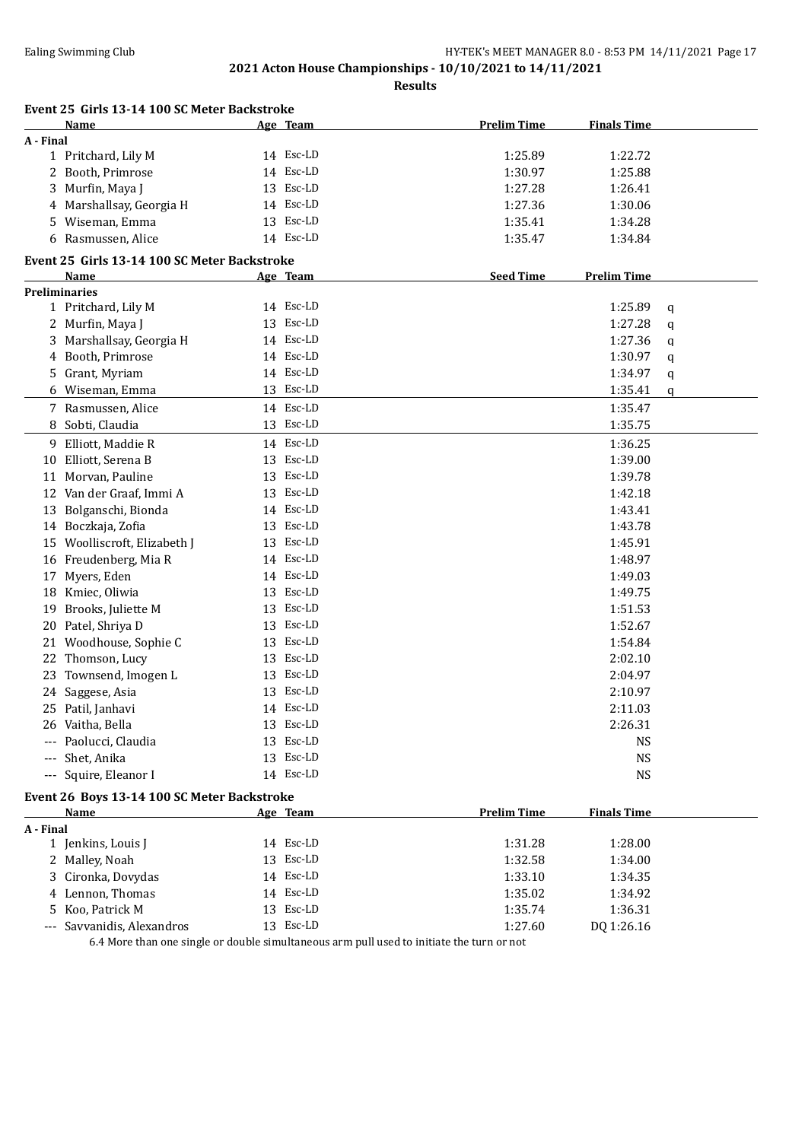**Results**

|           | Event 25 Girls 13-14 100 SC Meter Backstroke |                 |                    |                    |   |
|-----------|----------------------------------------------|-----------------|--------------------|--------------------|---|
|           | Name                                         | Age Team        | <b>Prelim Time</b> | <b>Finals Time</b> |   |
| A - Final |                                              |                 |                    |                    |   |
|           | 1 Pritchard, Lily M                          | 14 Esc-LD       | 1:25.89            | 1:22.72            |   |
|           | 2 Booth, Primrose                            | 14 Esc-LD       | 1:30.97            | 1:25.88            |   |
|           | 3 Murfin, Maya J                             | 13 Esc-LD       | 1:27.28            | 1:26.41            |   |
|           | 4 Marshallsay, Georgia H                     | 14 Esc-LD       | 1:27.36            | 1:30.06            |   |
|           | 5 Wiseman, Emma                              | 13 Esc-LD       | 1:35.41            | 1:34.28            |   |
|           | 6 Rasmussen, Alice                           | 14 Esc-LD       | 1:35.47            | 1:34.84            |   |
|           | Event 25 Girls 13-14 100 SC Meter Backstroke |                 |                    |                    |   |
|           | Name                                         | <u>Age Team</u> | <b>Seed Time</b>   | <b>Prelim Time</b> |   |
|           | <b>Preliminaries</b>                         |                 |                    |                    |   |
|           | 1 Pritchard, Lily M                          | 14 Esc-LD       |                    | 1:25.89            | q |
|           | 2 Murfin, Maya J                             | 13 Esc-LD       |                    | 1:27.28            | q |
| 3.        | Marshallsay, Georgia H                       | 14 Esc-LD       |                    | 1:27.36            | q |
|           | 4 Booth, Primrose                            | 14 Esc-LD       |                    | 1:30.97            | q |
|           | 5 Grant, Myriam                              | 14 Esc-LD       |                    | 1:34.97            | q |
|           | 6 Wiseman, Emma                              | 13 Esc-LD       |                    | 1:35.41            | q |
|           | 7 Rasmussen, Alice                           | 14 Esc-LD       |                    | 1:35.47            |   |
|           | 8 Sobti, Claudia                             | 13 Esc-LD       |                    | 1:35.75            |   |
|           | 9 Elliott, Maddie R                          | 14 Esc-LD       |                    | 1:36.25            |   |
|           | 10 Elliott, Serena B                         | 13 Esc-LD       |                    | 1:39.00            |   |
|           | 11 Morvan, Pauline                           | 13 Esc-LD       |                    | 1:39.78            |   |
|           | 12 Van der Graaf, Immi A                     | 13 Esc-LD       |                    | 1:42.18            |   |
|           | 13 Bolganschi, Bionda                        | 14 Esc-LD       |                    | 1:43.41            |   |
|           | 14 Boczkaja, Zofia                           | 13 Esc-LD       |                    | 1:43.78            |   |
|           | 15 Woolliscroft, Elizabeth J                 | 13 Esc-LD       |                    | 1:45.91            |   |
|           | 16 Freudenberg, Mia R                        | 14 Esc-LD       |                    | 1:48.97            |   |
| 17        | Myers, Eden                                  | 14 Esc-LD       |                    | 1:49.03            |   |
|           | 18 Kmiec, Oliwia                             | 13 Esc-LD       |                    | 1:49.75            |   |
| 19        | Brooks, Juliette M                           | 13 Esc-LD       |                    | 1:51.53            |   |
| 20        | Patel, Shriya D                              | 13 Esc-LD       |                    | 1:52.67            |   |
|           | 21 Woodhouse, Sophie C                       | 13 Esc-LD       |                    | 1:54.84            |   |
|           | 22 Thomson, Lucy                             | 13 Esc-LD       |                    | 2:02.10            |   |
|           | 23 Townsend, Imogen L                        | 13 Esc-LD       |                    | 2:04.97            |   |
|           | 24 Saggese, Asia                             | 13 Esc-LD       |                    | 2:10.97            |   |
|           | 25 Patil, Janhavi                            | 14 Esc-LD       |                    | 2:11.03            |   |
|           | 26 Vaitha, Bella                             | 13 Esc-LD       |                    | 2:26.31            |   |
|           | --- Paolucci, Claudia                        | 13 Esc-LD       |                    | <b>NS</b>          |   |
|           | --- Shet, Anika                              | 13 Esc-LD       |                    | <b>NS</b>          |   |
|           | --- Squire, Eleanor I                        | 14 Esc-LD       |                    | <b>NS</b>          |   |
|           | Event 26 Boys 13-14 100 SC Meter Backstroke  |                 |                    |                    |   |
|           | <b>Name</b>                                  | Age Team        | <b>Prelim Time</b> | <b>Finals Time</b> |   |
| A - Final |                                              |                 |                    |                    |   |
|           | 1 Jenkins, Louis J                           | 14 Esc-LD       | 1:31.28            | 1:28.00            |   |
|           | 2 Malley, Noah                               | 13 Esc-LD       | 1:32.58            | 1:34.00            |   |
|           | 3 Cironka, Dovydas                           | 14 Esc-LD       | 1:33.10            | 1:34.35            |   |
|           | 4 Lennon, Thomas                             | 14 Esc-LD       | 1:35.02            | 1:34.92            |   |
| 5.        | Koo, Patrick M                               | 13 Esc-LD       | 1:35.74            | 1:36.31            |   |
|           | --- Savvanidis, Alexandros                   | 13 Esc-LD       | 1:27.60            | DQ 1:26.16         |   |

6.4 More than one single or double simultaneous arm pull used to initiate the turn or not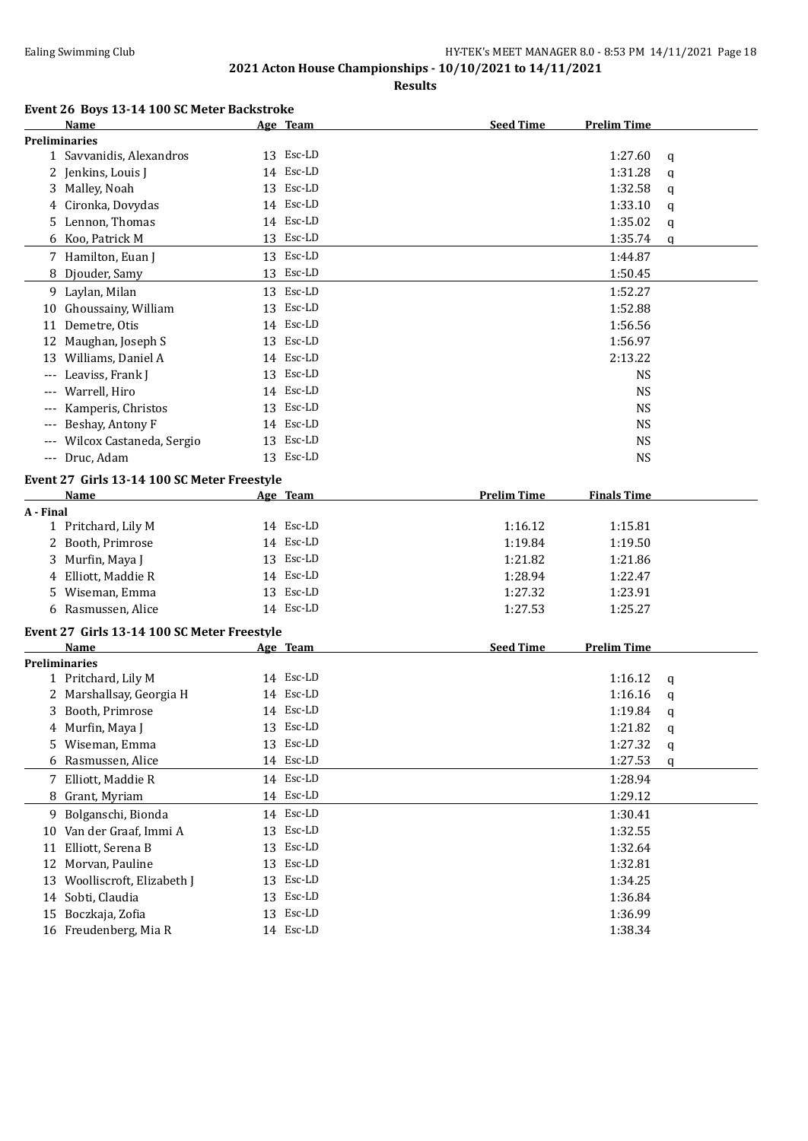|  |  |  |  |  | Event 26 Boys 13-14 100 SC Meter Backstroke |
|--|--|--|--|--|---------------------------------------------|
|--|--|--|--|--|---------------------------------------------|

|           | Name                                        |    | Age Team  | <b>Seed Time</b>   | <b>Prelim Time</b> |   |
|-----------|---------------------------------------------|----|-----------|--------------------|--------------------|---|
|           | <b>Preliminaries</b>                        |    |           |                    |                    |   |
|           | 1 Savvanidis, Alexandros                    |    | 13 Esc-LD |                    | 1:27.60            | q |
|           | 2 Jenkins, Louis J                          |    | 14 Esc-LD |                    | 1:31.28            | q |
|           | 3 Malley, Noah                              |    | 13 Esc-LD |                    | 1:32.58            | q |
|           | 4 Cironka, Dovydas                          |    | 14 Esc-LD |                    | 1:33.10            | q |
|           | 5 Lennon, Thomas                            |    | 14 Esc-LD |                    | 1:35.02            | q |
|           | 6 Koo, Patrick M                            |    | 13 Esc-LD |                    | 1:35.74            | q |
|           | 7 Hamilton, Euan J                          |    | 13 Esc-LD |                    | 1:44.87            |   |
|           | 8 Djouder, Samy                             |    | 13 Esc-LD |                    | 1:50.45            |   |
|           | 9 Laylan, Milan                             |    | 13 Esc-LD |                    | 1:52.27            |   |
|           | 10 Ghoussainy, William                      |    | 13 Esc-LD |                    | 1:52.88            |   |
|           | 11 Demetre, Otis                            |    | 14 Esc-LD |                    | 1:56.56            |   |
| 12        | Maughan, Joseph S                           |    | 13 Esc-LD |                    | 1:56.97            |   |
|           | 13 Williams, Daniel A                       |    | 14 Esc-LD |                    | 2:13.22            |   |
|           | Leaviss, Frank J                            |    | 13 Esc-LD |                    | <b>NS</b>          |   |
|           | Warrell, Hiro                               |    | 14 Esc-LD |                    | <b>NS</b>          |   |
|           | Kamperis, Christos                          |    | 13 Esc-LD |                    | <b>NS</b>          |   |
|           | Beshay, Antony F                            |    | 14 Esc-LD |                    | <b>NS</b>          |   |
| $---$     | Wilcox Castaneda, Sergio                    |    | 13 Esc-LD |                    | <b>NS</b>          |   |
|           | --- Druc, Adam                              |    | 13 Esc-LD |                    | <b>NS</b>          |   |
|           |                                             |    |           |                    |                    |   |
|           | Event 27 Girls 13-14 100 SC Meter Freestyle |    |           |                    |                    |   |
|           | <b>Name</b>                                 |    | Age Team  | <b>Prelim Time</b> | <b>Finals Time</b> |   |
| A - Final |                                             |    |           |                    |                    |   |
|           | 1 Pritchard, Lily M                         |    | 14 Esc-LD | 1:16.12            | 1:15.81            |   |
|           | 2 Booth, Primrose                           |    | 14 Esc-LD | 1:19.84            | 1:19.50            |   |
|           | 3 Murfin, Maya J                            |    | 13 Esc-LD | 1:21.82            | 1:21.86            |   |
|           | 4 Elliott, Maddie R                         |    | 14 Esc-LD | 1:28.94            | 1:22.47            |   |
|           | 5 Wiseman, Emma                             |    | 13 Esc-LD | 1:27.32            | 1:23.91            |   |
|           | 6 Rasmussen, Alice                          |    | 14 Esc-LD | 1:27.53            | 1:25.27            |   |
|           | Event 27 Girls 13-14 100 SC Meter Freestyle |    |           |                    |                    |   |
|           | Name                                        |    | Age Team  | <b>Seed Time</b>   | <b>Prelim Time</b> |   |
|           | <b>Preliminaries</b>                        |    |           |                    |                    |   |
|           | 1 Pritchard, Lily M                         |    | 14 Esc-LD |                    | 1:16.12            | q |
|           | 2 Marshallsay, Georgia H                    |    | 14 Esc-LD |                    | 1:16.16            | q |
|           | 3 Booth, Primrose                           |    | 14 Esc-LD |                    | 1:19.84            | q |
|           | 4 Murfin, Maya J                            |    | 13 Esc-LD |                    | 1:21.82            | q |
|           | 5 Wiseman, Emma                             |    | 13 Esc-LD |                    | 1:27.32            | q |
|           | 6 Rasmussen, Alice                          |    | 14 Esc-LD |                    | 1:27.53            | q |
|           | 7 Elliott, Maddie R                         |    | 14 Esc-LD |                    | 1:28.94            |   |
|           | 8 Grant, Myriam                             |    | 14 Esc-LD |                    | 1:29.12            |   |
| 9         | Bolganschi, Bionda                          |    | 14 Esc-LD |                    | 1:30.41            |   |
|           | 10 Van der Graaf, Immi A                    | 13 | Esc-LD    |                    | 1:32.55            |   |
| 11        | Elliott, Serena B                           | 13 | Esc-LD    |                    | 1:32.64            |   |
|           | 12 Morvan, Pauline                          | 13 | Esc-LD    |                    | 1:32.81            |   |
|           | 13 Woolliscroft, Elizabeth J                | 13 | Esc-LD    |                    | 1:34.25            |   |
|           | 14 Sobti, Claudia                           | 13 | Esc-LD    |                    | 1:36.84            |   |
|           | 15 Boczkaja, Zofia                          |    | 13 Esc-LD |                    | 1:36.99            |   |
|           | 16 Freudenberg, Mia R                       |    | 14 Esc-LD |                    | 1:38.34            |   |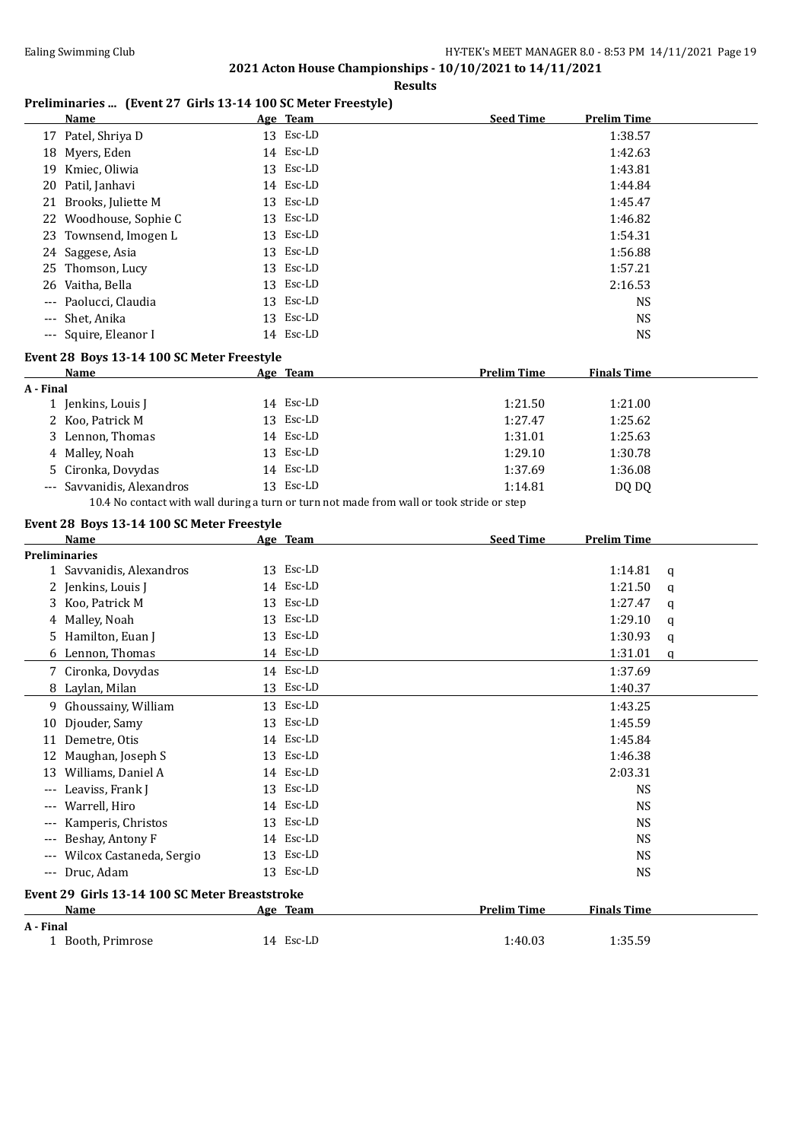#### **Results**

### **Preliminaries ... (Event 27 Girls 13-14 100 SC Meter Freestyle)**

|           | <b>Name</b>                                                                               |    | Age Team  | <b>Seed Time</b>   | <b>Prelim Time</b> |   |
|-----------|-------------------------------------------------------------------------------------------|----|-----------|--------------------|--------------------|---|
|           | 17 Patel, Shriya D                                                                        |    | 13 Esc-LD |                    | 1:38.57            |   |
| 18        | Myers, Eden                                                                               |    | 14 Esc-LD |                    | 1:42.63            |   |
| 19        | Kmiec, Oliwia                                                                             |    | 13 Esc-LD |                    | 1:43.81            |   |
| 20        | Patil, Janhavi                                                                            |    | 14 Esc-LD |                    | 1:44.84            |   |
| 21        | Brooks, Juliette M                                                                        | 13 | Esc-LD    |                    | 1:45.47            |   |
| 22        | Woodhouse, Sophie C                                                                       | 13 | Esc-LD    |                    | 1:46.82            |   |
| 23        | Townsend, Imogen L                                                                        | 13 | Esc-LD    |                    | 1:54.31            |   |
|           | 24 Saggese, Asia                                                                          | 13 | Esc-LD    |                    | 1:56.88            |   |
| 25        | Thomson, Lucy                                                                             |    | 13 Esc-LD |                    | 1:57.21            |   |
| 26        | Vaitha, Bella                                                                             |    | 13 Esc-LD |                    | 2:16.53            |   |
|           | Paolucci, Claudia                                                                         |    | 13 Esc-LD |                    | <b>NS</b>          |   |
|           | Shet, Anika                                                                               |    | 13 Esc-LD |                    | <b>NS</b>          |   |
|           | --- Squire, Eleanor I                                                                     |    | 14 Esc-LD |                    | <b>NS</b>          |   |
|           |                                                                                           |    |           |                    |                    |   |
|           | Event 28 Boys 13-14 100 SC Meter Freestyle<br>Name                                        |    | Age Team  | <b>Prelim Time</b> | <b>Finals Time</b> |   |
| A - Final |                                                                                           |    |           |                    |                    |   |
|           | 1 Jenkins, Louis J                                                                        |    | 14 Esc-LD | 1:21.50            | 1:21.00            |   |
|           | 2 Koo, Patrick M                                                                          |    | 13 Esc-LD | 1:27.47            | 1:25.62            |   |
|           | 3 Lennon, Thomas                                                                          |    | 14 Esc-LD | 1:31.01            | 1:25.63            |   |
|           | Malley, Noah                                                                              |    | 13 Esc-LD | 1:29.10            | 1:30.78            |   |
| 5.        | Cironka, Dovydas                                                                          |    | 14 Esc-LD | 1:37.69            | 1:36.08            |   |
|           | --- Savvanidis, Alexandros                                                                |    | 13 Esc-LD | 1:14.81            | DQ DQ              |   |
|           | 10.4 No contact with wall during a turn or turn not made from wall or took stride or step |    |           |                    |                    |   |
|           |                                                                                           |    |           |                    |                    |   |
|           | Event 28 Boys 13-14 100 SC Meter Freestyle<br>Name                                        |    | Age Team  | <b>Seed Time</b>   | <b>Prelim Time</b> |   |
|           | <b>Preliminaries</b>                                                                      |    |           |                    |                    |   |
|           |                                                                                           |    |           |                    |                    |   |
|           |                                                                                           |    |           |                    |                    |   |
|           | 1 Savvanidis, Alexandros                                                                  |    | 13 Esc-LD |                    | 1:14.81            | q |
|           | 2 Jenkins, Louis J                                                                        |    | 14 Esc-LD |                    | 1:21.50            | q |
|           | 3 Koo, Patrick M                                                                          |    | 13 Esc-LD |                    | 1:27.47            | q |
|           | 4 Malley, Noah                                                                            |    | 13 Esc-LD |                    | 1:29.10            | q |
| 5.        | Hamilton, Euan J                                                                          |    | 13 Esc-LD |                    | 1:30.93            | q |
|           | 6 Lennon, Thomas                                                                          |    | 14 Esc-LD |                    | 1:31.01            | q |
|           | 7 Cironka, Dovydas                                                                        |    | 14 Esc-LD |                    | 1:37.69            |   |
|           | 8 Laylan, Milan                                                                           |    | 13 Esc-LD |                    | 1:40.37            |   |
|           | 9 Ghoussainy, William                                                                     |    | 13 Esc-LD |                    | 1:43.25            |   |
|           | 10 Djouder, Samy                                                                          |    | 13 Esc-LD |                    | 1:45.59            |   |
|           | 11 Demetre, Otis                                                                          |    | 14 Esc-LD |                    | 1:45.84            |   |
|           | 12 Maughan, Joseph S                                                                      |    | 13 Esc-LD |                    | 1:46.38            |   |
|           | 13 Williams, Daniel A                                                                     |    | 14 Esc-LD |                    | 2:03.31            |   |
|           | Leaviss, Frank J                                                                          |    | 13 Esc-LD |                    | <b>NS</b>          |   |
|           | Warrell, Hiro                                                                             |    | 14 Esc-LD |                    | <b>NS</b>          |   |
|           | Kamperis, Christos                                                                        |    | 13 Esc-LD |                    | <b>NS</b>          |   |
|           | Beshay, Antony F                                                                          |    | 14 Esc-LD |                    | NS                 |   |
|           | Wilcox Castaneda, Sergio                                                                  |    | 13 Esc-LD |                    | NS                 |   |
|           | --- Druc, Adam                                                                            |    | 13 Esc-LD |                    | <b>NS</b>          |   |
|           | Event 29 Girls 13-14 100 SC Meter Breaststroke                                            |    |           |                    |                    |   |
|           | Name                                                                                      |    | Age Team  | <b>Prelim Time</b> | <b>Finals Time</b> |   |
| A - Final | 1 Booth, Primrose                                                                         |    | 14 Esc-LD | 1:40.03            | 1:35.59            |   |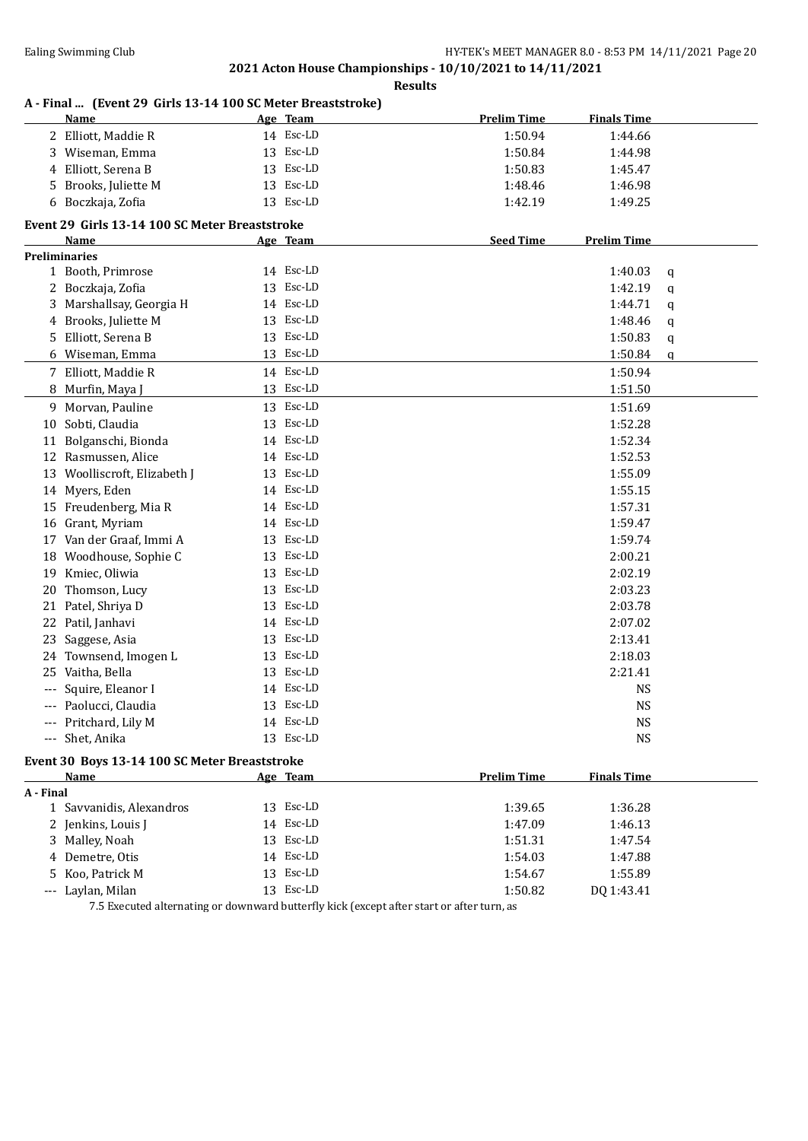**Results**

|           | A - Final  (Event 29 Girls 13-14 100 SC Meter Breaststroke)<br><b>Name</b> | Age Team  | <b>Prelim Time</b> | <b>Finals Time</b> |             |
|-----------|----------------------------------------------------------------------------|-----------|--------------------|--------------------|-------------|
|           | 2 Elliott, Maddie R                                                        | 14 Esc-LD | 1:50.94            | 1:44.66            |             |
| 3         | Wiseman, Emma                                                              | 13 Esc-LD | 1:50.84            | 1:44.98            |             |
| 4         | Elliott, Serena B                                                          | 13 Esc-LD | 1:50.83            | 1:45.47            |             |
| 5         | Brooks, Juliette M                                                         | 13 Esc-LD | 1:48.46            | 1:46.98            |             |
|           | 6 Boczkaja, Zofia                                                          | 13 Esc-LD | 1:42.19            | 1:49.25            |             |
|           |                                                                            |           |                    |                    |             |
|           | Event 29 Girls 13-14 100 SC Meter Breaststroke<br>Name                     | Age Team  | <b>Seed Time</b>   | <b>Prelim Time</b> |             |
|           | <b>Preliminaries</b>                                                       |           |                    |                    |             |
|           | 1 Booth, Primrose                                                          | 14 Esc-LD |                    | 1:40.03            | q           |
|           | 2 Boczkaja, Zofia                                                          | 13 Esc-LD |                    | 1:42.19            | $\mathbf q$ |
| 3         | Marshallsay, Georgia H                                                     | 14 Esc-LD |                    | 1:44.71            | q           |
| 4         | Brooks, Juliette M                                                         | 13 Esc-LD |                    | 1:48.46            |             |
| 5         | Elliott, Serena B                                                          | 13 Esc-LD |                    | 1:50.83            | q           |
|           |                                                                            |           |                    |                    | q           |
|           | 6 Wiseman, Emma                                                            | 13 Esc-LD |                    | 1:50.84            | q           |
|           | 7 Elliott, Maddie R                                                        | 14 Esc-LD |                    | 1:50.94            |             |
| 8         | Murfin, Maya J                                                             | 13 Esc-LD |                    | 1:51.50            |             |
|           | 9 Morvan, Pauline                                                          | 13 Esc-LD |                    | 1:51.69            |             |
| 10        | Sobti, Claudia                                                             | 13 Esc-LD |                    | 1:52.28            |             |
| 11        | Bolganschi, Bionda                                                         | 14 Esc-LD |                    | 1:52.34            |             |
|           | 12 Rasmussen, Alice                                                        | 14 Esc-LD |                    | 1:52.53            |             |
| 13        | Woolliscroft, Elizabeth J                                                  | 13 Esc-LD |                    | 1:55.09            |             |
|           | 14 Myers, Eden                                                             | 14 Esc-LD |                    | 1:55.15            |             |
| 15        | Freudenberg, Mia R                                                         | 14 Esc-LD |                    | 1:57.31            |             |
| 16        | Grant, Myriam                                                              | 14 Esc-LD |                    | 1:59.47            |             |
| 17        | Van der Graaf, Immi A                                                      | 13 Esc-LD |                    | 1:59.74            |             |
| 18        | Woodhouse, Sophie C                                                        | 13 Esc-LD |                    | 2:00.21            |             |
| 19        | Kmiec, Oliwia                                                              | 13 Esc-LD |                    | 2:02.19            |             |
| 20        | Thomson, Lucy                                                              | 13 Esc-LD |                    | 2:03.23            |             |
| 21        | Patel, Shriya D                                                            | 13 Esc-LD |                    | 2:03.78            |             |
| 22        | Patil, Janhavi                                                             | 14 Esc-LD |                    | 2:07.02            |             |
| 23        | Saggese, Asia                                                              | 13 Esc-LD |                    | 2:13.41            |             |
| 24        | Townsend, Imogen L                                                         | 13 Esc-LD |                    | 2:18.03            |             |
| 25        | Vaitha, Bella                                                              | 13 Esc-LD |                    | 2:21.41            |             |
|           | Squire, Eleanor I                                                          | 14 Esc-LD |                    | <b>NS</b>          |             |
|           | --- Paolucci, Claudia                                                      | 13 Esc-LD |                    | <b>NS</b>          |             |
|           | --- Pritchard, Lily M                                                      | 14 Esc-LD |                    | <b>NS</b>          |             |
|           | --- Shet, Anika                                                            | 13 Esc-LD |                    | <b>NS</b>          |             |
|           |                                                                            |           |                    |                    |             |
|           | Event 30 Boys 13-14 100 SC Meter Breaststroke                              |           |                    |                    |             |
|           | <u>Name</u>                                                                | Age Team  | <b>Prelim Time</b> | <b>Finals Time</b> |             |
| A - Final |                                                                            |           |                    |                    |             |
|           | 1 Savvanidis, Alexandros                                                   | 13 Esc-LD | 1:39.65            | 1:36.28            |             |
|           | 2 Jenkins, Louis J                                                         | 14 Esc-LD | 1:47.09            | 1:46.13            |             |
| 3         | Malley, Noah                                                               | 13 Esc-LD | 1:51.31            | 1:47.54            |             |
| 4         | Demetre, Otis                                                              | 14 Esc-LD | 1:54.03            | 1:47.88            |             |
| 5         | Koo, Patrick M                                                             | 13 Esc-LD | 1:54.67            | 1:55.89            |             |
|           | Laylan, Milan                                                              | 13 Esc-LD | 1:50.82            | DQ 1:43.41         |             |

7.5 Executed alternating or downward butterfly kick (except after start or after turn, as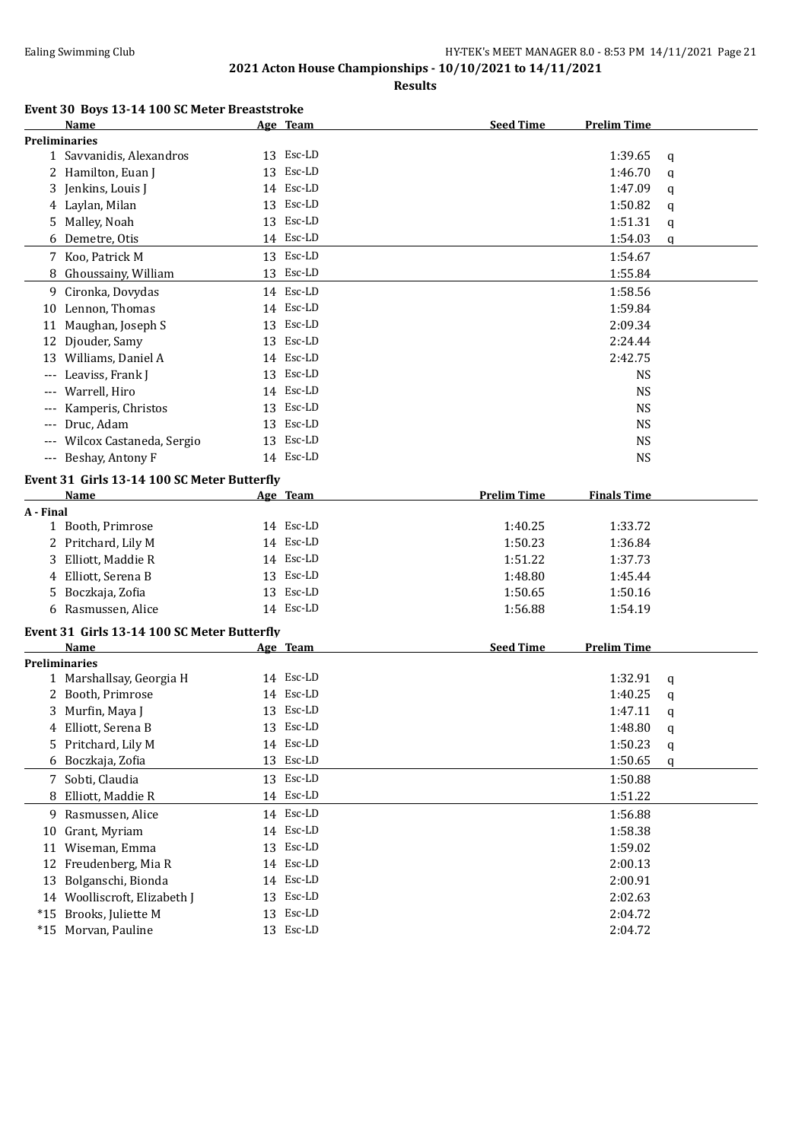| Event 30 Boys 13-14 100 SC Meter Breaststroke |
|-----------------------------------------------|
|-----------------------------------------------|

|           | Name                                        |    | Age Team  | <b>Seed Time</b>   | <b>Prelim Time</b> |   |
|-----------|---------------------------------------------|----|-----------|--------------------|--------------------|---|
|           | <b>Preliminaries</b>                        |    |           |                    |                    |   |
|           | 1 Savvanidis, Alexandros                    |    | 13 Esc-LD |                    | 1:39.65            | q |
|           | 2 Hamilton, Euan J                          | 13 | Esc-LD    |                    | 1:46.70            | q |
|           | 3 Jenkins, Louis J                          |    | 14 Esc-LD |                    | 1:47.09            | q |
|           | 4 Laylan, Milan                             |    | 13 Esc-LD |                    | 1:50.82            | q |
|           | 5 Malley, Noah                              |    | 13 Esc-LD |                    | 1:51.31            | q |
|           | 6 Demetre, Otis                             |    | 14 Esc-LD |                    | 1:54.03            | q |
|           | 7 Koo, Patrick M                            |    | 13 Esc-LD |                    | 1:54.67            |   |
|           | 8 Ghoussainy, William                       |    | 13 Esc-LD |                    | 1:55.84            |   |
|           | 9 Cironka, Dovydas                          |    | 14 Esc-LD |                    | 1:58.56            |   |
|           | 10 Lennon, Thomas                           |    | 14 Esc-LD |                    | 1:59.84            |   |
| 11        | Maughan, Joseph S                           | 13 | Esc-LD    |                    | 2:09.34            |   |
| 12        | Djouder, Samy                               | 13 | Esc-LD    |                    | 2:24.44            |   |
|           | 13 Williams, Daniel A                       |    | 14 Esc-LD |                    | 2:42.75            |   |
|           | Leaviss, Frank J                            | 13 | Esc-LD    |                    | <b>NS</b>          |   |
|           | Warrell, Hiro                               |    | 14 Esc-LD |                    | <b>NS</b>          |   |
|           | Kamperis, Christos                          | 13 | Esc-LD    |                    | <b>NS</b>          |   |
| ---       | Druc, Adam                                  |    | 13 Esc-LD |                    | <b>NS</b>          |   |
| ---       |                                             |    | 13 Esc-LD |                    |                    |   |
| $---$     | Wilcox Castaneda, Sergio                    |    | 14 Esc-LD |                    | <b>NS</b>          |   |
| ---       | Beshay, Antony F                            |    |           |                    | <b>NS</b>          |   |
|           | Event 31 Girls 13-14 100 SC Meter Butterfly |    |           |                    |                    |   |
|           | <b>Name</b>                                 |    | Age Team  | <b>Prelim Time</b> | <b>Finals Time</b> |   |
| A - Final |                                             |    |           |                    |                    |   |
|           | 1 Booth, Primrose                           |    | 14 Esc-LD | 1:40.25            | 1:33.72            |   |
|           | 2 Pritchard, Lily M                         |    | 14 Esc-LD | 1:50.23            | 1:36.84            |   |
|           | 3 Elliott, Maddie R                         |    | 14 Esc-LD | 1:51.22            | 1:37.73            |   |
|           | 4 Elliott, Serena B                         |    | 13 Esc-LD | 1:48.80            | 1:45.44            |   |
|           | 5 Boczkaja, Zofia                           |    | 13 Esc-LD | 1:50.65            | 1:50.16            |   |
|           | 6 Rasmussen, Alice                          |    | 14 Esc-LD | 1:56.88            | 1:54.19            |   |
|           | Event 31 Girls 13-14 100 SC Meter Butterfly |    |           |                    |                    |   |
|           | Name                                        |    | Age Team  | <b>Seed Time</b>   | <b>Prelim Time</b> |   |
|           | <b>Preliminaries</b>                        |    |           |                    |                    |   |
|           | 1 Marshallsay, Georgia H                    |    | 14 Esc-LD |                    | 1:32.91            | q |
|           | 2 Booth, Primrose                           |    | 14 Esc-LD |                    | 1:40.25            | q |
|           | 3 Murfin, Maya J                            |    | 13 Esc-LD |                    | 1:47.11            | q |
|           | 4 Elliott, Serena B                         |    | 13 Esc-LD |                    | 1:48.80            | q |
|           | 5 Pritchard, Lily M                         |    | 14 Esc-LD |                    | 1:50.23            | q |
|           | 6 Boczkaja, Zofia                           |    | 13 Esc-LD |                    | 1:50.65            | q |
|           | 7 Sobti, Claudia                            |    | 13 Esc-LD |                    | 1:50.88            |   |
|           | 8 Elliott, Maddie R                         |    | 14 Esc-LD |                    | 1:51.22            |   |
|           | 9 Rasmussen, Alice                          |    | 14 Esc-LD |                    | 1:56.88            |   |
|           | 10 Grant, Myriam                            |    | 14 Esc-LD |                    | 1:58.38            |   |
|           | 11 Wiseman, Emma                            | 13 | Esc-LD    |                    | 1:59.02            |   |
|           | 12 Freudenberg, Mia R                       |    | 14 Esc-LD |                    | 2:00.13            |   |
|           | 13 Bolganschi, Bionda                       |    | 14 Esc-LD |                    | 2:00.91            |   |
|           | 14 Woolliscroft, Elizabeth J                |    | 13 Esc-LD |                    | 2:02.63            |   |
|           | *15 Brooks, Juliette M                      |    | 13 Esc-LD |                    | 2:04.72            |   |
|           | *15 Morvan, Pauline                         |    | 13 Esc-LD |                    | 2:04.72            |   |
|           |                                             |    |           |                    |                    |   |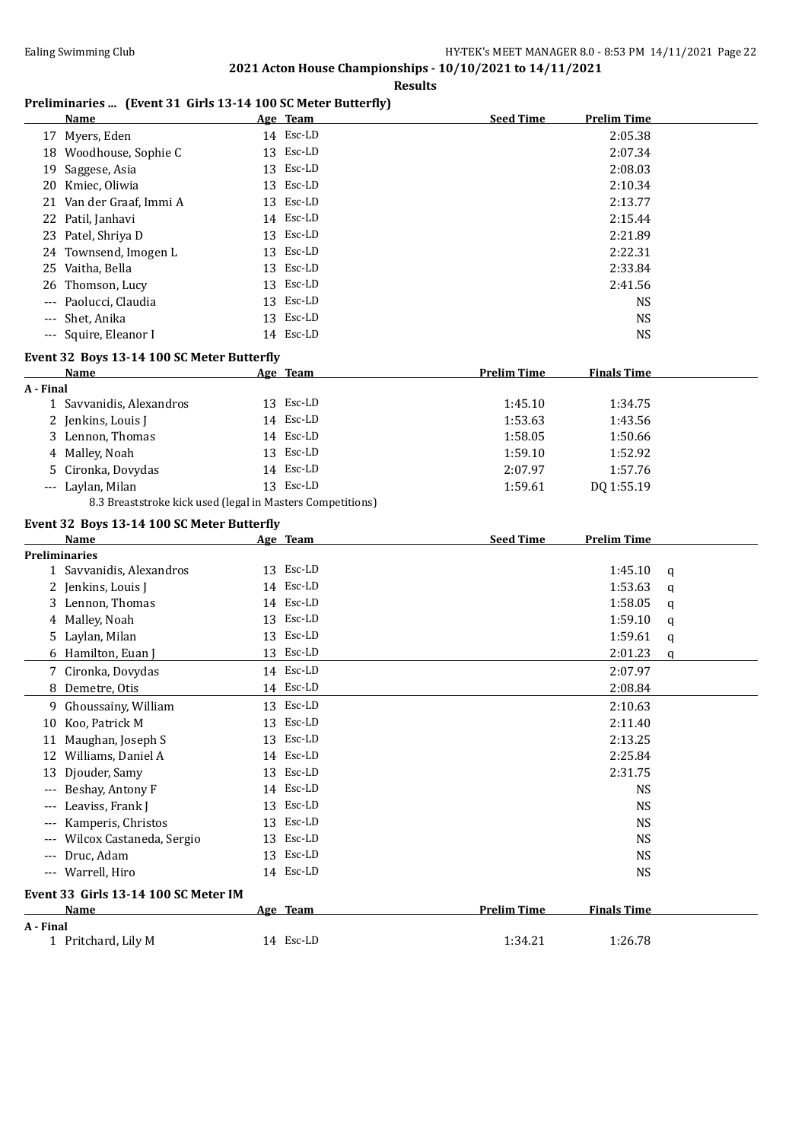#### **Results**

# **Preliminaries ... (Event 31 Girls 13-14 100 SC Meter Butterfly)**

|                     | <b>Name</b>                                                | Age Team  | <b>Seed Time</b>   | <b>Prelim Time</b> |   |
|---------------------|------------------------------------------------------------|-----------|--------------------|--------------------|---|
|                     | 17 Myers, Eden                                             | 14 Esc-LD |                    | 2:05.38            |   |
|                     | 18 Woodhouse, Sophie C                                     | 13 Esc-LD |                    | 2:07.34            |   |
| 19                  | Saggese, Asia                                              | 13 Esc-LD |                    | 2:08.03            |   |
|                     | 20 Kmiec, Oliwia                                           | 13 Esc-LD |                    | 2:10.34            |   |
|                     | 21 Van der Graaf, Immi A                                   | 13 Esc-LD |                    | 2:13.77            |   |
|                     | 22 Patil, Janhavi                                          | 14 Esc-LD |                    | 2:15.44            |   |
|                     | 23 Patel, Shriya D                                         | 13 Esc-LD |                    | 2:21.89            |   |
|                     | 24 Townsend, Imogen L                                      | 13 Esc-LD |                    | 2:22.31            |   |
|                     | 25 Vaitha, Bella                                           | 13 Esc-LD |                    | 2:33.84            |   |
| 26                  | Thomson, Lucy                                              | 13 Esc-LD |                    | 2:41.56            |   |
| ---                 | Paolucci, Claudia                                          | 13 Esc-LD |                    | <b>NS</b>          |   |
| $\qquad \qquad - -$ | Shet, Anika                                                | 13 Esc-LD |                    | <b>NS</b>          |   |
|                     | --- Squire, Eleanor I                                      | 14 Esc-LD |                    | <b>NS</b>          |   |
|                     |                                                            |           |                    |                    |   |
|                     | Event 32 Boys 13-14 100 SC Meter Butterfly<br>Name         |           | <b>Prelim Time</b> | <b>Finals Time</b> |   |
| A - Final           |                                                            | Age Team  |                    |                    |   |
|                     | 1 Savvanidis, Alexandros                                   | 13 Esc-LD | 1:45.10            | 1:34.75            |   |
|                     | 2 Jenkins, Louis J                                         | 14 Esc-LD | 1:53.63            | 1:43.56            |   |
|                     | 3 Lennon, Thomas                                           | 14 Esc-LD | 1:58.05            | 1:50.66            |   |
|                     | 4 Malley, Noah                                             | 13 Esc-LD | 1:59.10            | 1:52.92            |   |
|                     | Cironka, Dovydas                                           | 14 Esc-LD | 2:07.97            | 1:57.76            |   |
|                     | --- Laylan, Milan                                          | 13 Esc-LD | 1:59.61            | DQ 1:55.19         |   |
|                     | 8.3 Breaststroke kick used (legal in Masters Competitions) |           |                    |                    |   |
|                     |                                                            |           |                    |                    |   |
|                     | Event 32 Boys 13-14 100 SC Meter Butterfly<br>Name         | Age Team  | <b>Seed Time</b>   | <b>Prelim Time</b> |   |
|                     | <b>Preliminaries</b>                                       |           |                    |                    |   |
|                     | 1 Savvanidis, Alexandros                                   | 13 Esc-LD |                    | 1:45.10            | q |
|                     | 2 Jenkins, Louis J                                         | 14 Esc-LD |                    | 1:53.63            | q |
|                     | 3 Lennon, Thomas                                           | 14 Esc-LD |                    | 1:58.05            | q |
|                     | 4 Malley, Noah                                             | 13 Esc-LD |                    | 1:59.10            | q |
|                     | 5 Laylan, Milan                                            | 13 Esc-LD |                    | 1:59.61            | q |
|                     | 6 Hamilton, Euan J                                         | 13 Esc-LD |                    | 2:01.23            | q |
|                     | 7 Cironka, Dovydas                                         | 14 Esc-LD |                    | 2:07.97            |   |
|                     | 8 Demetre, Otis                                            | 14 Esc-LD |                    | 2:08.84            |   |
|                     | 9 Ghoussainy, William                                      | 13 Esc-LD |                    | 2:10.63            |   |
|                     | 10 Koo, Patrick M                                          | 13 Esc-LD |                    | 2:11.40            |   |
|                     | 11 Maughan, Joseph S                                       | 13 Esc-LD |                    | 2:13.25            |   |
|                     | 12 Williams, Daniel A                                      | 14 Esc-LD |                    | 2:25.84            |   |
|                     | 13 Djouder, Samy                                           | 13 Esc-LD |                    | 2:31.75            |   |
|                     | Beshay, Antony F                                           | 14 Esc-LD |                    | <b>NS</b>          |   |
|                     | Leaviss, Frank J                                           | 13 Esc-LD |                    | <b>NS</b>          |   |
|                     | Kamperis, Christos                                         | 13 Esc-LD |                    | <b>NS</b>          |   |
|                     | Wilcox Castaneda, Sergio                                   | 13 Esc-LD |                    | <b>NS</b>          |   |
| $---$               | Druc, Adam                                                 | 13 Esc-LD |                    | <b>NS</b>          |   |
| $\cdots$            |                                                            |           |                    |                    |   |
|                     |                                                            |           |                    |                    |   |
|                     | Warrell, Hiro                                              | 14 Esc-LD |                    | <b>NS</b>          |   |
|                     | Event 33 Girls 13-14 100 SC Meter IM                       |           |                    |                    |   |
|                     | Name                                                       | Age Team  | <b>Prelim Time</b> | <b>Finals Time</b> |   |
| A - Final           | 1 Pritchard, Lily M                                        | 14 Esc-LD | 1:34.21            | 1:26.78            |   |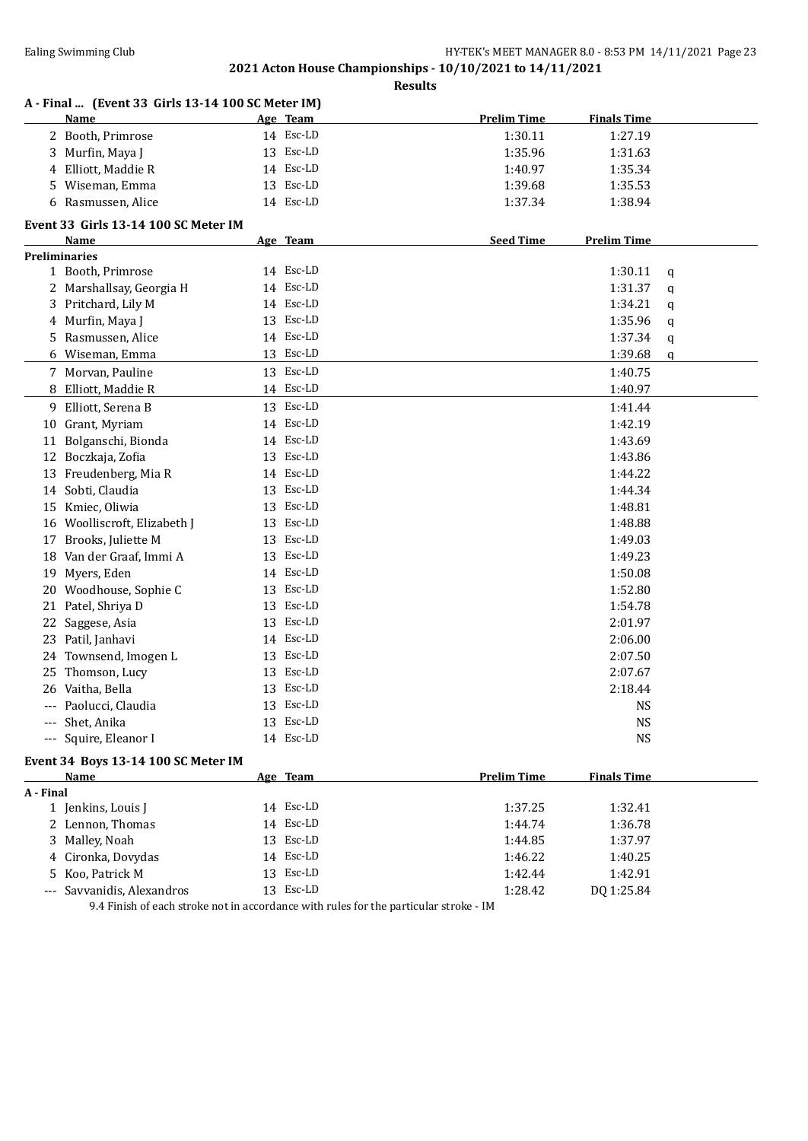**Results**

|           | A - Final  (Event 33 Girls 13-14 100 SC Meter IM)<br>Name |    | Age Team  | <b>Prelim Time</b> | <b>Finals Time</b> |   |
|-----------|-----------------------------------------------------------|----|-----------|--------------------|--------------------|---|
|           |                                                           |    | 14 Esc-LD | 1:30.11            | 1:27.19            |   |
|           | 2 Booth, Primrose                                         |    | 13 Esc-LD |                    |                    |   |
|           | 3 Murfin, Maya J                                          |    |           | 1:35.96            | 1:31.63            |   |
|           | 4 Elliott, Maddie R                                       |    | 14 Esc-LD | 1:40.97            | 1:35.34            |   |
|           | 5 Wiseman, Emma                                           |    | 13 Esc-LD | 1:39.68            | 1:35.53            |   |
| 6         | Rasmussen, Alice                                          |    | 14 Esc-LD | 1:37.34            | 1:38.94            |   |
|           | Event 33 Girls 13-14 100 SC Meter IM                      |    |           |                    |                    |   |
|           | Name                                                      |    | Age Team  | <b>Seed Time</b>   | <b>Prelim Time</b> |   |
|           | <b>Preliminaries</b>                                      |    |           |                    |                    |   |
|           | 1 Booth, Primrose                                         |    | 14 Esc-LD |                    | 1:30.11            | q |
|           | 2 Marshallsay, Georgia H                                  |    | 14 Esc-LD |                    | 1:31.37            | q |
| 3         | Pritchard, Lily M                                         |    | 14 Esc-LD |                    | 1:34.21            | q |
| 4         | Murfin, Maya J                                            |    | 13 Esc-LD |                    | 1:35.96            | q |
| 5         | Rasmussen, Alice                                          |    | 14 Esc-LD |                    | 1:37.34            | q |
|           | 6 Wiseman, Emma                                           |    | 13 Esc-LD |                    | 1:39.68            | q |
|           | 7 Morvan, Pauline                                         |    | 13 Esc-LD |                    | 1:40.75            |   |
|           | 8 Elliott, Maddie R                                       |    | 14 Esc-LD |                    | 1:40.97            |   |
|           | 9 Elliott, Serena B                                       |    | 13 Esc-LD |                    | 1:41.44            |   |
|           | 10 Grant, Myriam                                          |    | 14 Esc-LD |                    | 1:42.19            |   |
| 11        | Bolganschi, Bionda                                        |    | 14 Esc-LD |                    | 1:43.69            |   |
| 12        | Boczkaja, Zofia                                           |    | 13 Esc-LD |                    | 1:43.86            |   |
| 13        | Freudenberg, Mia R                                        |    | 14 Esc-LD |                    | 1:44.22            |   |
| 14        | Sobti, Claudia                                            |    | 13 Esc-LD |                    | 1:44.34            |   |
| 15        | Kmiec, Oliwia                                             |    | 13 Esc-LD |                    | 1:48.81            |   |
| 16        | Woolliscroft, Elizabeth J                                 | 13 | Esc-LD    |                    | 1:48.88            |   |
| 17        | Brooks, Juliette M                                        | 13 | Esc-LD    |                    | 1:49.03            |   |
| 18        | Van der Graaf, Immi A                                     | 13 | Esc-LD    |                    | 1:49.23            |   |
| 19        | Myers, Eden                                               | 14 | Esc-LD    |                    | 1:50.08            |   |
| 20        | Woodhouse, Sophie C                                       | 13 | Esc-LD    |                    | 1:52.80            |   |
| 21        | Patel, Shriya D                                           | 13 | Esc-LD    |                    | 1:54.78            |   |
| 22        | Saggese, Asia                                             | 13 | Esc-LD    |                    | 2:01.97            |   |
| 23        | Patil, Janhavi                                            |    | 14 Esc-LD |                    | 2:06.00            |   |
|           | 24 Townsend, Imogen L                                     |    | 13 Esc-LD |                    | 2:07.50            |   |
| 25        | Thomson, Lucy                                             | 13 | Esc-LD    |                    | 2:07.67            |   |
|           | 26 Vaitha, Bella                                          |    | 13 Esc-LD |                    | 2:18.44            |   |
|           | Paolucci, Claudia                                         |    | 13 Esc-LD |                    | NS                 |   |
|           | Shet, Anika                                               |    | 13 Esc-LD |                    | <b>NS</b>          |   |
| $\cdots$  |                                                           |    | 14 Esc-LD |                    | $_{\rm NS}$        |   |
|           | --- Squire, Eleanor I                                     |    |           |                    |                    |   |
|           | Event 34 Boys 13-14 100 SC Meter IM                       |    |           |                    |                    |   |
|           | Name                                                      |    | Age Team  | <b>Prelim Time</b> | <b>Finals Time</b> |   |
| A - Final |                                                           |    | 14 Esc-LD |                    | 1:32.41            |   |
|           | 1 Jenkins, Louis J                                        |    |           | 1:37.25            |                    |   |
|           | 2 Lennon, Thomas                                          |    | 14 Esc-LD | 1:44.74            | 1:36.78            |   |
| 3         | Malley, Noah                                              |    | 13 Esc-LD | 1:44.85            | 1:37.97            |   |
| 4         | Cironka, Dovydas                                          |    | 14 Esc-LD | 1:46.22            | 1:40.25            |   |
| 5.        | Koo, Patrick M                                            | 13 | Esc-LD    | 1:42.44            | 1:42.91            |   |
| $---$     | Savvanidis, Alexandros                                    |    | 13 Esc-LD | 1:28.42            | DQ 1:25.84         |   |

9.4 Finish of each stroke not in accordance with rules for the particular stroke - IM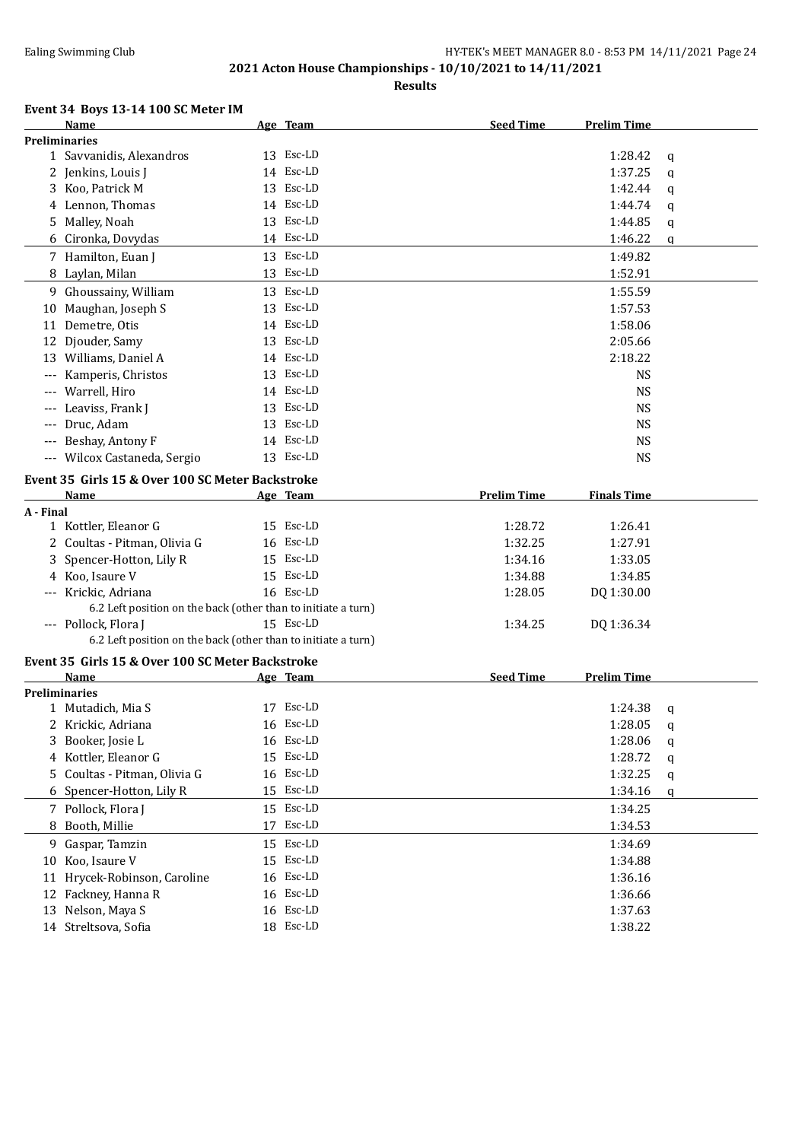**Results**

### **Event 34 Boys 13-14 100 SC Meter IM**

|           | EVENT 34 BOYS 13-14 TOO SC METER IM                           |           |                    |                    |   |
|-----------|---------------------------------------------------------------|-----------|--------------------|--------------------|---|
|           | Name<br><b>Preliminaries</b>                                  | Age Team  | <b>Seed Time</b>   | <b>Prelim Time</b> |   |
|           | 1 Savvanidis, Alexandros                                      | 13 Esc-LD |                    | 1:28.42            | q |
|           | 2 Jenkins, Louis J                                            | 14 Esc-LD |                    | 1:37.25            |   |
|           | 3 Koo, Patrick M                                              | 13 Esc-LD |                    | 1:42.44            | q |
|           | 4 Lennon, Thomas                                              | 14 Esc-LD |                    | 1:44.74            | q |
|           | 5 Malley, Noah                                                | 13 Esc-LD |                    | 1:44.85            | q |
|           | 6 Cironka, Dovydas                                            | 14 Esc-LD |                    | 1:46.22            | q |
|           |                                                               |           |                    |                    | q |
|           | 7 Hamilton, Euan J                                            | 13 Esc-LD |                    | 1:49.82            |   |
|           | 8 Laylan, Milan                                               | 13 Esc-LD |                    | 1:52.91            |   |
|           | 9 Ghoussainy, William                                         | 13 Esc-LD |                    | 1:55.59            |   |
|           | 10 Maughan, Joseph S                                          | 13 Esc-LD |                    | 1:57.53            |   |
|           | 11 Demetre, Otis                                              | 14 Esc-LD |                    | 1:58.06            |   |
|           | 12 Djouder, Samy                                              | 13 Esc-LD |                    | 2:05.66            |   |
|           | 13 Williams, Daniel A                                         | 14 Esc-LD |                    | 2:18.22            |   |
|           | Kamperis, Christos                                            | 13 Esc-LD |                    | <b>NS</b>          |   |
|           | Warrell, Hiro                                                 | 14 Esc-LD |                    | <b>NS</b>          |   |
|           | Leaviss, Frank J                                              | 13 Esc-LD |                    | <b>NS</b>          |   |
|           | Druc, Adam                                                    | 13 Esc-LD |                    | <b>NS</b>          |   |
|           | Beshay, Antony F                                              | 14 Esc-LD |                    | <b>NS</b>          |   |
|           | --- Wilcox Castaneda, Sergio                                  | 13 Esc-LD |                    | <b>NS</b>          |   |
|           | Event 35 Girls 15 & Over 100 SC Meter Backstroke              |           |                    |                    |   |
|           | Name                                                          | Age Team  | <b>Prelim Time</b> | <b>Finals Time</b> |   |
| A - Final |                                                               |           |                    |                    |   |
|           | 1 Kottler, Eleanor G                                          | 15 Esc-LD | 1:28.72            | 1:26.41            |   |
|           | 2 Coultas - Pitman, Olivia G                                  | 16 Esc-LD | 1:32.25            | 1:27.91            |   |
|           | 3 Spencer-Hotton, Lily R                                      | 15 Esc-LD | 1:34.16            | 1:33.05            |   |
|           | 4 Koo, Isaure V                                               | 15 Esc-LD | 1:34.88            | 1:34.85            |   |
|           | --- Krickic, Adriana                                          | 16 Esc-LD | 1:28.05            | DQ 1:30.00         |   |
|           | 6.2 Left position on the back (other than to initiate a turn) |           |                    |                    |   |
|           | --- Pollock, Flora J                                          | 15 Esc-LD | 1:34.25            | DQ 1:36.34         |   |
|           | 6.2 Left position on the back (other than to initiate a turn) |           |                    |                    |   |
|           | Event 35 Girls 15 & Over 100 SC Meter Backstroke              |           |                    |                    |   |
|           | Name                                                          | Age Team  | <b>Seed Time</b>   | <b>Prelim Time</b> |   |
|           | <b>Preliminaries</b>                                          |           |                    |                    |   |
|           | 1 Mutadich, Mia S                                             | 17 Esc-LD |                    | 1:24.38            | q |
| 2         | Krickic, Adriana                                              | 16 Esc-LD |                    | 1:28.05            | q |
| 3         | Booker, Josie L                                               | 16 Esc-LD |                    | 1:28.06            | q |
| 4         | Kottler, Eleanor G                                            | 15 Esc-LD |                    | 1:28.72            | q |
| 5.        | Coultas - Pitman, Olivia G                                    | 16 Esc-LD |                    | 1:32.25            | q |
|           | 6 Spencer-Hotton, Lily R                                      | 15 Esc-LD |                    | 1:34.16            | q |
|           |                                                               | 15 Esc-LD |                    |                    |   |
|           | 7 Pollock, Flora J                                            | 17 Esc-LD |                    | 1:34.25            |   |
|           | 8 Booth, Millie                                               |           |                    | 1:34.53            |   |
|           | 9 Gaspar, Tamzin                                              | 15 Esc-LD |                    | 1:34.69            |   |
| 10        | Koo, Isaure V                                                 | 15 Esc-LD |                    | 1:34.88            |   |
| 11        | Hrycek-Robinson, Caroline                                     | 16 Esc-LD |                    | 1:36.16            |   |
|           | 12 Fackney, Hanna R                                           | 16 Esc-LD |                    | 1:36.66            |   |
| 13        | Nelson, Maya S                                                | 16 Esc-LD |                    | 1:37.63            |   |
|           | 14 Streltsova, Sofia                                          | 18 Esc-LD |                    | 1:38.22            |   |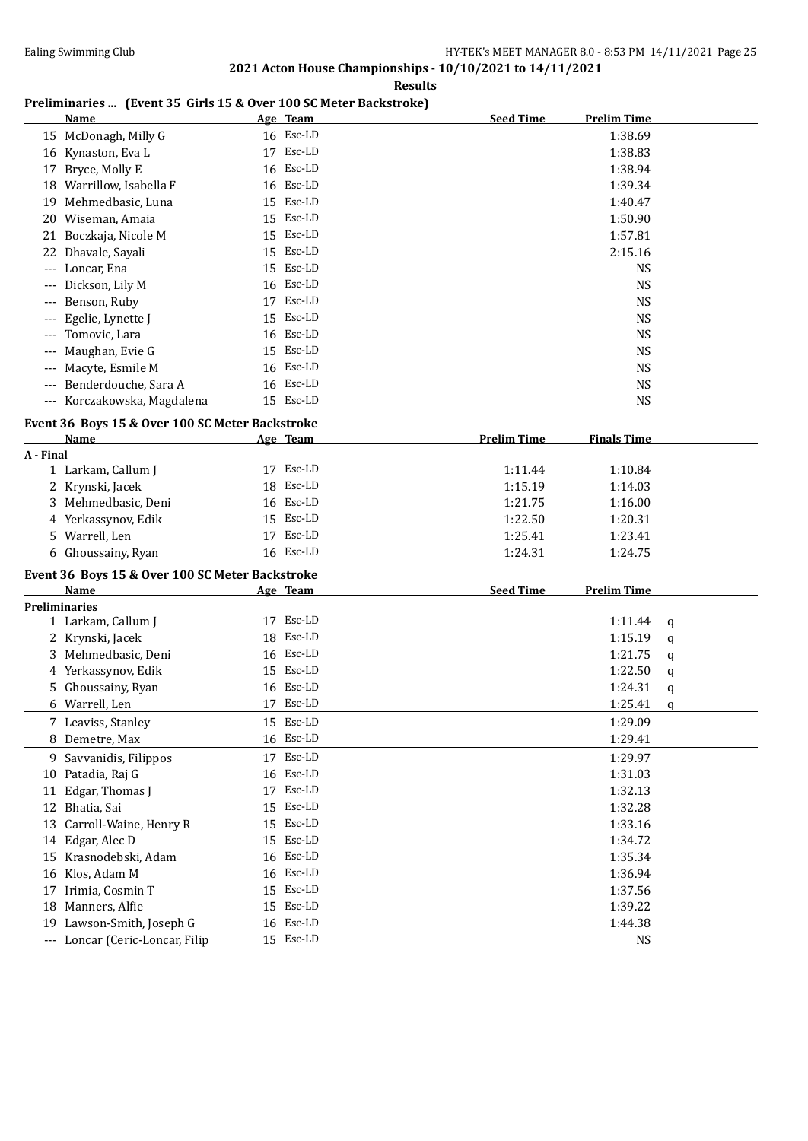**Results**

# **Preliminaries ... (Event 35 Girls 15 & Over 100 SC Meter Backstroke)**

|           | <b>Name</b>                                     |    | Age Team  | <b>Seed Time</b>   | <b>Prelim Time</b> |   |
|-----------|-------------------------------------------------|----|-----------|--------------------|--------------------|---|
|           | 15 McDonagh, Milly G                            |    | 16 Esc-LD |                    | 1:38.69            |   |
|           | 16 Kynaston, Eva L                              |    | 17 Esc-LD |                    | 1:38.83            |   |
|           | 17 Bryce, Molly E                               |    | 16 Esc-LD |                    | 1:38.94            |   |
|           | 18 Warrillow, Isabella F                        |    | 16 Esc-LD |                    | 1:39.34            |   |
|           | 19 Mehmedbasic, Luna                            |    | 15 Esc-LD |                    | 1:40.47            |   |
|           | 20 Wiseman, Amaia                               |    | 15 Esc-LD |                    | 1:50.90            |   |
|           | 21 Boczkaja, Nicole M                           |    | 15 Esc-LD |                    | 1:57.81            |   |
|           | 22 Dhavale, Sayali                              |    | 15 Esc-LD |                    | 2:15.16            |   |
|           | --- Loncar, Ena                                 |    | 15 Esc-LD |                    | <b>NS</b>          |   |
|           | Dickson, Lily M                                 |    | 16 Esc-LD |                    | <b>NS</b>          |   |
|           | Benson, Ruby                                    |    | 17 Esc-LD |                    | <b>NS</b>          |   |
|           | Egelie, Lynette J                               |    | 15 Esc-LD |                    | <b>NS</b>          |   |
|           | Tomovic, Lara                                   |    | 16 Esc-LD |                    | <b>NS</b>          |   |
|           | Maughan, Evie G                                 |    | 15 Esc-LD |                    | <b>NS</b>          |   |
|           |                                                 |    | 16 Esc-LD |                    |                    |   |
|           | Macyte, Esmile M                                |    | 16 Esc-LD |                    | <b>NS</b>          |   |
|           | --- Benderdouche, Sara A                        |    |           |                    | <b>NS</b>          |   |
|           | --- Korczakowska, Magdalena                     |    | 15 Esc-LD |                    | <b>NS</b>          |   |
|           | Event 36 Boys 15 & Over 100 SC Meter Backstroke |    |           |                    |                    |   |
|           | <b>Name</b>                                     |    | Age Team  | <b>Prelim Time</b> | <b>Finals Time</b> |   |
| A - Final |                                                 |    |           |                    |                    |   |
|           | 1 Larkam, Callum J                              |    | 17 Esc-LD | 1:11.44            | 1:10.84            |   |
|           | 2 Krynski, Jacek                                |    | 18 Esc-LD | 1:15.19            | 1:14.03            |   |
| 3         | Mehmedbasic, Deni                               |    | 16 Esc-LD | 1:21.75            | 1:16.00            |   |
|           | 4 Yerkassynov, Edik                             |    | 15 Esc-LD | 1:22.50            | 1:20.31            |   |
|           | 5 Warrell, Len                                  |    | 17 Esc-LD | 1:25.41            | 1:23.41            |   |
|           | 6 Ghoussainy, Ryan                              |    | 16 Esc-LD | 1:24.31            | 1:24.75            |   |
|           | Event 36 Boys 15 & Over 100 SC Meter Backstroke |    |           |                    |                    |   |
|           | Name                                            |    | Age Team  | <b>Seed Time</b>   | <b>Prelim Time</b> |   |
|           | <b>Preliminaries</b>                            |    |           |                    |                    |   |
|           | 1 Larkam, Callum J                              |    | 17 Esc-LD |                    | 1:11.44            | q |
|           | 2 Krynski, Jacek                                |    | 18 Esc-LD |                    | 1:15.19            | q |
|           | 3 Mehmedbasic, Deni                             |    | 16 Esc-LD |                    | 1:21.75            | q |
|           | 4 Yerkassynov, Edik                             |    | 15 Esc-LD |                    | 1:22.50            | q |
|           | 5 Ghoussainy, Ryan                              |    | 16 Esc-LD |                    | 1:24.31            | q |
|           | 6 Warrell, Len                                  |    | 17 Esc-LD |                    | 1:25.41            | q |
|           | 7 Leaviss, Stanley                              |    | 15 Esc-LD |                    | 1:29.09            |   |
|           | 8 Demetre, Max                                  |    | 16 Esc-LD |                    | 1:29.41            |   |
|           | 9 Savvanidis, Filippos                          |    | 17 Esc-LD |                    | 1:29.97            |   |
|           | 10 Patadia, Raj G                               |    | 16 Esc-LD |                    | 1:31.03            |   |
| 11        | Edgar, Thomas J                                 | 17 | Esc-LD    |                    | 1:32.13            |   |
|           | 12 Bhatia, Sai                                  | 15 | Esc-LD    |                    | 1:32.28            |   |
| 13        | Carroll-Waine, Henry R                          | 15 | Esc-LD    |                    | 1:33.16            |   |
|           | 14 Edgar, Alec D                                | 15 | Esc-LD    |                    | 1:34.72            |   |
| 15        | Krasnodebski, Adam                              | 16 | Esc-LD    |                    | 1:35.34            |   |
|           | 16 Klos, Adam M                                 |    | 16 Esc-LD |                    | 1:36.94            |   |
|           | 17 Irimia, Cosmin T                             |    | 15 Esc-LD |                    | 1:37.56            |   |
|           | 18 Manners, Alfie                               |    | 15 Esc-LD |                    | 1:39.22            |   |
|           | 19 Lawson-Smith, Joseph G                       | 16 | Esc-LD    |                    | 1:44.38            |   |
|           | --- Loncar (Ceric-Loncar, Filip                 |    | 15 Esc-LD |                    | <b>NS</b>          |   |
|           |                                                 |    |           |                    |                    |   |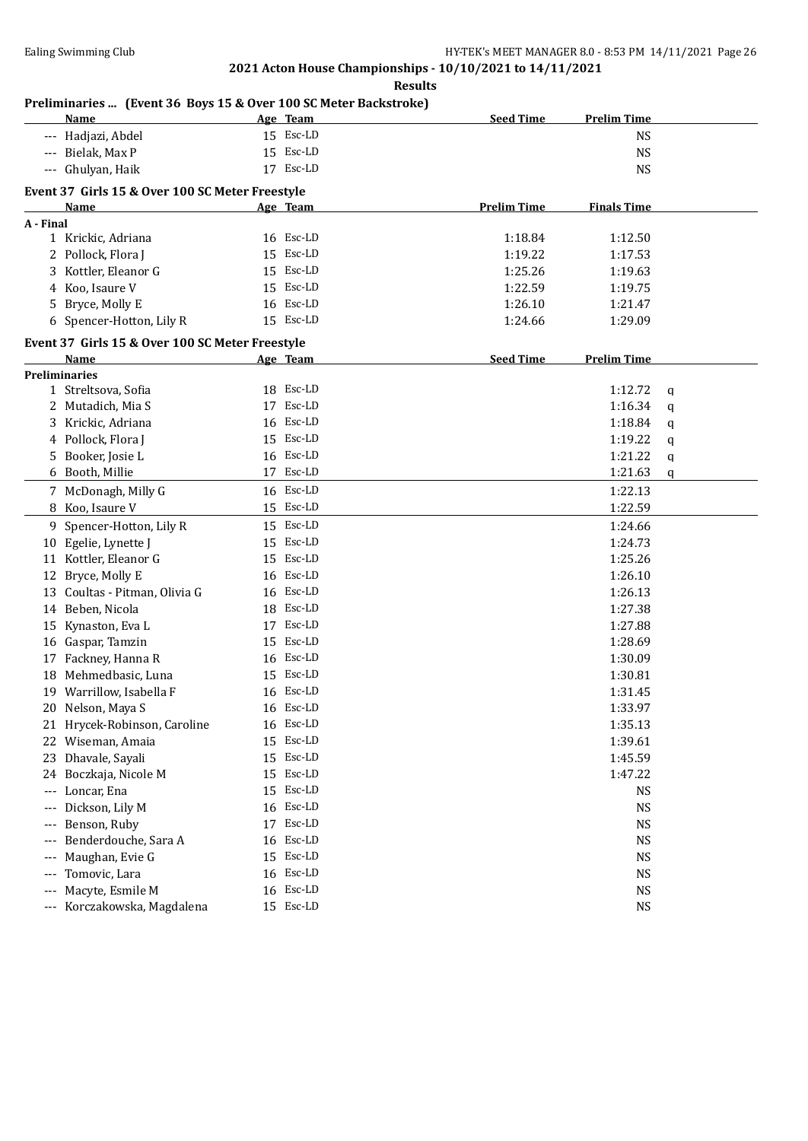**Results**

### **Preliminaries ... (Event 36 Boys 15 & Over 100 SC Meter Backstroke)**

|                     | <b>Name</b>                                                    |    | Age Team  | <b>Seed Time</b>   | <b>Prelim Time</b> |   |
|---------------------|----------------------------------------------------------------|----|-----------|--------------------|--------------------|---|
|                     | Hadjazi, Abdel                                                 |    | 15 Esc-LD |                    | <b>NS</b>          |   |
|                     | Bielak, Max P                                                  |    | 15 Esc-LD |                    | <b>NS</b>          |   |
|                     | Ghulyan, Haik                                                  |    | 17 Esc-LD |                    | <b>NS</b>          |   |
|                     |                                                                |    |           |                    |                    |   |
|                     | Event 37 Girls 15 & Over 100 SC Meter Freestyle<br><b>Name</b> |    | Age Team  | <b>Prelim Time</b> | <b>Finals Time</b> |   |
| A - Final           |                                                                |    |           |                    |                    |   |
|                     | 1 Krickic, Adriana                                             |    | 16 Esc-LD | 1:18.84            | 1:12.50            |   |
| 2                   | Pollock, Flora J                                               |    | 15 Esc-LD | 1:19.22            | 1:17.53            |   |
| 3                   | Kottler, Eleanor G                                             |    | 15 Esc-LD | 1:25.26            | 1:19.63            |   |
| 4                   | Koo, Isaure V                                                  |    | 15 Esc-LD | 1:22.59            | 1:19.75            |   |
| 5                   | Bryce, Molly E                                                 |    | 16 Esc-LD | 1:26.10            | 1:21.47            |   |
|                     | 6 Spencer-Hotton, Lily R                                       |    | 15 Esc-LD | 1:24.66            | 1:29.09            |   |
|                     |                                                                |    |           |                    |                    |   |
|                     | Event 37 Girls 15 & Over 100 SC Meter Freestyle                |    |           |                    |                    |   |
|                     | Name                                                           |    | Age Team  | <b>Seed Time</b>   | <b>Prelim Time</b> |   |
|                     | <b>Preliminaries</b><br>1 Streltsova, Sofia                    |    | 18 Esc-LD |                    | 1:12.72            |   |
|                     | 2 Mutadich, Mia S                                              |    | 17 Esc-LD |                    | 1:16.34            | q |
|                     | 3 Krickic, Adriana                                             |    | 16 Esc-LD |                    | 1:18.84            | q |
|                     | 4 Pollock, Flora J                                             |    | 15 Esc-LD |                    | 1:19.22            | q |
|                     |                                                                |    | 16 Esc-LD |                    |                    | q |
| 5.                  | Booker, Josie L                                                |    | 17 Esc-LD |                    | 1:21.22            | q |
|                     | 6 Booth, Millie                                                |    |           |                    | 1:21.63            | q |
| 7                   | McDonagh, Milly G                                              |    | 16 Esc-LD |                    | 1:22.13            |   |
| 8                   | Koo, Isaure V                                                  |    | 15 Esc-LD |                    | 1:22.59            |   |
|                     | 9 Spencer-Hotton, Lily R                                       |    | 15 Esc-LD |                    | 1:24.66            |   |
| 10                  | Egelie, Lynette J                                              |    | 15 Esc-LD |                    | 1:24.73            |   |
| 11                  | Kottler, Eleanor G                                             | 15 | Esc-LD    |                    | 1:25.26            |   |
| 12                  | Bryce, Molly E                                                 | 16 | Esc-LD    |                    | 1:26.10            |   |
|                     | 13 Coultas - Pitman, Olivia G                                  |    | 16 Esc-LD |                    | 1:26.13            |   |
|                     | 14 Beben, Nicola                                               | 18 | Esc-LD    |                    | 1:27.38            |   |
| 15                  | Kynaston, Eva L                                                |    | 17 Esc-LD |                    | 1:27.88            |   |
|                     | 16 Gaspar, Tamzin                                              | 15 | Esc-LD    |                    | 1:28.69            |   |
| 17                  | Fackney, Hanna R                                               |    | 16 Esc-LD |                    | 1:30.09            |   |
|                     | 18 Mehmedbasic, Luna                                           |    | 15 Esc-LD |                    | 1:30.81            |   |
| 19.                 | Warrillow, Isabella F                                          |    | 16 Esc-LD |                    | 1:31.45            |   |
|                     | 20 Nelson, Maya S                                              |    | 16 Esc-LD |                    | 1:33.97            |   |
|                     | 21 Hrycek-Robinson, Caroline                                   |    | 16 Esc-LD |                    | 1:35.13            |   |
|                     | 22 Wiseman, Amaia                                              |    | 15 Esc-LD |                    | 1:39.61            |   |
| 23                  | Dhavale, Sayali                                                |    | 15 Esc-LD |                    | 1:45.59            |   |
| 24                  | Boczkaja, Nicole M                                             | 15 | Esc-LD    |                    | 1:47.22            |   |
| $\qquad \qquad - -$ | Loncar, Ena                                                    | 15 | Esc-LD    |                    | <b>NS</b>          |   |
| $---$               | Dickson, Lily M                                                |    | 16 Esc-LD |                    | <b>NS</b>          |   |
| $---$               | Benson, Ruby                                                   | 17 | Esc-LD    |                    | NS                 |   |
| $---$               | Benderdouche, Sara A                                           |    | 16 Esc-LD |                    | NS                 |   |
|                     | Maughan, Evie G                                                |    | 15 Esc-LD |                    | NS                 |   |
| $---$               | Tomovic, Lara                                                  |    | 16 Esc-LD |                    | <b>NS</b>          |   |
| $---$               | Macyte, Esmile M                                               |    | 16 Esc-LD |                    | <b>NS</b>          |   |
| $---$               | Korczakowska, Magdalena                                        |    | 15 Esc-LD |                    | <b>NS</b>          |   |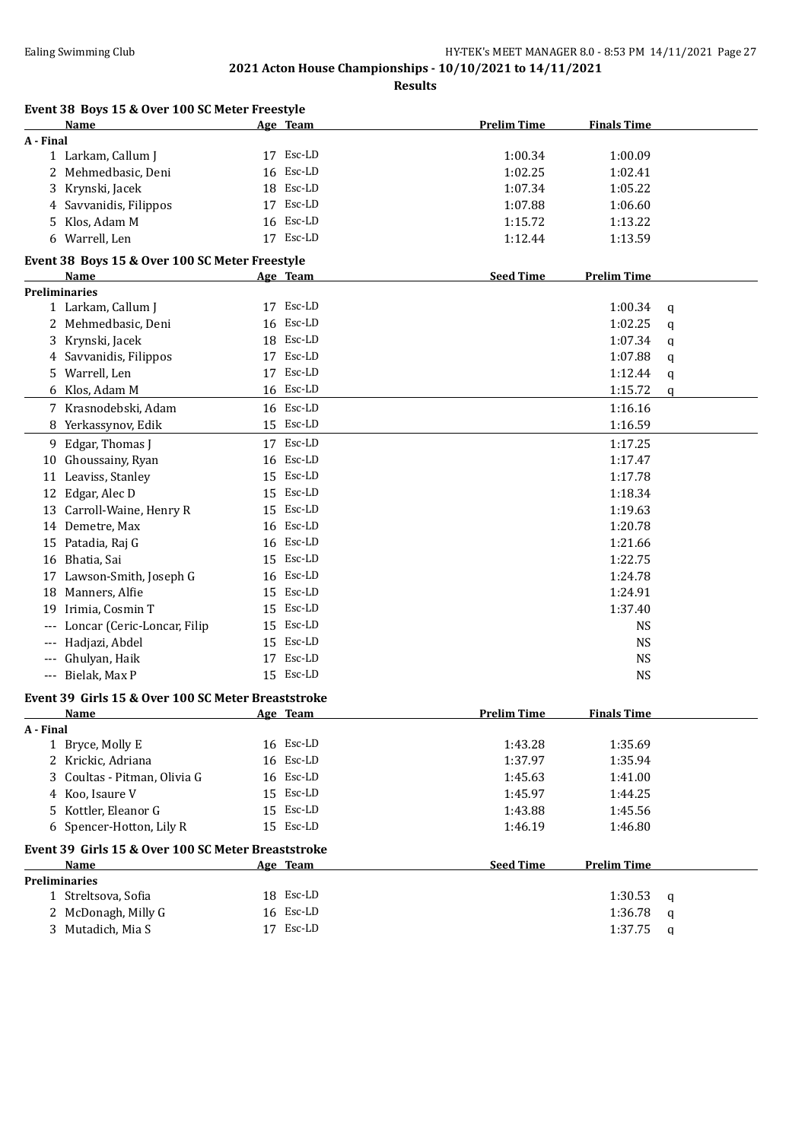| Name                                               | <u>Age Team</u> | <b>Prelim Time</b> | <b>Finals Time</b>     |
|----------------------------------------------------|-----------------|--------------------|------------------------|
| A - Final                                          |                 |                    |                        |
| 1 Larkam, Callum J                                 | 17 Esc-LD       | 1:00.34            | 1:00.09                |
| 2 Mehmedbasic, Deni                                | 16 Esc-LD       | 1:02.25            | 1:02.41                |
| 3 Krynski, Jacek                                   | 18 Esc-LD       | 1:07.34            | 1:05.22                |
| 4 Savvanidis, Filippos                             | 17 Esc-LD       | 1:07.88            | 1:06.60                |
| 5 Klos, Adam M                                     | 16 Esc-LD       | 1:15.72            | 1:13.22                |
| 6 Warrell, Len                                     | 17 Esc-LD       | 1:12.44            | 1:13.59                |
| Event 38 Boys 15 & Over 100 SC Meter Freestyle     |                 |                    |                        |
| Name                                               | <u>Age Team</u> | <b>Seed Time</b>   | <b>Prelim Time</b>     |
| Preliminaries                                      |                 |                    |                        |
| 1 Larkam, Callum J                                 | 17 Esc-LD       |                    | 1:00.34<br>q           |
| 2 Mehmedbasic, Deni                                | 16 Esc-LD       |                    | 1:02.25<br>q           |
| Krynski, Jacek<br>3.                               | 18 Esc-LD       |                    | 1:07.34<br>q           |
| Savvanidis, Filippos<br>4                          | 17 Esc-LD       |                    | 1:07.88<br>q           |
| 5 Warrell, Len                                     | 17 Esc-LD       |                    | 1:12.44<br>q           |
| 6 Klos, Adam M                                     | 16 Esc-LD       |                    | 1:15.72<br>q           |
| 7 Krasnodebski, Adam                               | 16 Esc-LD       |                    | 1:16.16                |
| 8 Yerkassynov, Edik                                | 15 Esc-LD       |                    | 1:16.59                |
| 9 Edgar, Thomas J                                  | 17 Esc-LD       |                    | 1:17.25                |
| 10 Ghoussainy, Ryan                                | 16 Esc-LD       |                    | 1:17.47                |
| 11 Leaviss, Stanley                                | 15 Esc-LD       |                    | 1:17.78                |
| 12 Edgar, Alec D                                   | 15 Esc-LD       |                    | 1:18.34                |
| 13 Carroll-Waine, Henry R                          | 15 Esc-LD       |                    | 1:19.63                |
| 14 Demetre, Max                                    | 16 Esc-LD       |                    | 1:20.78                |
| 15 Patadia, Raj G                                  | 16 Esc-LD       |                    | 1:21.66                |
| 16 Bhatia, Sai                                     | 15 Esc-LD       |                    | 1:22.75                |
| 17 Lawson-Smith, Joseph G                          | 16 Esc-LD       |                    | 1:24.78                |
| Manners, Alfie<br>18                               | 15 Esc-LD       |                    | 1:24.91                |
| 19 Irimia, Cosmin T                                | 15 Esc-LD       |                    | 1:37.40                |
| Loncar (Ceric-Loncar, Filip                        | 15 Esc-LD       |                    | <b>NS</b>              |
| --- Hadjazi, Abdel                                 | 15 Esc-LD       |                    | <b>NS</b>              |
|                                                    | 17 Esc-LD       |                    |                        |
| Ghulyan, Haik<br>$---$<br>--- Bielak, Max P        | 15 Esc-LD       |                    | <b>NS</b><br><b>NS</b> |
|                                                    |                 |                    |                        |
| Event 39 Girls 15 & Over 100 SC Meter Breaststroke |                 |                    |                        |
| <b>Name</b>                                        | Age Team        | <b>Prelim Time</b> | <u>Finals Time</u>     |
| A - Final<br>1 Bryce, Molly E                      | 16 Esc-LD       | 1:43.28            | 1:35.69                |
| 2 Krickic, Adriana                                 | 16 Esc-LD       | 1:37.97            | 1:35.94                |
| 3 Coultas - Pitman, Olivia G                       | 16 Esc-LD       | 1:45.63            | 1:41.00                |
| 4 Koo, Isaure V                                    | 15 Esc-LD       | 1:45.97            | 1:44.25                |
| 5 Kottler, Eleanor G                               | 15 Esc-LD       |                    | 1:45.56                |
| 6 Spencer-Hotton, Lily R                           | 15 Esc-LD       | 1:43.88<br>1:46.19 |                        |
|                                                    |                 |                    | 1:46.80                |
| Event 39 Girls 15 & Over 100 SC Meter Breaststroke |                 |                    |                        |
| Name                                               | Age Team        | <b>Seed Time</b>   | <b>Prelim Time</b>     |
| <b>Preliminaries</b>                               | 18 Esc-LD       |                    |                        |
| 1 Streltsova, Sofia                                | 16 Esc-LD       |                    | 1:30.53<br>q           |
| 2 McDonagh, Milly G                                |                 |                    | 1:36.78<br>q           |
| 3 Mutadich, Mia S                                  | 17 Esc-LD       |                    | 1:37.75<br>q           |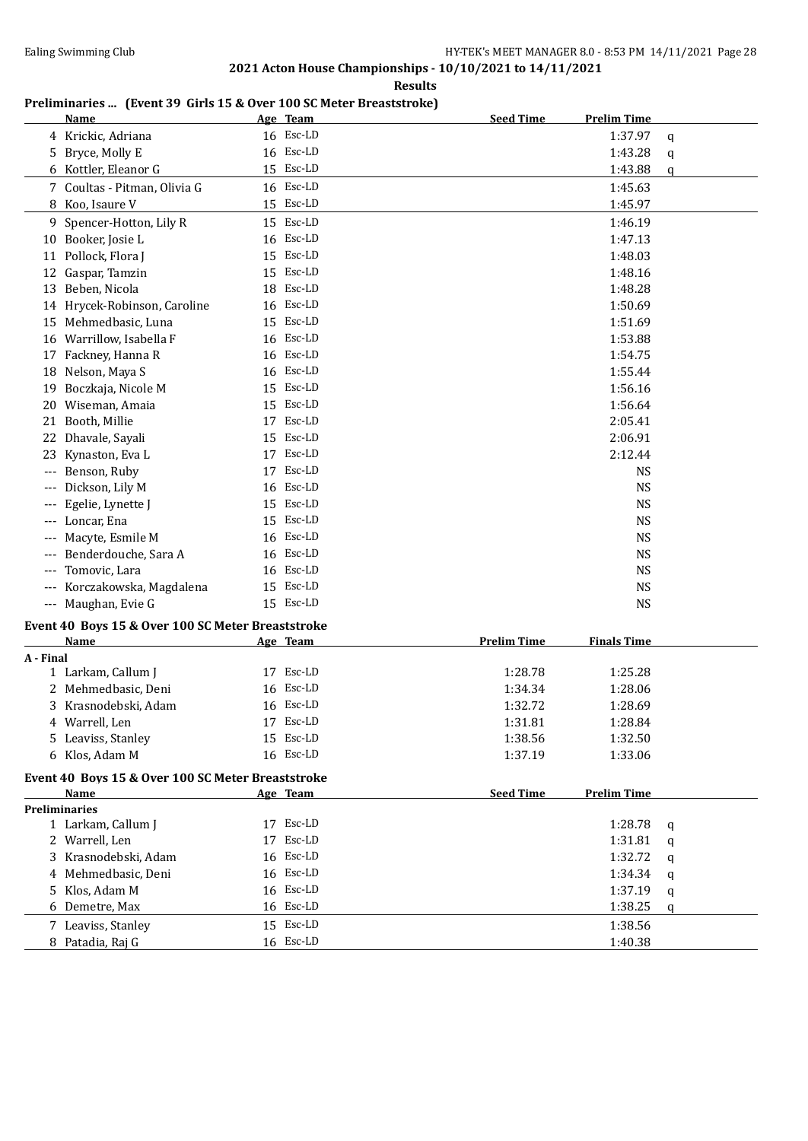**Results**

# **Preliminaries ... (Event 39 Girls 15 & Over 100 SC Meter Breaststroke)**

| 16 Esc-LD<br>4 Krickic, Adriana<br>1:37.97<br>q<br>16 Esc-LD<br>5 Bryce, Molly E<br>1:43.28<br>q<br>15 Esc-LD<br>6 Kottler, Eleanor G<br>1:43.88<br>q<br>16 Esc-LD<br>7 Coultas - Pitman, Olivia G<br>1:45.63<br>8 Koo, Isaure V<br>15 Esc-LD<br>1:45.97<br>15 Esc-LD<br>9 Spencer-Hotton, Lily R<br>1:46.19<br>10 Booker, Josie L<br>16 Esc-LD<br>1:47.13<br>15 Esc-LD<br>11 Pollock, Flora J<br>1:48.03<br>15 Esc-LD<br>12 Gaspar, Tamzin<br>1:48.16<br>18 Esc-LD<br>13 Beben, Nicola<br>1:48.28<br>16 Esc-LD<br>14 Hrycek-Robinson, Caroline<br>1:50.69<br>15 Esc-LD<br>1:51.69<br>15 Mehmedbasic, Luna<br>16 Esc-LD<br>16 Warrillow, Isabella F<br>1:53.88<br>17 Fackney, Hanna R<br>16 Esc-LD<br>1:54.75<br>16 Esc-LD<br>18 Nelson, Maya S<br>1:55.44<br>15 Esc-LD<br>1:56.16<br>19 Boczkaja, Nicole M<br>15 Esc-LD<br>1:56.64<br>20 Wiseman, Amaia<br>21 Booth, Millie<br>17 Esc-LD<br>2:05.41<br>15 Esc-LD<br>22 Dhavale, Sayali<br>2:06.91<br>17 Esc-LD<br>2:12.44<br>23 Kynaston, Eva L<br>17 Esc-LD<br>Benson, Ruby<br>NS<br>16 Esc-LD<br><b>NS</b><br>Dickson, Lily M<br>$\cdots$<br>15 Esc-LD<br>Egelie, Lynette J<br>NS<br>15 Esc-LD<br>Loncar, Ena<br><b>NS</b><br>16 Esc-LD<br><b>NS</b><br>Macyte, Esmile M<br>16 Esc-LD<br>Benderdouche, Sara A<br><b>NS</b><br><b>NS</b><br>Tomovic, Lara<br>16 Esc-LD<br>15 Esc-LD<br>Korczakowska, Magdalena<br><b>NS</b><br>15 Esc-LD<br><b>NS</b><br>--- Maughan, Evie G<br>Event 40 Boys 15 & Over 100 SC Meter Breaststroke<br><b>Prelim Time</b><br><b>Finals Time</b><br>Name<br>Age Team<br>A - Final<br>17 Esc-LD<br>1 Larkam, Callum J<br>1:28.78<br>1:25.28<br>2 Mehmedbasic, Deni<br>16 Esc-LD<br>1:34.34<br>1:28.06<br>16 Esc-LD<br>3 Krasnodebski, Adam<br>1:32.72<br>1:28.69<br>4 Warrell, Len<br>17 Esc-LD<br>1:31.81<br>1:28.84<br>5 Leaviss, Stanley<br>15 Esc-LD<br>1:38.56<br>1:32.50<br>16 Esc-LD<br>6 Klos, Adam M<br>1:37.19<br>1:33.06<br>Event 40 Boys 15 & Over 100 SC Meter Breaststroke<br>Age Team<br><b>Seed Time</b><br><b>Prelim Time</b><br>Name | <b>Name</b> | Age Team | <b>Seed Time</b><br><b>Prelim Time</b> |  |
|--------------------------------------------------------------------------------------------------------------------------------------------------------------------------------------------------------------------------------------------------------------------------------------------------------------------------------------------------------------------------------------------------------------------------------------------------------------------------------------------------------------------------------------------------------------------------------------------------------------------------------------------------------------------------------------------------------------------------------------------------------------------------------------------------------------------------------------------------------------------------------------------------------------------------------------------------------------------------------------------------------------------------------------------------------------------------------------------------------------------------------------------------------------------------------------------------------------------------------------------------------------------------------------------------------------------------------------------------------------------------------------------------------------------------------------------------------------------------------------------------------------------------------------------------------------------------------------------------------------------------------------------------------------------------------------------------------------------------------------------------------------------------------------------------------------------------------------------------------------------------------------------------------------------------------------------------------------------------------------------------------------------------------------|-------------|----------|----------------------------------------|--|
|                                                                                                                                                                                                                                                                                                                                                                                                                                                                                                                                                                                                                                                                                                                                                                                                                                                                                                                                                                                                                                                                                                                                                                                                                                                                                                                                                                                                                                                                                                                                                                                                                                                                                                                                                                                                                                                                                                                                                                                                                                      |             |          |                                        |  |
|                                                                                                                                                                                                                                                                                                                                                                                                                                                                                                                                                                                                                                                                                                                                                                                                                                                                                                                                                                                                                                                                                                                                                                                                                                                                                                                                                                                                                                                                                                                                                                                                                                                                                                                                                                                                                                                                                                                                                                                                                                      |             |          |                                        |  |
|                                                                                                                                                                                                                                                                                                                                                                                                                                                                                                                                                                                                                                                                                                                                                                                                                                                                                                                                                                                                                                                                                                                                                                                                                                                                                                                                                                                                                                                                                                                                                                                                                                                                                                                                                                                                                                                                                                                                                                                                                                      |             |          |                                        |  |
|                                                                                                                                                                                                                                                                                                                                                                                                                                                                                                                                                                                                                                                                                                                                                                                                                                                                                                                                                                                                                                                                                                                                                                                                                                                                                                                                                                                                                                                                                                                                                                                                                                                                                                                                                                                                                                                                                                                                                                                                                                      |             |          |                                        |  |
|                                                                                                                                                                                                                                                                                                                                                                                                                                                                                                                                                                                                                                                                                                                                                                                                                                                                                                                                                                                                                                                                                                                                                                                                                                                                                                                                                                                                                                                                                                                                                                                                                                                                                                                                                                                                                                                                                                                                                                                                                                      |             |          |                                        |  |
|                                                                                                                                                                                                                                                                                                                                                                                                                                                                                                                                                                                                                                                                                                                                                                                                                                                                                                                                                                                                                                                                                                                                                                                                                                                                                                                                                                                                                                                                                                                                                                                                                                                                                                                                                                                                                                                                                                                                                                                                                                      |             |          |                                        |  |
|                                                                                                                                                                                                                                                                                                                                                                                                                                                                                                                                                                                                                                                                                                                                                                                                                                                                                                                                                                                                                                                                                                                                                                                                                                                                                                                                                                                                                                                                                                                                                                                                                                                                                                                                                                                                                                                                                                                                                                                                                                      |             |          |                                        |  |
|                                                                                                                                                                                                                                                                                                                                                                                                                                                                                                                                                                                                                                                                                                                                                                                                                                                                                                                                                                                                                                                                                                                                                                                                                                                                                                                                                                                                                                                                                                                                                                                                                                                                                                                                                                                                                                                                                                                                                                                                                                      |             |          |                                        |  |
|                                                                                                                                                                                                                                                                                                                                                                                                                                                                                                                                                                                                                                                                                                                                                                                                                                                                                                                                                                                                                                                                                                                                                                                                                                                                                                                                                                                                                                                                                                                                                                                                                                                                                                                                                                                                                                                                                                                                                                                                                                      |             |          |                                        |  |
|                                                                                                                                                                                                                                                                                                                                                                                                                                                                                                                                                                                                                                                                                                                                                                                                                                                                                                                                                                                                                                                                                                                                                                                                                                                                                                                                                                                                                                                                                                                                                                                                                                                                                                                                                                                                                                                                                                                                                                                                                                      |             |          |                                        |  |
|                                                                                                                                                                                                                                                                                                                                                                                                                                                                                                                                                                                                                                                                                                                                                                                                                                                                                                                                                                                                                                                                                                                                                                                                                                                                                                                                                                                                                                                                                                                                                                                                                                                                                                                                                                                                                                                                                                                                                                                                                                      |             |          |                                        |  |
|                                                                                                                                                                                                                                                                                                                                                                                                                                                                                                                                                                                                                                                                                                                                                                                                                                                                                                                                                                                                                                                                                                                                                                                                                                                                                                                                                                                                                                                                                                                                                                                                                                                                                                                                                                                                                                                                                                                                                                                                                                      |             |          |                                        |  |
|                                                                                                                                                                                                                                                                                                                                                                                                                                                                                                                                                                                                                                                                                                                                                                                                                                                                                                                                                                                                                                                                                                                                                                                                                                                                                                                                                                                                                                                                                                                                                                                                                                                                                                                                                                                                                                                                                                                                                                                                                                      |             |          |                                        |  |
|                                                                                                                                                                                                                                                                                                                                                                                                                                                                                                                                                                                                                                                                                                                                                                                                                                                                                                                                                                                                                                                                                                                                                                                                                                                                                                                                                                                                                                                                                                                                                                                                                                                                                                                                                                                                                                                                                                                                                                                                                                      |             |          |                                        |  |
|                                                                                                                                                                                                                                                                                                                                                                                                                                                                                                                                                                                                                                                                                                                                                                                                                                                                                                                                                                                                                                                                                                                                                                                                                                                                                                                                                                                                                                                                                                                                                                                                                                                                                                                                                                                                                                                                                                                                                                                                                                      |             |          |                                        |  |
|                                                                                                                                                                                                                                                                                                                                                                                                                                                                                                                                                                                                                                                                                                                                                                                                                                                                                                                                                                                                                                                                                                                                                                                                                                                                                                                                                                                                                                                                                                                                                                                                                                                                                                                                                                                                                                                                                                                                                                                                                                      |             |          |                                        |  |
|                                                                                                                                                                                                                                                                                                                                                                                                                                                                                                                                                                                                                                                                                                                                                                                                                                                                                                                                                                                                                                                                                                                                                                                                                                                                                                                                                                                                                                                                                                                                                                                                                                                                                                                                                                                                                                                                                                                                                                                                                                      |             |          |                                        |  |
|                                                                                                                                                                                                                                                                                                                                                                                                                                                                                                                                                                                                                                                                                                                                                                                                                                                                                                                                                                                                                                                                                                                                                                                                                                                                                                                                                                                                                                                                                                                                                                                                                                                                                                                                                                                                                                                                                                                                                                                                                                      |             |          |                                        |  |
|                                                                                                                                                                                                                                                                                                                                                                                                                                                                                                                                                                                                                                                                                                                                                                                                                                                                                                                                                                                                                                                                                                                                                                                                                                                                                                                                                                                                                                                                                                                                                                                                                                                                                                                                                                                                                                                                                                                                                                                                                                      |             |          |                                        |  |
|                                                                                                                                                                                                                                                                                                                                                                                                                                                                                                                                                                                                                                                                                                                                                                                                                                                                                                                                                                                                                                                                                                                                                                                                                                                                                                                                                                                                                                                                                                                                                                                                                                                                                                                                                                                                                                                                                                                                                                                                                                      |             |          |                                        |  |
|                                                                                                                                                                                                                                                                                                                                                                                                                                                                                                                                                                                                                                                                                                                                                                                                                                                                                                                                                                                                                                                                                                                                                                                                                                                                                                                                                                                                                                                                                                                                                                                                                                                                                                                                                                                                                                                                                                                                                                                                                                      |             |          |                                        |  |
|                                                                                                                                                                                                                                                                                                                                                                                                                                                                                                                                                                                                                                                                                                                                                                                                                                                                                                                                                                                                                                                                                                                                                                                                                                                                                                                                                                                                                                                                                                                                                                                                                                                                                                                                                                                                                                                                                                                                                                                                                                      |             |          |                                        |  |
|                                                                                                                                                                                                                                                                                                                                                                                                                                                                                                                                                                                                                                                                                                                                                                                                                                                                                                                                                                                                                                                                                                                                                                                                                                                                                                                                                                                                                                                                                                                                                                                                                                                                                                                                                                                                                                                                                                                                                                                                                                      |             |          |                                        |  |
|                                                                                                                                                                                                                                                                                                                                                                                                                                                                                                                                                                                                                                                                                                                                                                                                                                                                                                                                                                                                                                                                                                                                                                                                                                                                                                                                                                                                                                                                                                                                                                                                                                                                                                                                                                                                                                                                                                                                                                                                                                      |             |          |                                        |  |
|                                                                                                                                                                                                                                                                                                                                                                                                                                                                                                                                                                                                                                                                                                                                                                                                                                                                                                                                                                                                                                                                                                                                                                                                                                                                                                                                                                                                                                                                                                                                                                                                                                                                                                                                                                                                                                                                                                                                                                                                                                      |             |          |                                        |  |
|                                                                                                                                                                                                                                                                                                                                                                                                                                                                                                                                                                                                                                                                                                                                                                                                                                                                                                                                                                                                                                                                                                                                                                                                                                                                                                                                                                                                                                                                                                                                                                                                                                                                                                                                                                                                                                                                                                                                                                                                                                      |             |          |                                        |  |
|                                                                                                                                                                                                                                                                                                                                                                                                                                                                                                                                                                                                                                                                                                                                                                                                                                                                                                                                                                                                                                                                                                                                                                                                                                                                                                                                                                                                                                                                                                                                                                                                                                                                                                                                                                                                                                                                                                                                                                                                                                      |             |          |                                        |  |
|                                                                                                                                                                                                                                                                                                                                                                                                                                                                                                                                                                                                                                                                                                                                                                                                                                                                                                                                                                                                                                                                                                                                                                                                                                                                                                                                                                                                                                                                                                                                                                                                                                                                                                                                                                                                                                                                                                                                                                                                                                      |             |          |                                        |  |
|                                                                                                                                                                                                                                                                                                                                                                                                                                                                                                                                                                                                                                                                                                                                                                                                                                                                                                                                                                                                                                                                                                                                                                                                                                                                                                                                                                                                                                                                                                                                                                                                                                                                                                                                                                                                                                                                                                                                                                                                                                      |             |          |                                        |  |
|                                                                                                                                                                                                                                                                                                                                                                                                                                                                                                                                                                                                                                                                                                                                                                                                                                                                                                                                                                                                                                                                                                                                                                                                                                                                                                                                                                                                                                                                                                                                                                                                                                                                                                                                                                                                                                                                                                                                                                                                                                      |             |          |                                        |  |
|                                                                                                                                                                                                                                                                                                                                                                                                                                                                                                                                                                                                                                                                                                                                                                                                                                                                                                                                                                                                                                                                                                                                                                                                                                                                                                                                                                                                                                                                                                                                                                                                                                                                                                                                                                                                                                                                                                                                                                                                                                      |             |          |                                        |  |
|                                                                                                                                                                                                                                                                                                                                                                                                                                                                                                                                                                                                                                                                                                                                                                                                                                                                                                                                                                                                                                                                                                                                                                                                                                                                                                                                                                                                                                                                                                                                                                                                                                                                                                                                                                                                                                                                                                                                                                                                                                      |             |          |                                        |  |
|                                                                                                                                                                                                                                                                                                                                                                                                                                                                                                                                                                                                                                                                                                                                                                                                                                                                                                                                                                                                                                                                                                                                                                                                                                                                                                                                                                                                                                                                                                                                                                                                                                                                                                                                                                                                                                                                                                                                                                                                                                      |             |          |                                        |  |
|                                                                                                                                                                                                                                                                                                                                                                                                                                                                                                                                                                                                                                                                                                                                                                                                                                                                                                                                                                                                                                                                                                                                                                                                                                                                                                                                                                                                                                                                                                                                                                                                                                                                                                                                                                                                                                                                                                                                                                                                                                      |             |          |                                        |  |
|                                                                                                                                                                                                                                                                                                                                                                                                                                                                                                                                                                                                                                                                                                                                                                                                                                                                                                                                                                                                                                                                                                                                                                                                                                                                                                                                                                                                                                                                                                                                                                                                                                                                                                                                                                                                                                                                                                                                                                                                                                      |             |          |                                        |  |
|                                                                                                                                                                                                                                                                                                                                                                                                                                                                                                                                                                                                                                                                                                                                                                                                                                                                                                                                                                                                                                                                                                                                                                                                                                                                                                                                                                                                                                                                                                                                                                                                                                                                                                                                                                                                                                                                                                                                                                                                                                      |             |          |                                        |  |
|                                                                                                                                                                                                                                                                                                                                                                                                                                                                                                                                                                                                                                                                                                                                                                                                                                                                                                                                                                                                                                                                                                                                                                                                                                                                                                                                                                                                                                                                                                                                                                                                                                                                                                                                                                                                                                                                                                                                                                                                                                      |             |          |                                        |  |
|                                                                                                                                                                                                                                                                                                                                                                                                                                                                                                                                                                                                                                                                                                                                                                                                                                                                                                                                                                                                                                                                                                                                                                                                                                                                                                                                                                                                                                                                                                                                                                                                                                                                                                                                                                                                                                                                                                                                                                                                                                      |             |          |                                        |  |
|                                                                                                                                                                                                                                                                                                                                                                                                                                                                                                                                                                                                                                                                                                                                                                                                                                                                                                                                                                                                                                                                                                                                                                                                                                                                                                                                                                                                                                                                                                                                                                                                                                                                                                                                                                                                                                                                                                                                                                                                                                      |             |          |                                        |  |
|                                                                                                                                                                                                                                                                                                                                                                                                                                                                                                                                                                                                                                                                                                                                                                                                                                                                                                                                                                                                                                                                                                                                                                                                                                                                                                                                                                                                                                                                                                                                                                                                                                                                                                                                                                                                                                                                                                                                                                                                                                      |             |          |                                        |  |

| <b>Preliminaries</b> |                      |              |                     |  |  |  |  |
|----------------------|----------------------|--------------|---------------------|--|--|--|--|
|                      | 1 Larkam, Callum J   | Esc-LD<br>17 | 1:28.78<br>- a      |  |  |  |  |
|                      | 2 Warrell, Len       | Esc-LD<br>17 | 1:31.81<br><b>a</b> |  |  |  |  |
|                      | 3 Krasnodebski, Adam | 16 Esc-LD    | 1:32.72<br><b>a</b> |  |  |  |  |
|                      | 4 Mehmedbasic, Deni  | 16 Esc-LD    | 1:34.34<br>q        |  |  |  |  |
|                      | 5 Klos, Adam M       | 16 Esc-LD    | 1:37.19<br>a        |  |  |  |  |
|                      | 6 Demetre, Max       | 16 Esc-LD    | 1:38.25<br>a        |  |  |  |  |
|                      | 7 Leaviss, Stanley   | 15 Esc-LD    | 1:38.56             |  |  |  |  |
|                      | 8 Patadia, Raj G     | 16 Esc-LD    | 1:40.38             |  |  |  |  |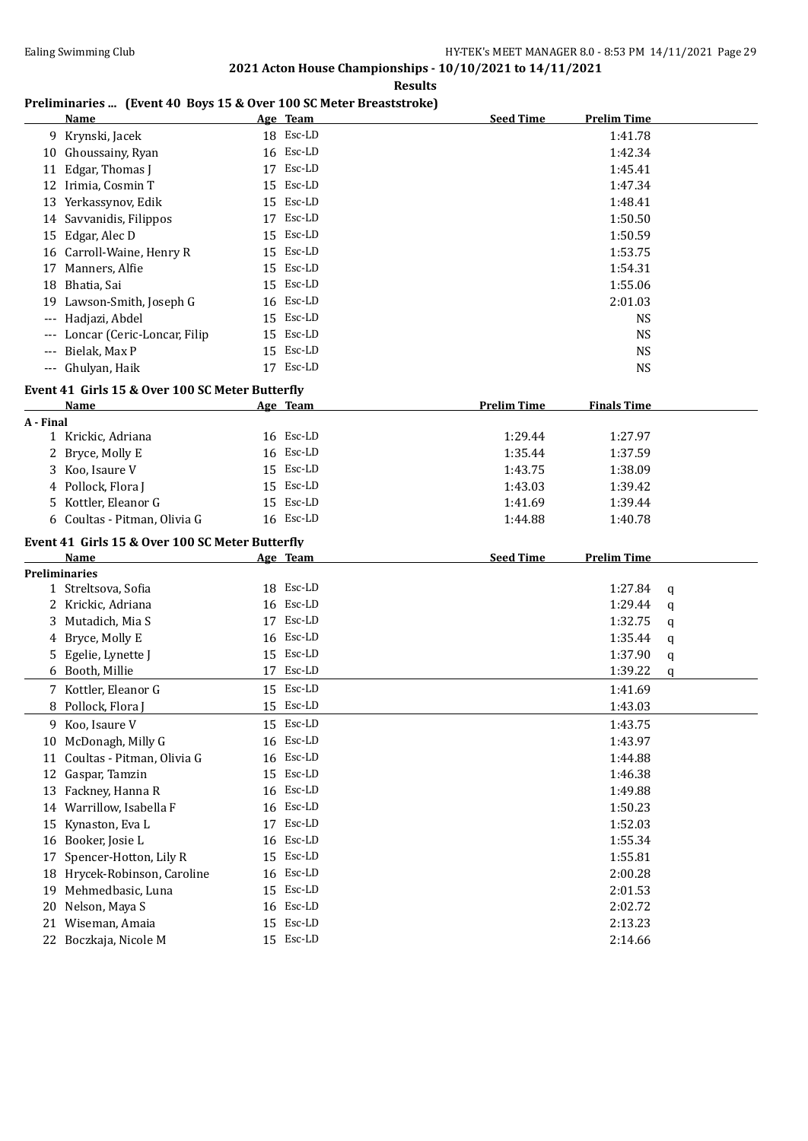**Results**

### **Preliminaries ... (Event 40 Boys 15 & Over 100 SC Meter Breaststroke)**

|           | <b>Name</b>                                     | Age Team     | <b>Seed Time</b>   | <b>Prelim Time</b> |   |
|-----------|-------------------------------------------------|--------------|--------------------|--------------------|---|
|           | 9 Krynski, Jacek                                | 18 Esc-LD    |                    | 1:41.78            |   |
|           | 10 Ghoussainy, Ryan                             | 16 Esc-LD    |                    | 1:42.34            |   |
|           | 11 Edgar, Thomas J                              | 17 Esc-LD    |                    | 1:45.41            |   |
|           | 12 Irimia, Cosmin T                             | 15 Esc-LD    |                    | 1:47.34            |   |
|           | 13 Yerkassynov, Edik                            | 15 Esc-LD    |                    | 1:48.41            |   |
|           | 14 Savvanidis, Filippos                         | 17 Esc-LD    |                    | 1:50.50            |   |
|           | 15 Edgar, Alec D                                | 15 Esc-LD    |                    | 1:50.59            |   |
|           | 16 Carroll-Waine, Henry R                       | 15 Esc-LD    |                    | 1:53.75            |   |
|           | 17 Manners, Alfie                               | 15 Esc-LD    |                    | 1:54.31            |   |
|           | 18 Bhatia, Sai                                  | Esc-LD<br>15 |                    | 1:55.06            |   |
|           | 19 Lawson-Smith, Joseph G                       | 16 Esc-LD    |                    | 2:01.03            |   |
|           | Hadjazi, Abdel                                  | 15 Esc-LD    |                    | <b>NS</b>          |   |
|           | Loncar (Ceric-Loncar, Filip                     | 15 Esc-LD    |                    | <b>NS</b>          |   |
|           | Bielak, Max P                                   | 15 Esc-LD    |                    | <b>NS</b>          |   |
|           | --- Ghulyan, Haik                               | 17 Esc-LD    |                    | <b>NS</b>          |   |
|           |                                                 |              |                    |                    |   |
|           | Event 41 Girls 15 & Over 100 SC Meter Butterfly |              |                    |                    |   |
| A - Final | <b>Name</b>                                     | Age Team     | <b>Prelim Time</b> | <b>Finals Time</b> |   |
|           | 1 Krickic, Adriana                              | 16 Esc-LD    | 1:29.44            | 1:27.97            |   |
|           | 2 Bryce, Molly E                                | 16 Esc-LD    | 1:35.44            | 1:37.59            |   |
|           | 3 Koo, Isaure V                                 | 15 Esc-LD    | 1:43.75            | 1:38.09            |   |
|           | 4 Pollock, Flora J                              | 15 Esc-LD    | 1:43.03            | 1:39.42            |   |
|           | 5 Kottler, Eleanor G                            | 15 Esc-LD    | 1:41.69            | 1:39.44            |   |
|           | 6 Coultas - Pitman, Olivia G                    | 16 Esc-LD    |                    |                    |   |
|           |                                                 |              | 1:44.88            | 1:40.78            |   |
|           | Event 41 Girls 15 & Over 100 SC Meter Butterfly |              |                    |                    |   |
|           | Name                                            | Age Team     | <b>Seed Time</b>   | <b>Prelim Time</b> |   |
|           | <b>Preliminaries</b>                            |              |                    |                    |   |
|           | 1 Streltsova, Sofia                             | 18 Esc-LD    |                    | 1:27.84            | q |
|           | 2 Krickic, Adriana                              | 16 Esc-LD    |                    | 1:29.44            | q |
|           | 3 Mutadich, Mia S                               | 17 Esc-LD    |                    | 1:32.75            | q |
|           | 4 Bryce, Molly E                                | 16 Esc-LD    |                    | 1:35.44            | q |
|           | 5 Egelie, Lynette J                             | 15 Esc-LD    |                    | 1:37.90            | q |
|           | 6 Booth, Millie                                 | 17 Esc-LD    |                    | 1:39.22            | q |
|           | 7 Kottler, Eleanor G                            | 15 Esc-LD    |                    | 1:41.69            |   |
|           | 8 Pollock, Flora J                              | 15 Esc-LD    |                    | 1:43.03            |   |
|           | 9 Koo, Isaure V                                 | 15 Esc-LD    |                    | 1:43.75            |   |
|           | 10 McDonagh, Milly G                            | 16 Esc-LD    |                    | 1:43.97            |   |
| 11        | Coultas - Pitman, Olivia G                      | 16 Esc-LD    |                    | 1:44.88            |   |
| 12        | Gaspar, Tamzin                                  | 15 Esc-LD    |                    | 1:46.38            |   |
|           | 13 Fackney, Hanna R                             | 16 Esc-LD    |                    | 1:49.88            |   |
|           | 14 Warrillow, Isabella F                        | 16 Esc-LD    |                    | 1:50.23            |   |
| 15        | Kynaston, Eva L                                 | 17 Esc-LD    |                    | 1:52.03            |   |
|           | 16 Booker, Josie L                              | 16 Esc-LD    |                    | 1:55.34            |   |
| 17        | Spencer-Hotton, Lily R                          | 15 Esc-LD    |                    | 1:55.81            |   |
|           | 18 Hrycek-Robinson, Caroline                    | 16 Esc-LD    |                    | 2:00.28            |   |
|           |                                                 |              |                    |                    |   |
|           | 19 Mehmedbasic, Luna                            | 15 Esc-LD    |                    | 2:01.53            |   |
|           | 20 Nelson, Maya S                               | 16 Esc-LD    |                    | 2:02.72            |   |
|           | 21 Wiseman, Amaia                               | 15 Esc-LD    |                    | 2:13.23            |   |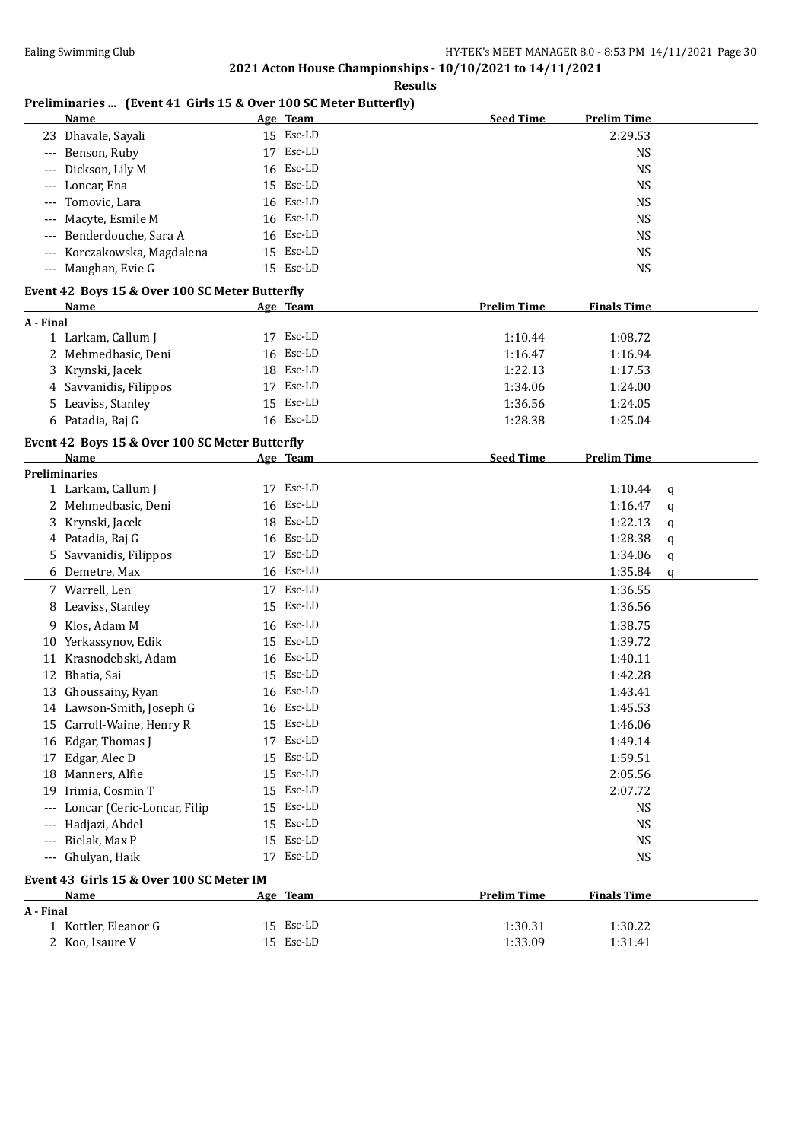**Results**

# **Preliminaries ... (Event 41 Girls 15 & Over 100 SC Meter Butterfly)**

|           | <b>Name</b>                                    |    | Age Team  | <b>Seed Time</b>   | <b>Prelim Time</b> |   |
|-----------|------------------------------------------------|----|-----------|--------------------|--------------------|---|
|           | 23 Dhavale, Sayali                             |    | 15 Esc-LD |                    | 2:29.53            |   |
| ---       | Benson, Ruby                                   |    | 17 Esc-LD |                    | <b>NS</b>          |   |
| ---       | Dickson, Lily M                                |    | 16 Esc-LD |                    | <b>NS</b>          |   |
| ---       | Loncar, Ena                                    |    | 15 Esc-LD |                    | <b>NS</b>          |   |
|           | Tomovic, Lara                                  |    | 16 Esc-LD |                    | <b>NS</b>          |   |
|           | Macyte, Esmile M                               |    | 16 Esc-LD |                    | <b>NS</b>          |   |
|           | Benderdouche, Sara A                           |    | 16 Esc-LD |                    | <b>NS</b>          |   |
| ---       | Korczakowska, Magdalena                        | 15 | Esc-LD    |                    | <b>NS</b>          |   |
|           | --- Maughan, Evie G                            |    | 15 Esc-LD |                    | <b>NS</b>          |   |
|           |                                                |    |           |                    |                    |   |
|           | Event 42 Boys 15 & Over 100 SC Meter Butterfly |    |           |                    |                    |   |
| A - Final | Name                                           |    | Age Team  | <b>Prelim Time</b> | <b>Finals Time</b> |   |
|           | 1 Larkam, Callum J                             |    | 17 Esc-LD | 1:10.44            | 1:08.72            |   |
|           | 2 Mehmedbasic, Deni                            |    | 16 Esc-LD | 1:16.47            | 1:16.94            |   |
|           | 3 Krynski, Jacek                               |    | 18 Esc-LD | 1:22.13            | 1:17.53            |   |
|           | 4 Savvanidis, Filippos                         |    | 17 Esc-LD | 1:34.06            | 1:24.00            |   |
|           |                                                |    | 15 Esc-LD |                    |                    |   |
|           | 5 Leaviss, Stanley                             |    | 16 Esc-LD | 1:36.56            | 1:24.05            |   |
|           | 6 Patadia, Raj G                               |    |           | 1:28.38            | 1:25.04            |   |
|           | Event 42 Boys 15 & Over 100 SC Meter Butterfly |    |           |                    |                    |   |
|           | Name                                           |    | Age Team  | <b>Seed Time</b>   | <b>Prelim Time</b> |   |
|           | <b>Preliminaries</b>                           |    |           |                    |                    |   |
|           | 1 Larkam, Callum J                             |    | 17 Esc-LD |                    | 1:10.44            | q |
|           | 2 Mehmedbasic, Deni                            | 16 | Esc-LD    |                    | 1:16.47            | q |
|           | 3 Krynski, Jacek                               | 18 | Esc-LD    |                    | 1:22.13            | q |
|           | 4 Patadia, Raj G                               |    | 16 Esc-LD |                    | 1:28.38            | q |
|           | 5 Savvanidis, Filippos                         |    | 17 Esc-LD |                    | 1:34.06            | q |
|           | 6 Demetre, Max                                 |    | 16 Esc-LD |                    | 1:35.84            | q |
|           | 7 Warrell, Len                                 |    | 17 Esc-LD |                    | 1:36.55            |   |
|           | 8 Leaviss, Stanley                             |    | 15 Esc-LD |                    | 1:36.56            |   |
|           | 9 Klos, Adam M                                 |    | 16 Esc-LD |                    | 1:38.75            |   |
|           | 10 Yerkassynov, Edik                           |    | 15 Esc-LD |                    | 1:39.72            |   |
| 11        | Krasnodebski, Adam                             |    | 16 Esc-LD |                    | 1:40.11            |   |
|           | 12 Bhatia, Sai                                 |    | 15 Esc-LD |                    | 1:42.28            |   |
|           | 13 Ghoussainy, Ryan                            |    | 16 Esc-LD |                    | 1:43.41            |   |
|           | 14 Lawson-Smith, Joseph G                      |    | 16 Esc-LD |                    | 1:45.53            |   |
|           | 15 Carroll-Waine, Henry R                      |    | 15 Esc-LD |                    | 1:46.06            |   |
|           | 16 Edgar, Thomas J                             |    | 17 Esc-LD |                    | 1:49.14            |   |
|           | 17 Edgar, Alec D                               | 15 | Esc-LD    |                    | 1:59.51            |   |
|           | 18 Manners, Alfie                              | 15 | Esc-LD    |                    | 2:05.56            |   |
|           | 19 Irimia, Cosmin T                            | 15 | Esc-LD    |                    | 2:07.72            |   |
| ---       | Loncar (Ceric-Loncar, Filip                    |    | 15 Esc-LD |                    | <b>NS</b>          |   |
| ---       | Hadjazi, Abdel                                 |    | 15 Esc-LD |                    | <b>NS</b>          |   |
| $---$     | Bielak, Max P                                  |    | 15 Esc-LD |                    | <b>NS</b>          |   |
|           | Ghulyan, Haik                                  |    | 17 Esc-LD |                    | <b>NS</b>          |   |
| ---       |                                                |    |           |                    |                    |   |
|           | Event 43 Girls 15 & Over 100 SC Meter IM       |    |           |                    |                    |   |
|           | Name                                           |    | Age Team  | <b>Prelim Time</b> | <b>Finals Time</b> |   |
| A - Final |                                                |    |           |                    |                    |   |
|           | 1 Kottler, Eleanor G                           |    | 15 Esc-LD | 1:30.31            | 1:30.22            |   |
|           | 2 Koo, Isaure V                                |    | 15 Esc-LD | 1:33.09            | 1:31.41            |   |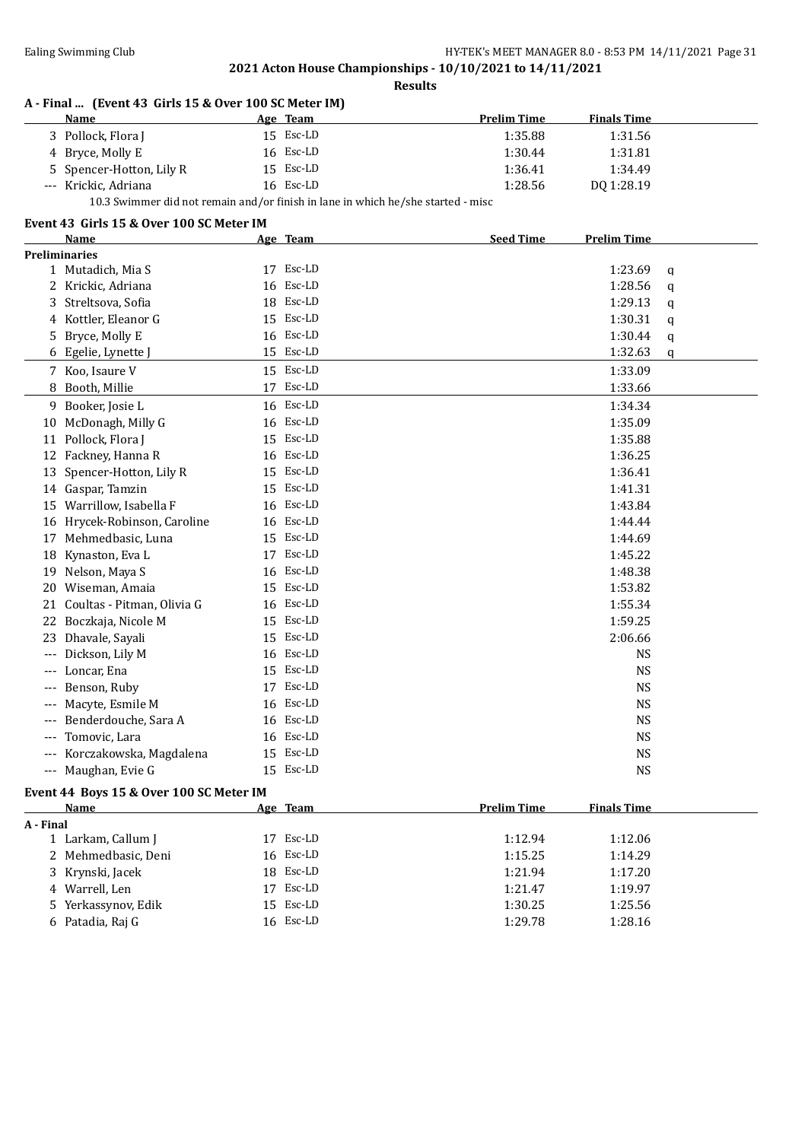**Results**

### **A - Final ... (Event 43 Girls 15 & Over 100 SC Meter IM)**

| Name                                                                             | Age Team  | <b>Prelim Time</b> | <b>Finals Time</b> |  |
|----------------------------------------------------------------------------------|-----------|--------------------|--------------------|--|
| 3 Pollock, Flora J                                                               | 15 Esc-LD | 1:35.88            | 1:31.56            |  |
| 4 Bryce, Molly E                                                                 | 16 Esc-LD | 1:30.44            | 1:31.81            |  |
| 5 Spencer-Hotton, Lily R                                                         | 15 Esc-LD | 1:36.41            | 1:34.49            |  |
| --- Krickic, Adriana                                                             | 16 Esc-LD | 1:28.56            | DO 1:28.19         |  |
| 10.3 Swimmer did not remain and/or finish in lane in which he/she started - misc |           |                    |                    |  |

#### **Event 43 Girls 15 & Over 100 SC Meter IM**

|       | Name                       |    | Age Team  | <b>Seed Time</b><br><b>Prelim Time</b> |   |  |  |
|-------|----------------------------|----|-----------|----------------------------------------|---|--|--|
|       | <b>Preliminaries</b>       |    |           |                                        |   |  |  |
|       | 1 Mutadich, Mia S          |    | 17 Esc-LD | 1:23.69                                | q |  |  |
| 2     | Krickic, Adriana           | 16 | Esc-LD    | 1:28.56                                | q |  |  |
| 3     | Streltsova, Sofia          |    | 18 Esc-LD | 1:29.13                                | q |  |  |
| 4     | Kottler, Eleanor G         |    | 15 Esc-LD | 1:30.31                                | q |  |  |
| 5     | Bryce, Molly E             | 16 | Esc-LD    | 1:30.44                                | q |  |  |
|       | 6 Egelie, Lynette J        |    | 15 Esc-LD | 1:32.63                                | q |  |  |
|       | 7 Koo, Isaure V            |    | 15 Esc-LD | 1:33.09                                |   |  |  |
| 8     | Booth, Millie              | 17 | Esc-LD    | 1:33.66                                |   |  |  |
| 9     | Booker, Josie L            |    | 16 Esc-LD | 1:34.34                                |   |  |  |
| 10    | McDonagh, Milly G          | 16 | Esc-LD    | 1:35.09                                |   |  |  |
| 11    | Pollock, Flora J           | 15 | Esc-LD    | 1:35.88                                |   |  |  |
| 12    | Fackney, Hanna R           |    | 16 Esc-LD | 1:36.25                                |   |  |  |
| 13    | Spencer-Hotton, Lily R     | 15 | Esc-LD    | 1:36.41                                |   |  |  |
| 14    | Gaspar, Tamzin             |    | 15 Esc-LD | 1:41.31                                |   |  |  |
| 15    | Warrillow, Isabella F      | 16 | Esc-LD    | 1:43.84                                |   |  |  |
| 16    | Hrycek-Robinson, Caroline  | 16 | Esc-LD    | 1:44.44                                |   |  |  |
| 17    | Mehmedbasic, Luna          | 15 | Esc-LD    | 1:44.69                                |   |  |  |
| 18    | Kynaston, Eva L            | 17 | Esc-LD    | 1:45.22                                |   |  |  |
| 19    | Nelson, Maya S             | 16 | Esc-LD    | 1:48.38                                |   |  |  |
| 20    | Wiseman, Amaia             | 15 | Esc-LD    | 1:53.82                                |   |  |  |
| 21    | Coultas - Pitman, Olivia G | 16 | Esc-LD    | 1:55.34                                |   |  |  |
| 22    | Boczkaja, Nicole M         | 15 | Esc-LD    | 1:59.25                                |   |  |  |
| 23    | Dhavale, Sayali            | 15 | Esc-LD    | 2:06.66                                |   |  |  |
| $---$ | Dickson, Lily M            |    | 16 Esc-LD | <b>NS</b>                              |   |  |  |
| $---$ | Loncar, Ena                |    | 15 Esc-LD | <b>NS</b>                              |   |  |  |
| ---   | Benson, Ruby               | 17 | Esc-LD    | <b>NS</b>                              |   |  |  |
| ---   | Macyte, Esmile M           | 16 | Esc-LD    | <b>NS</b>                              |   |  |  |
| $---$ | Benderdouche, Sara A       |    | 16 Esc-LD | <b>NS</b>                              |   |  |  |
| $---$ | Tomovic, Lara              | 16 | Esc-LD    | <b>NS</b>                              |   |  |  |
|       | Korczakowska, Magdalena    | 15 | Esc-LD    | <b>NS</b>                              |   |  |  |
| ---   | Maughan, Evie G            |    | 15 Esc-LD | <b>NS</b>                              |   |  |  |

### **Event 44 Boys 15 & Over 100 SC Meter IM**

| Name                | Age Team  | <b>Prelim Time</b> | <b>Finals Time</b> |  |
|---------------------|-----------|--------------------|--------------------|--|
| A - Final           |           |                    |                    |  |
| 1 Larkam, Callum J  | 17 Esc-LD | 1:12.94            | 1:12.06            |  |
| 2 Mehmedbasic, Deni | 16 Esc-LD | 1:15.25            | 1:14.29            |  |
| 3 Krynski, Jacek    | 18 Esc-LD | 1:21.94            | 1:17.20            |  |
| 4 Warrell, Len      | 17 Esc-LD | 1:21.47            | 1:19.97            |  |
| 5 Yerkassynov, Edik | 15 Esc-LD | 1:30.25            | 1:25.56            |  |
| 6 Patadia, Raj G    | 16 Esc-LD | 1:29.78            | 1:28.16            |  |
|                     |           |                    |                    |  |